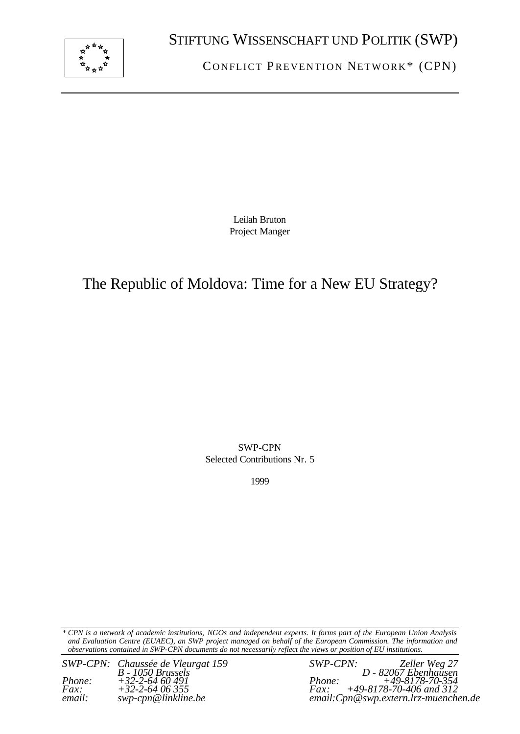

C ONFLICT PREVENTION NETWORK\* (CPN)

Leilah Bruton Project Manger

# The Republic of Moldova: Time for a New EU Strategy?

SWP-CPN Selected Contributions Nr. 5

1999

*\* CPN is a network of academic institutions, NGOs and independent experts. It forms part of the European Union Analysis and Evaluation Centre (EUAEC), an SWP project managed on behalf of the European Commission. The information and observations contained in SWP-CPN documents do not necessarily reflect the views or position of EU institutions.*

*SWP-CPN: Chaussée de Vleurgat 159 SWP-CPN:*<br> *B*-1050 *Brussels*<br> *Phone:* +32-2-64 60 491 *Phone:*<br> *Fax:* +32-2-64 06 355 *Fax: Phone: +32-2-64 60 491 Phone: +49-8178-70-354 Fax: +32-2-64 06 355 Fax: +49-8178-70-406 and 312*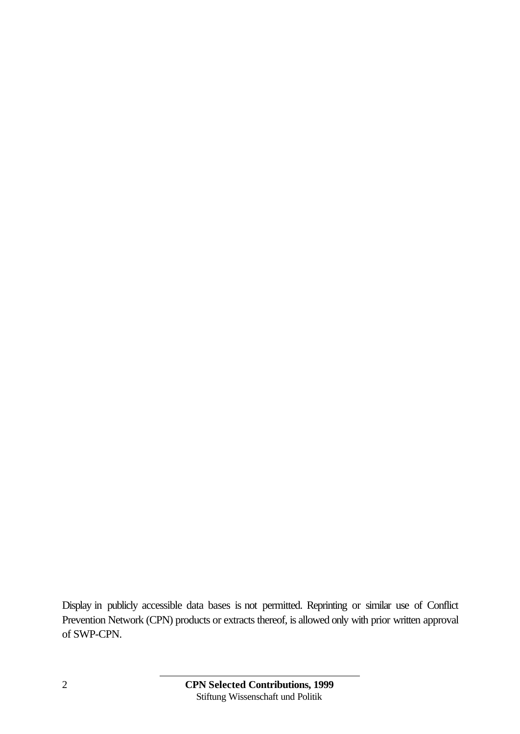Display in publicly accessible data bases is not permitted. Reprinting or similar use of Conflict Prevention Network (CPN) products or extracts thereof, is allowed only with prior written approval of SWP-CPN.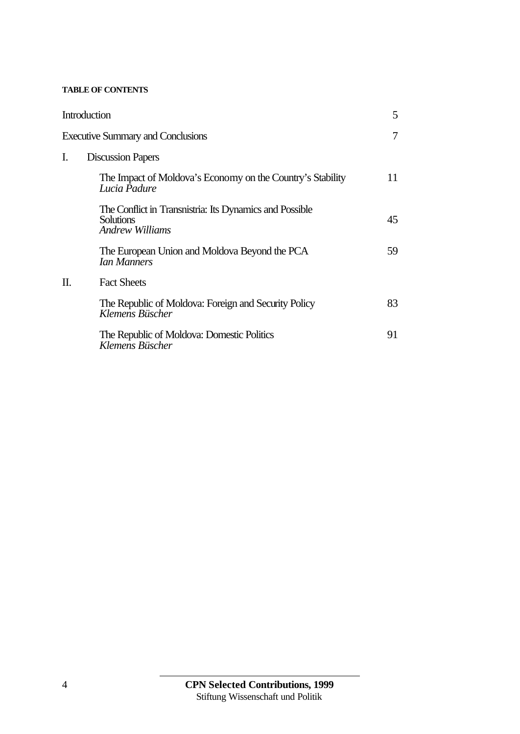#### **TABLE OF CONTENTS**

|    | Introduction                                                                                   | 5  |
|----|------------------------------------------------------------------------------------------------|----|
|    | <b>Executive Summary and Conclusions</b>                                                       | 7  |
| Ι. | <b>Discussion Papers</b>                                                                       |    |
|    | The Impact of Moldova's Economy on the Country's Stability<br>Lucia Padure                     | 11 |
|    | The Conflict in Transmistria: Its Dynamics and Possible<br><b>Solutions</b><br>Andrew Williams | 45 |
|    | The European Union and Moldova Beyond the PCA<br><b><i>Ian Manners</i></b>                     | 59 |
| П. | <b>Fact Sheets</b>                                                                             |    |
|    | The Republic of Moldova: Foreign and Security Policy<br>Klemens Büscher                        | 83 |
|    | The Republic of Moldova: Domestic Politics<br>Klemens Büscher                                  | 91 |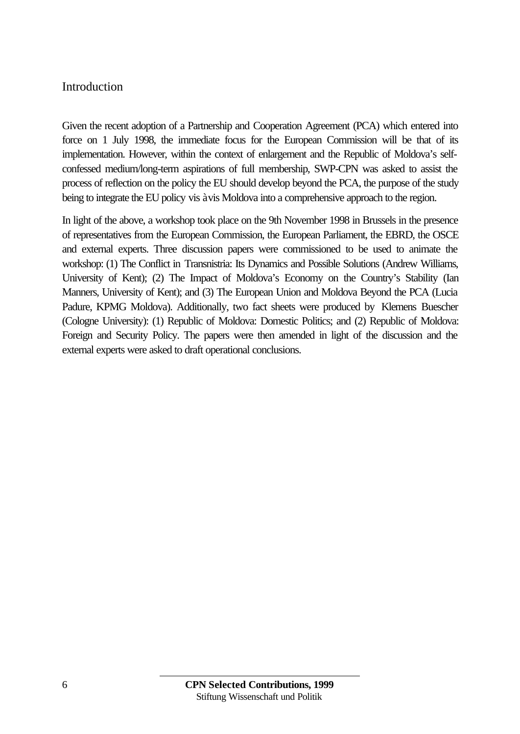## Introduction

Given the recent adoption of a Partnership and Cooperation Agreement (PCA) which entered into force on 1 July 1998, the immediate focus for the European Commission will be that of its implementation. However, within the context of enlargement and the Republic of Moldova's selfconfessed medium/long-term aspirations of full membership, SWP-CPN was asked to assist the process of reflection on the policy the EU should develop beyond the PCA, the purpose of the study being to integrate the EU policy vis à vis Moldova into a comprehensive approach to the region.

In light of the above, a workshop took place on the 9th November 1998 in Brussels in the presence of representatives from the European Commission, the European Parliament, the EBRD, the OSCE and external experts. Three discussion papers were commissioned to be used to animate the workshop: (1) The Conflict in Transnistria: Its Dynamics and Possible Solutions (Andrew Williams, University of Kent); (2) The Impact of Moldova's Economy on the Country's Stability (Ian Manners, University of Kent); and (3) The European Union and Moldova Beyond the PCA (Lucia Padure, KPMG Moldova). Additionally, two fact sheets were produced by Klemens Buescher (Cologne University): (1) Republic of Moldova: Domestic Politics; and (2) Republic of Moldova: Foreign and Security Policy. The papers were then amended in light of the discussion and the external experts were asked to draft operational conclusions.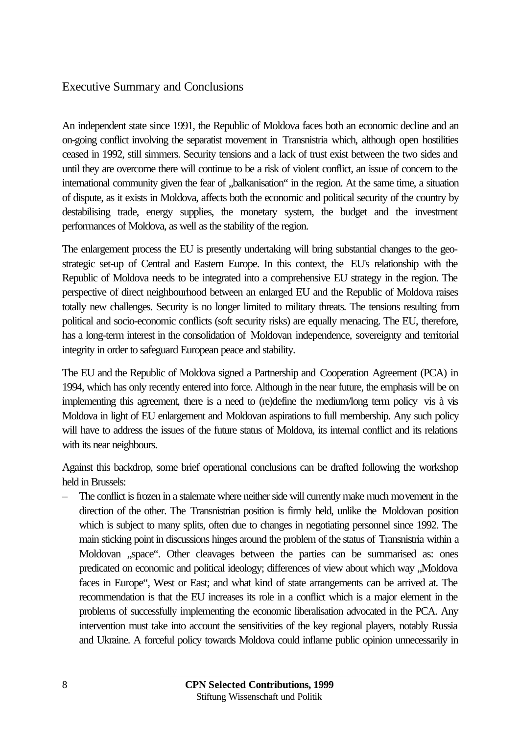## Executive Summary and Conclusions

An independent state since 1991, the Republic of Moldova faces both an economic decline and an on-going conflict involving the separatist movement in Transnistria which, although open hostilities ceased in 1992, still simmers. Security tensions and a lack of trust exist between the two sides and until they are overcome there will continue to be a risk of violent conflict, an issue of concern to the international community given the fear of ,balkanisation" in the region. At the same time, a situation of dispute, as it exists in Moldova, affects both the economic and political security of the country by destabilising trade, energy supplies, the monetary system, the budget and the investment performances of Moldova, as well as the stability of the region.

The enlargement process the EU is presently undertaking will bring substantial changes to the geostrategic set-up of Central and Eastern Europe. In this context, the EU's relationship with the Republic of Moldova needs to be integrated into a comprehensive EU strategy in the region. The perspective of direct neighbourhood between an enlarged EU and the Republic of Moldova raises totally new challenges. Security is no longer limited to military threats. The tensions resulting from political and socio-economic conflicts (soft security risks) are equally menacing. The EU, therefore, has a long-term interest in the consolidation of Moldovan independence, sovereignty and territorial integrity in order to safeguard European peace and stability.

The EU and the Republic of Moldova signed a Partnership and Cooperation Agreement (PCA) in 1994, which has only recently entered into force. Although in the near future, the emphasis will be on implementing this agreement, there is a need to (re)define the medium/long term policy vis à vis Moldova in light of EU enlargement and Moldovan aspirations to full membership. Any such policy will have to address the issues of the future status of Moldova, its internal conflict and its relations with its near neighbours.

Against this backdrop, some brief operational conclusions can be drafted following the workshop held in Brussels:

– The conflict is frozen in a stalemate where neither side will currently make much movement in the direction of the other. The Transnistrian position is firmly held, unlike the Moldovan position which is subject to many splits, often due to changes in negotiating personnel since 1992. The main sticking point in discussions hinges around the problem of the status of Transnistria within a Moldovan "space". Other cleavages between the parties can be summarised as: ones predicated on economic and political ideology; differences of view about which way , Moldova faces in Europe", West or East; and what kind of state arrangements can be arrived at. The recommendation is that the EU increases its role in a conflict which is a major element in the problems of successfully implementing the economic liberalisation advocated in the PCA. Any intervention must take into account the sensitivities of the key regional players, notably Russia and Ukraine. A forceful policy towards Moldova could inflame public opinion unnecessarily in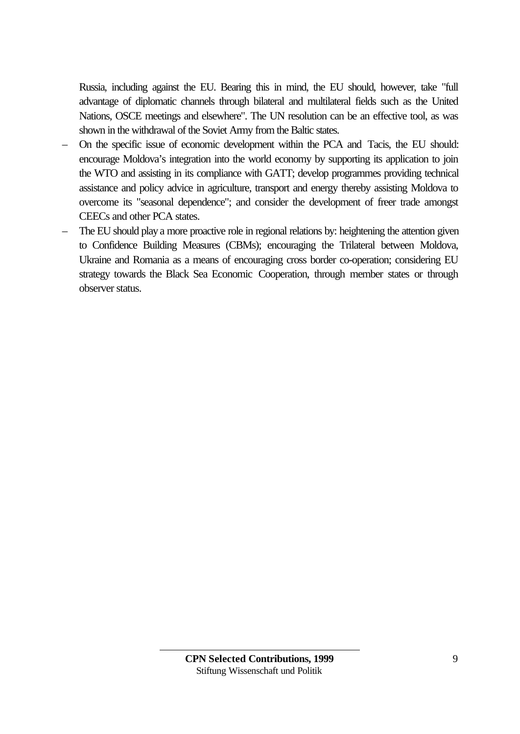Russia, including against the EU. Bearing this in mind, the EU should, however, take "full advantage of diplomatic channels through bilateral and multilateral fields such as the United Nations, OSCE meetings and elsewhere". The UN resolution can be an effective tool, as was shown in the withdrawal of the Soviet Army from the Baltic states.

- On the specific issue of economic development within the PCA and Tacis, the EU should: encourage Moldova's integration into the world economy by supporting its application to join the WTO and assisting in its compliance with GATT; develop programmes providing technical assistance and policy advice in agriculture, transport and energy thereby assisting Moldova to overcome its "seasonal dependence"; and consider the development of freer trade amongst CEECs and other PCA states.
- The EU should play a more proactive role in regional relations by: heightening the attention given to Confidence Building Measures (CBMs); encouraging the Trilateral between Moldova, Ukraine and Romania as a means of encouraging cross border co-operation; considering EU strategy towards the Black Sea Economic Cooperation, through member states or through observer status.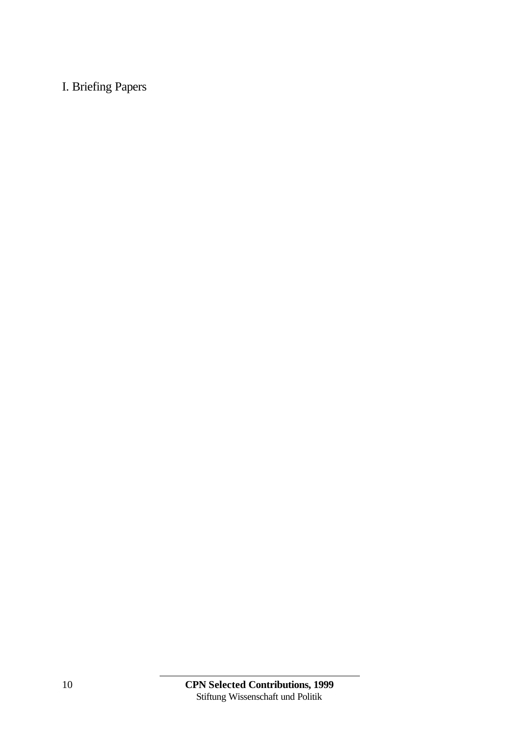# I. Briefing Papers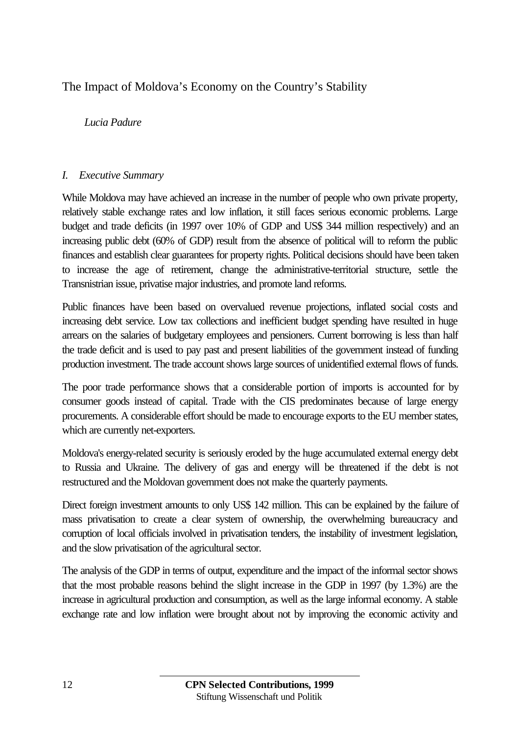# The Impact of Moldova's Economy on the Country's Stability

## *Lucia Padure*

#### *I. Executive Summary*

While Moldova may have achieved an increase in the number of people who own private property, relatively stable exchange rates and low inflation, it still faces serious economic problems. Large budget and trade deficits (in 1997 over 10% of GDP and US\$ 344 million respectively) and an increasing public debt (60% of GDP) result from the absence of political will to reform the public finances and establish clear guarantees for property rights. Political decisions should have been taken to increase the age of retirement, change the administrative-territorial structure, settle the Transnistrian issue, privatise major industries, and promote land reforms.

Public finances have been based on overvalued revenue projections, inflated social costs and increasing debt service. Low tax collections and inefficient budget spending have resulted in huge arrears on the salaries of budgetary employees and pensioners. Current borrowing is less than half the trade deficit and is used to pay past and present liabilities of the government instead of funding production investment. The trade account shows large sources of unidentified external flows of funds.

The poor trade performance shows that a considerable portion of imports is accounted for by consumer goods instead of capital. Trade with the CIS predominates because of large energy procurements. A considerable effort should be made to encourage exports to the EU member states, which are currently net-exporters.

Moldova's energy-related security is seriously eroded by the huge accumulated external energy debt to Russia and Ukraine. The delivery of gas and energy will be threatened if the debt is not restructured and the Moldovan government does not make the quarterly payments.

Direct foreign investment amounts to only US\$ 142 million. This can be explained by the failure of mass privatisation to create a clear system of ownership, the overwhelming bureaucracy and corruption of local officials involved in privatisation tenders, the instability of investment legislation, and the slow privatisation of the agricultural sector.

The analysis of the GDP in terms of output, expenditure and the impact of the informal sector shows that the most probable reasons behind the slight increase in the GDP in 1997 (by 1.3%) are the increase in agricultural production and consumption, as well as the large informal economy. A stable exchange rate and low inflation were brought about not by improving the economic activity and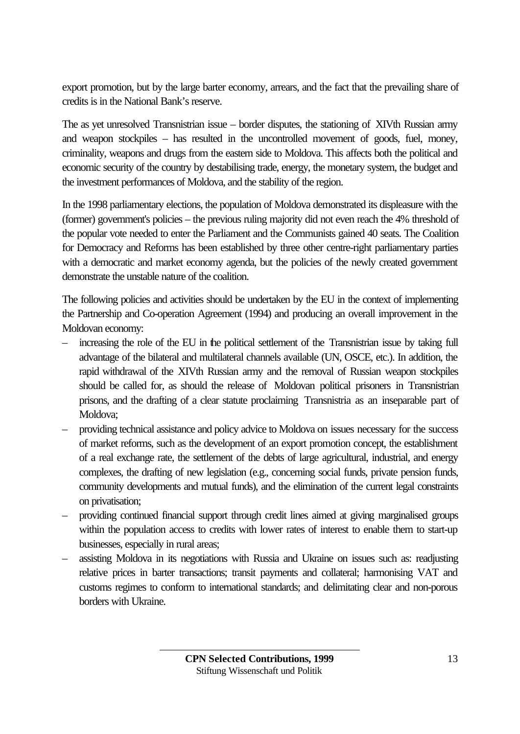export promotion, but by the large barter economy, arrears, and the fact that the prevailing share of credits is in the National Bank's reserve.

The as yet unresolved Transnistrian issue – border disputes, the stationing of XIVth Russian army and weapon stockpiles – has resulted in the uncontrolled movement of goods, fuel, money, criminality, weapons and drugs from the eastern side to Moldova. This affects both the political and economic security of the country by destabilising trade, energy, the monetary system, the budget and the investment performances of Moldova, and the stability of the region.

In the 1998 parliamentary elections, the population of Moldova demonstrated its displeasure with the (former) government's policies – the previous ruling majority did not even reach the 4% threshold of the popular vote needed to enter the Parliament and the Communists gained 40 seats. The Coalition for Democracy and Reforms has been established by three other centre-right parliamentary parties with a democratic and market economy agenda, but the policies of the newly created government demonstrate the unstable nature of the coalition.

The following policies and activities should be undertaken by the EU in the context of implementing the Partnership and Co-operation Agreement (1994) and producing an overall improvement in the Moldovan economy:

- increasing the role of the EU in the political settlement of the Transnistrian issue by taking full advantage of the bilateral and multilateral channels available (UN, OSCE, etc.). In addition, the rapid withdrawal of the XIVth Russian army and the removal of Russian weapon stockpiles should be called for, as should the release of Moldovan political prisoners in Transnistrian prisons, and the drafting of a clear statute proclaiming Transnistria as an inseparable part of Moldova;
- providing technical assistance and policy advice to Moldova on issues necessary for the success of market reforms, such as the development of an export promotion concept, the establishment of a real exchange rate, the settlement of the debts of large agricultural, industrial, and energy complexes, the drafting of new legislation (e.g., concerning social funds, private pension funds, community developments and mutual funds), and the elimination of the current legal constraints on privatisation;
- providing continued financial support through credit lines aimed at giving marginalised groups within the population access to credits with lower rates of interest to enable them to start-up businesses, especially in rural areas;
- assisting Moldova in its negotiations with Russia and Ukraine on issues such as: readjusting relative prices in barter transactions; transit payments and collateral; harmonising VAT and customs regimes to conform to international standards; and delimitating clear and non-porous borders with Ukraine.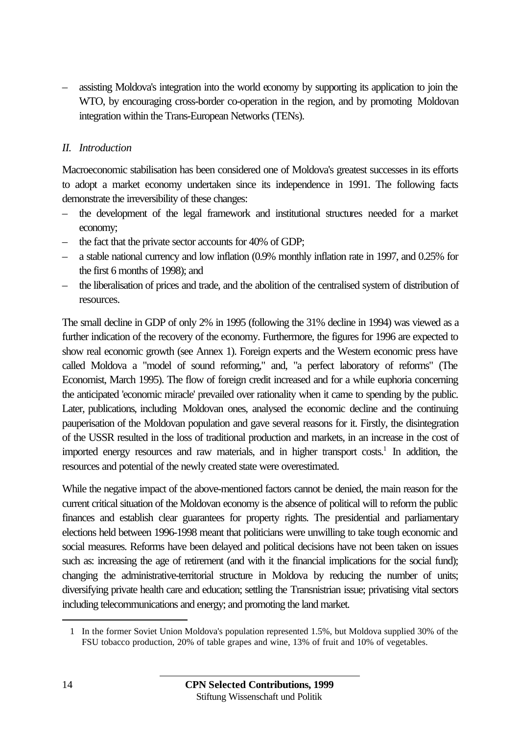– assisting Moldova's integration into the world economy by supporting its application to join the WTO, by encouraging cross-border co-operation in the region, and by promoting Moldovan integration within the Trans-European Networks (TENs).

#### *II. Introduction*

Macroeconomic stabilisation has been considered one of Moldova's greatest successes in its efforts to adopt a market economy undertaken since its independence in 1991. The following facts demonstrate the irreversibility of these changes:

- the development of the legal framework and institutional structures needed for a market economy;
- the fact that the private sector accounts for 40% of GDP;
- a stable national currency and low inflation (0.9% monthly inflation rate in 1997, and 0.25% for the first 6 months of 1998); and
- the liberalisation of prices and trade, and the abolition of the centralised system of distribution of resources.

The small decline in GDP of only 2% in 1995 (following the 31% decline in 1994) was viewed as a further indication of the recovery of the economy. Furthermore, the figures for 1996 are expected to show real economic growth (see Annex 1). Foreign experts and the Western economic press have called Moldova a "model of sound reforming," and, "a perfect laboratory of reforms" (The Economist, March 1995). The flow of foreign credit increased and for a while euphoria concerning the anticipated 'economic miracle' prevailed over rationality when it came to spending by the public. Later, publications, including Moldovan ones, analysed the economic decline and the continuing pauperisation of the Moldovan population and gave several reasons for it. Firstly, the disintegration of the USSR resulted in the loss of traditional production and markets, in an increase in the cost of imported energy resources and raw materials, and in higher transport costs.<sup>1</sup> In addition, the resources and potential of the newly created state were overestimated.

While the negative impact of the above-mentioned factors cannot be denied, the main reason for the current critical situation of the Moldovan economy is the absence of political will to reform the public finances and establish clear guarantees for property rights. The presidential and parliamentary elections held between 1996-1998 meant that politicians were unwilling to take tough economic and social measures. Reforms have been delayed and political decisions have not been taken on issues such as: increasing the age of retirement (and with it the financial implications for the social fund); changing the administrative-territorial structure in Moldova by reducing the number of units; diversifying private health care and education; settling the Transnistrian issue; privatising vital sectors including telecommunications and energy; and promoting the land market.

 $\overline{a}$ 

<sup>1</sup> In the former Soviet Union Moldova's population represented 1.5%, but Moldova supplied 30% of the FSU tobacco production, 20% of table grapes and wine, 13% of fruit and 10% of vegetables.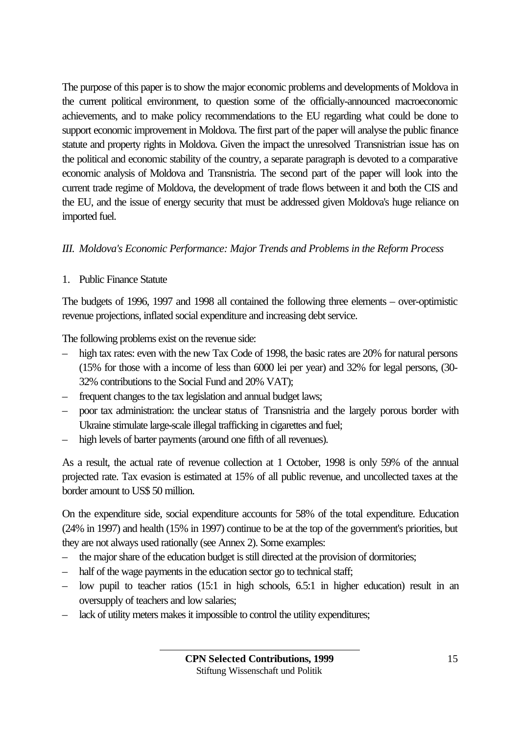The purpose of this paper is to show the major economic problems and developments of Moldova in the current political environment, to question some of the officially-announced macroeconomic achievements, and to make policy recommendations to the EU regarding what could be done to support economic improvement in Moldova. The first part of the paper will analyse the public finance statute and property rights in Moldova. Given the impact the unresolved Transnistrian issue has on the political and economic stability of the country, a separate paragraph is devoted to a comparative economic analysis of Moldova and Transnistria. The second part of the paper will look into the current trade regime of Moldova, the development of trade flows between it and both the CIS and the EU, and the issue of energy security that must be addressed given Moldova's huge reliance on imported fuel.

## *III. Moldova's Economic Performance: Major Trends and Problems in the Reform Process*

1. Public Finance Statute

The budgets of 1996, 1997 and 1998 all contained the following three elements – over-optimistic revenue projections, inflated social expenditure and increasing debt service.

The following problems exist on the revenue side:

- high tax rates: even with the new Tax Code of 1998, the basic rates are 20% for natural persons (15% for those with a income of less than 6000 lei per year) and 32% for legal persons, (30- 32% contributions to the Social Fund and 20% VAT);
- frequent changes to the tax legislation and annual budget laws;
- poor tax administration: the unclear status of Transnistria and the largely porous border with Ukraine stimulate large-scale illegal trafficking in cigarettes and fuel;
- high levels of barter payments (around one fifth of all revenues).

As a result, the actual rate of revenue collection at 1 October, 1998 is only 59% of the annual projected rate. Tax evasion is estimated at 15% of all public revenue, and uncollected taxes at the border amount to US\$ 50 million.

On the expenditure side, social expenditure accounts for 58% of the total expenditure. Education (24% in 1997) and health (15% in 1997) continue to be at the top of the government's priorities, but they are not always used rationally (see Annex 2). Some examples:

- the major share of the education budget is still directed at the provision of dormitories;
- half of the wage payments in the education sector go to technical staff;
- low pupil to teacher ratios (15:1 in high schools, 6.5:1 in higher education) result in an oversupply of teachers and low salaries;
- lack of utility meters makes it impossible to control the utility expenditures;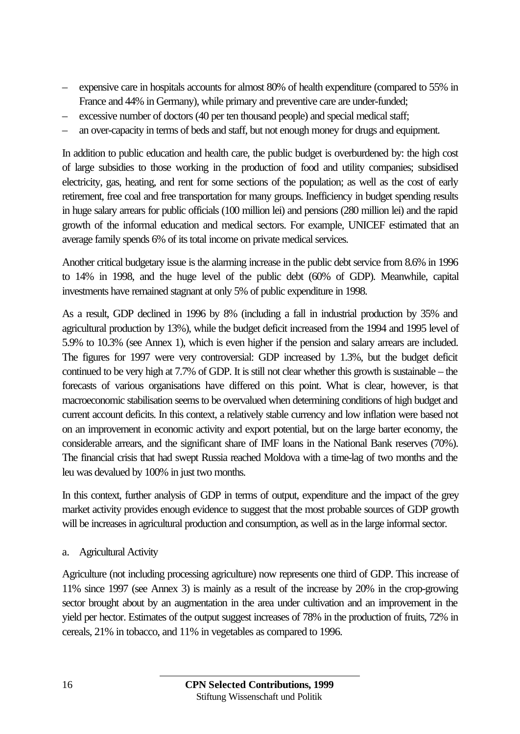- expensive care in hospitals accounts for almost 80% of health expenditure (compared to 55% in France and 44% in Germany), while primary and preventive care are under-funded;
- excessive number of doctors (40 per ten thousand people) and special medical staff;
- an over-capacity in terms of beds and staff, but not enough money for drugs and equipment.

In addition to public education and health care, the public budget is overburdened by: the high cost of large subsidies to those working in the production of food and utility companies; subsidised electricity, gas, heating, and rent for some sections of the population; as well as the cost of early retirement, free coal and free transportation for many groups. Inefficiency in budget spending results in huge salary arrears for public officials (100 million lei) and pensions (280 million lei) and the rapid growth of the informal education and medical sectors. For example, UNICEF estimated that an average family spends 6% of its total income on private medical services.

Another critical budgetary issue is the alarming increase in the public debt service from 8.6% in 1996 to 14% in 1998, and the huge level of the public debt (60% of GDP). Meanwhile, capital investments have remained stagnant at only 5% of public expenditure in 1998.

As a result, GDP declined in 1996 by 8% (including a fall in industrial production by 35% and agricultural production by 13%), while the budget deficit increased from the 1994 and 1995 level of 5.9% to 10.3% (see Annex 1), which is even higher if the pension and salary arrears are included. The figures for 1997 were very controversial: GDP increased by 1.3%, but the budget deficit continued to be very high at 7.7% of GDP. It is still not clear whether this growth is sustainable – the forecasts of various organisations have differed on this point. What is clear, however, is that macroeconomic stabilisation seems to be overvalued when determining conditions of high budget and current account deficits. In this context, a relatively stable currency and low inflation were based not on an improvement in economic activity and export potential, but on the large barter economy, the considerable arrears, and the significant share of IMF loans in the National Bank reserves (70%). The financial crisis that had swept Russia reached Moldova with a time-lag of two months and the leu was devalued by 100% in just two months.

In this context, further analysis of GDP in terms of output, expenditure and the impact of the grey market activity provides enough evidence to suggest that the most probable sources of GDP growth will be increases in agricultural production and consumption, as well as in the large informal sector.

a. Agricultural Activity

Agriculture (not including processing agriculture) now represents one third of GDP. This increase of 11% since 1997 (see Annex 3) is mainly as a result of the increase by 20% in the crop-growing sector brought about by an augmentation in the area under cultivation and an improvement in the yield per hector. Estimates of the output suggest increases of 78% in the production of fruits, 72% in cereals, 21% in tobacco, and 11% in vegetables as compared to 1996.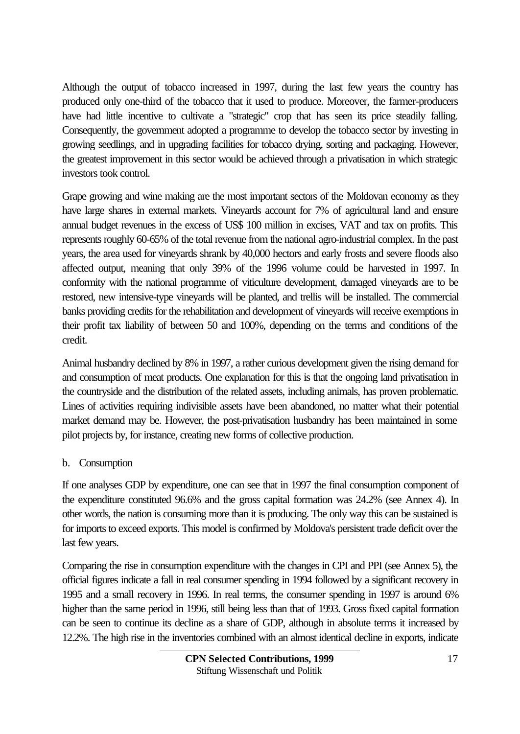Although the output of tobacco increased in 1997, during the last few years the country has produced only one-third of the tobacco that it used to produce. Moreover, the farmer-producers have had little incentive to cultivate a "strategic" crop that has seen its price steadily falling. Consequently, the government adopted a programme to develop the tobacco sector by investing in growing seedlings, and in upgrading facilities for tobacco drying, sorting and packaging. However, the greatest improvement in this sector would be achieved through a privatisation in which strategic investors took control.

Grape growing and wine making are the most important sectors of the Moldovan economy as they have large shares in external markets. Vineyards account for 7% of agricultural land and ensure annual budget revenues in the excess of US\$ 100 million in excises, VAT and tax on profits. This represents roughly 60-65% of the total revenue from the national agro-industrial complex. In the past years, the area used for vineyards shrank by 40,000 hectors and early frosts and severe floods also affected output, meaning that only 39% of the 1996 volume could be harvested in 1997. In conformity with the national programme of viticulture development, damaged vineyards are to be restored, new intensive-type vineyards will be planted, and trellis will be installed. The commercial banks providing credits for the rehabilitation and development of vineyards will receive exemptions in their profit tax liability of between 50 and 100%, depending on the terms and conditions of the credit.

Animal husbandry declined by 8% in 1997, a rather curious development given the rising demand for and consumption of meat products. One explanation for this is that the ongoing land privatisation in the countryside and the distribution of the related assets, including animals, has proven problematic. Lines of activities requiring indivisible assets have been abandoned, no matter what their potential market demand may be. However, the post-privatisation husbandry has been maintained in some pilot projects by, for instance, creating new forms of collective production.

## b. Consumption

If one analyses GDP by expenditure, one can see that in 1997 the final consumption component of the expenditure constituted 96.6% and the gross capital formation was 24.2% (see Annex 4). In other words, the nation is consuming more than it is producing. The only way this can be sustained is for imports to exceed exports. This model is confirmed by Moldova's persistent trade deficit over the last few years.

Comparing the rise in consumption expenditure with the changes in CPI and PPI (see Annex 5), the official figures indicate a fall in real consumer spending in 1994 followed by a significant recovery in 1995 and a small recovery in 1996. In real terms, the consumer spending in 1997 is around 6% higher than the same period in 1996, still being less than that of 1993. Gross fixed capital formation can be seen to continue its decline as a share of GDP, although in absolute terms it increased by 12.2%. The high rise in the inventories combined with an almost identical decline in exports, indicate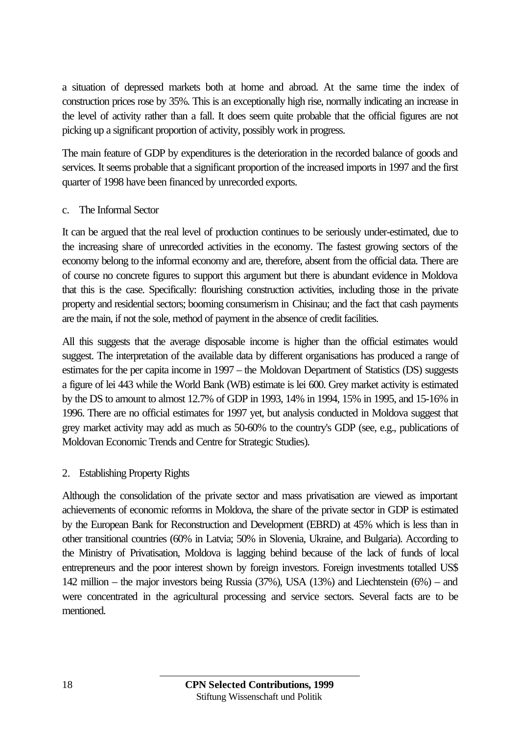a situation of depressed markets both at home and abroad. At the same time the index of construction prices rose by 35%. This is an exceptionally high rise, normally indicating an increase in the level of activity rather than a fall. It does seem quite probable that the official figures are not picking up a significant proportion of activity, possibly work in progress.

The main feature of GDP by expenditures is the deterioration in the recorded balance of goods and services. It seems probable that a significant proportion of the increased imports in 1997 and the first quarter of 1998 have been financed by unrecorded exports.

#### c. The Informal Sector

It can be argued that the real level of production continues to be seriously under-estimated, due to the increasing share of unrecorded activities in the economy. The fastest growing sectors of the economy belong to the informal economy and are, therefore, absent from the official data. There are of course no concrete figures to support this argument but there is abundant evidence in Moldova that this is the case. Specifically: flourishing construction activities, including those in the private property and residential sectors; booming consumerism in Chisinau; and the fact that cash payments are the main, if not the sole, method of payment in the absence of credit facilities.

All this suggests that the average disposable income is higher than the official estimates would suggest. The interpretation of the available data by different organisations has produced a range of estimates for the per capita income in 1997 – the Moldovan Department of Statistics (DS) suggests a figure of lei 443 while the World Bank (WB) estimate is lei 600. Grey market activity is estimated by the DS to amount to almost 12.7% of GDP in 1993, 14% in 1994, 15% in 1995, and 15-16% in 1996. There are no official estimates for 1997 yet, but analysis conducted in Moldova suggest that grey market activity may add as much as 50-60% to the country's GDP (see, e.g., publications of Moldovan Economic Trends and Centre for Strategic Studies).

## 2. Establishing Property Rights

Although the consolidation of the private sector and mass privatisation are viewed as important achievements of economic reforms in Moldova, the share of the private sector in GDP is estimated by the European Bank for Reconstruction and Development (EBRD) at 45% which is less than in other transitional countries (60% in Latvia; 50% in Slovenia, Ukraine, and Bulgaria). According to the Ministry of Privatisation, Moldova is lagging behind because of the lack of funds of local entrepreneurs and the poor interest shown by foreign investors. Foreign investments totalled US\$ 142 million – the major investors being Russia (37%), USA (13%) and Liechtenstein (6%) – and were concentrated in the agricultural processing and service sectors. Several facts are to be mentioned.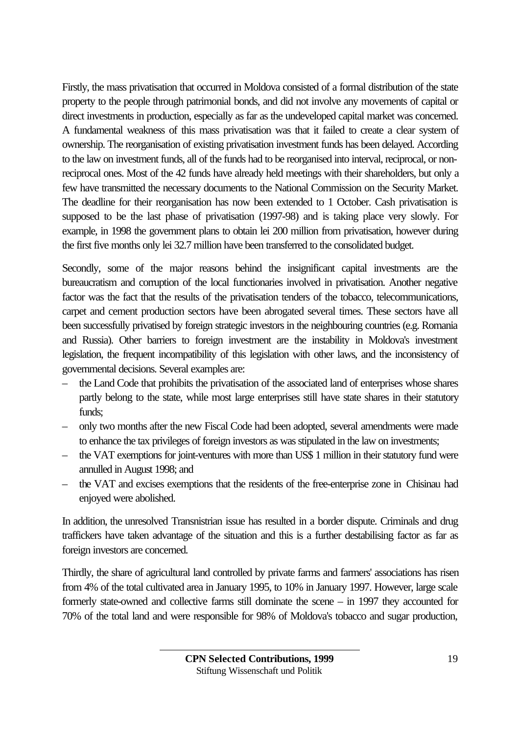Firstly, the mass privatisation that occurred in Moldova consisted of a formal distribution of the state property to the people through patrimonial bonds, and did not involve any movements of capital or direct investments in production, especially as far as the undeveloped capital market was concerned. A fundamental weakness of this mass privatisation was that it failed to create a clear system of ownership. The reorganisation of existing privatisation investment funds has been delayed. According to the law on investment funds, all of the funds had to be reorganised into interval, reciprocal, or nonreciprocal ones. Most of the 42 funds have already held meetings with their shareholders, but only a few have transmitted the necessary documents to the National Commission on the Security Market. The deadline for their reorganisation has now been extended to 1 October. Cash privatisation is supposed to be the last phase of privatisation (1997-98) and is taking place very slowly. For example, in 1998 the government plans to obtain lei 200 million from privatisation, however during the first five months only lei 32.7 million have been transferred to the consolidated budget.

Secondly, some of the major reasons behind the insignificant capital investments are the bureaucratism and corruption of the local functionaries involved in privatisation. Another negative factor was the fact that the results of the privatisation tenders of the tobacco, telecommunications, carpet and cement production sectors have been abrogated several times. These sectors have all been successfully privatised by foreign strategic investors in the neighbouring countries (e.g. Romania and Russia). Other barriers to foreign investment are the instability in Moldova's investment legislation, the frequent incompatibility of this legislation with other laws, and the inconsistency of governmental decisions. Several examples are:

- the Land Code that prohibits the privatisation of the associated land of enterprises whose shares partly belong to the state, while most large enterprises still have state shares in their statutory funds;
- only two months after the new Fiscal Code had been adopted, several amendments were made to enhance the tax privileges of foreign investors as was stipulated in the law on investments;
- the VAT exemptions for joint-ventures with more than US\$ 1 million in their statutory fund were annulled in August 1998; and
- the VAT and excises exemptions that the residents of the free-enterprise zone in Chisinau had enjoyed were abolished.

In addition, the unresolved Transnistrian issue has resulted in a border dispute. Criminals and drug traffickers have taken advantage of the situation and this is a further destabilising factor as far as foreign investors are concerned.

Thirdly, the share of agricultural land controlled by private farms and farmers' associations has risen from 4% of the total cultivated area in January 1995, to 10% in January 1997. However, large scale formerly state-owned and collective farms still dominate the scene – in 1997 they accounted for 70% of the total land and were responsible for 98% of Moldova's tobacco and sugar production,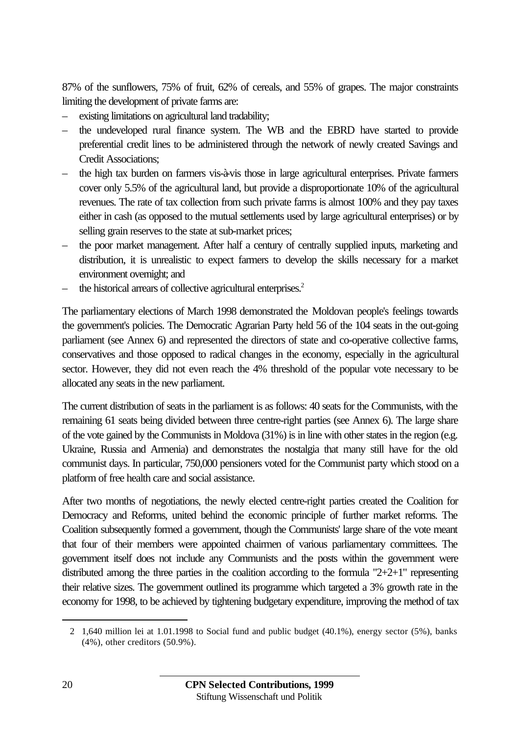87% of the sunflowers, 75% of fruit, 62% of cereals, and 55% of grapes. The major constraints limiting the development of private farms are:

- existing limitations on agricultural land tradability;
- the undeveloped rural finance system. The WB and the EBRD have started to provide preferential credit lines to be administered through the network of newly created Savings and Credit Associations;
- the high tax burden on farmers vis-à-vis those in large agricultural enterprises. Private farmers cover only 5.5% of the agricultural land, but provide a disproportionate 10% of the agricultural revenues. The rate of tax collection from such private farms is almost 100% and they pay taxes either in cash (as opposed to the mutual settlements used by large agricultural enterprises) or by selling grain reserves to the state at sub-market prices;
- the poor market management. After half a century of centrally supplied inputs, marketing and distribution, it is unrealistic to expect farmers to develop the skills necessary for a market environment overnight; and
- the historical arrears of collective agricultural enterprises.<sup>2</sup>

The parliamentary elections of March 1998 demonstrated the Moldovan people's feelings towards the government's policies. The Democratic Agrarian Party held 56 of the 104 seats in the out-going parliament (see Annex 6) and represented the directors of state and co-operative collective farms, conservatives and those opposed to radical changes in the economy, especially in the agricultural sector. However, they did not even reach the 4% threshold of the popular vote necessary to be allocated any seats in the new parliament.

The current distribution of seats in the parliament is as follows: 40 seats for the Communists, with the remaining 61 seats being divided between three centre-right parties (see Annex 6). The large share of the vote gained by the Communists in Moldova (31%) is in line with other states in the region (e.g. Ukraine, Russia and Armenia) and demonstrates the nostalgia that many still have for the old communist days. In particular, 750,000 pensioners voted for the Communist party which stood on a platform of free health care and social assistance.

After two months of negotiations, the newly elected centre-right parties created the Coalition for Democracy and Reforms, united behind the economic principle of further market reforms. The Coalition subsequently formed a government, though the Communists' large share of the vote meant that four of their members were appointed chairmen of various parliamentary committees. The government itself does not include any Communists and the posts within the government were distributed among the three parties in the coalition according to the formula "2+2+1" representing their relative sizes. The government outlined its programme which targeted a 3% growth rate in the economy for 1998, to be achieved by tightening budgetary expenditure, improving the method of tax

 $\overline{a}$ 

<sup>2</sup> 1,640 million lei at 1.01.1998 to Social fund and public budget (40.1%), energy sector (5%), banks (4%), other creditors (50.9%).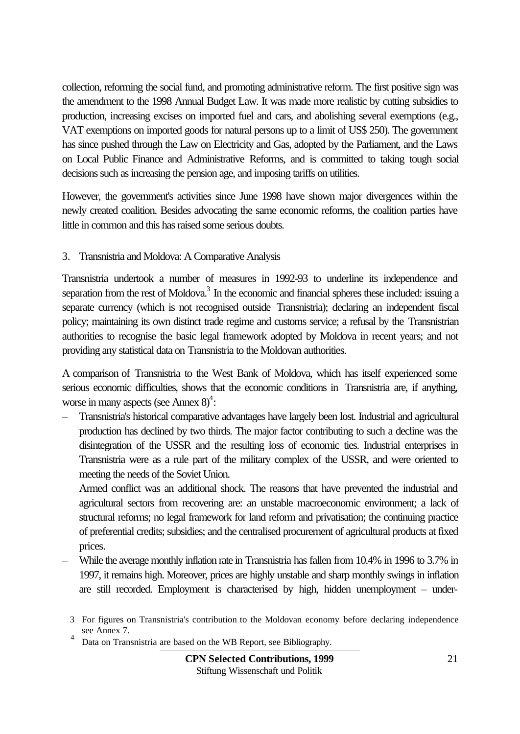collection, reforming the social fund, and promoting administrative reform. The first positive sign was the amendment to the 1998 Annual Budget Law. It was made more realistic by cutting subsidies to production, increasing excises on imported fuel and cars, and abolishing several exemptions (e.g., VAT exemptions on imported goods for natural persons up to a limit of US\$ 250). The government has since pushed through the Law on Electricity and Gas, adopted by the Parliament, and the Laws on Local Public Finance and Administrative Reforms, and is committed to taking tough social decisions such as increasing the pension age, and imposing tariffs on utilities.

However, the government's activities since June 1998 have shown major divergences within the newly created coalition. Besides advocating the same economic reforms, the coalition parties have little in common and this has raised some serious doubts.

#### 3. Transnistria and Moldova: A Comparative Analysis

Transnistria undertook a number of measures in 1992-93 to underline its independence and separation from the rest of Moldova.<sup>3</sup> In the economic and financial spheres these included: issuing a separate currency (which is not recognised outside Transnistria); declaring an independent fiscal policy; maintaining its own distinct trade regime and customs service; a refusal by the Transnistrian authorities to recognise the basic legal framework adopted by Moldova in recent years; and not providing any statistical data on Transnistria to the Moldovan authorities.

A comparison of Transnistria to the West Bank of Moldova, which has itself experienced some serious economic difficulties, shows that the economic conditions in Transnistria are, if anything, worse in many aspects (see Annex  $8$ )<sup>4</sup>:

– Transnistria's historical comparative advantages have largely been lost. Industrial and agricultural production has declined by two thirds. The major factor contributing to such a decline was the disintegration of the USSR and the resulting loss of economic ties. Industrial enterprises in Transnistria were as a rule part of the military complex of the USSR, and were oriented to meeting the needs of the Soviet Union.

Armed conflict was an additional shock. The reasons that have prevented the industrial and agricultural sectors from recovering are: an unstable macroeconomic environment; a lack of structural reforms; no legal framework for land reform and privatisation; the continuing practice of preferential credits; subsidies; and the centralised procurement of agricultural products at fixed prices.

– While the average monthly inflation rate in Transnistria has fallen from 10.4% in 1996 to 3.7% in 1997, it remains high. Moreover, prices are highly unstable and sharp monthly swings in inflation are still recorded. Employment is characterised by high, hidden unemployment – under-

 $\overline{a}$ 

<sup>3</sup> For figures on Transnistria's contribution to the Moldovan economy before declaring independence see Annex 7.

<sup>4</sup> Data on Transnistria are based on the WB Report, see Bibliography.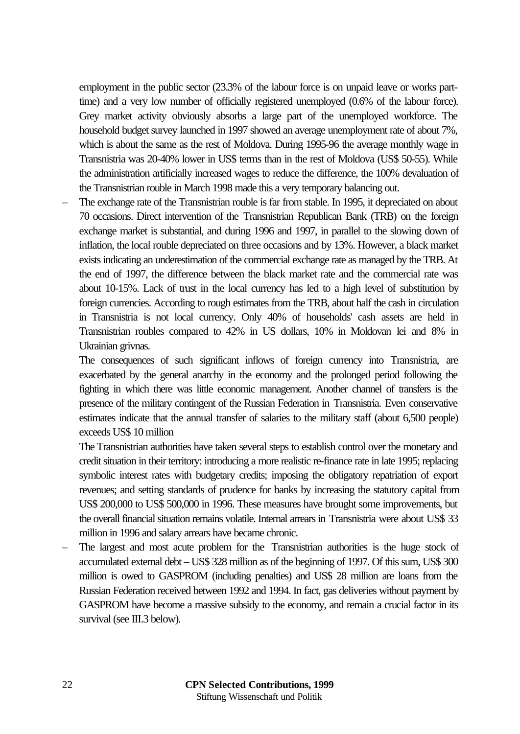employment in the public sector (23.3% of the labour force is on unpaid leave or works parttime) and a very low number of officially registered unemployed (0.6% of the labour force). Grey market activity obviously absorbs a large part of the unemployed workforce. The household budget survey launched in 1997 showed an average unemployment rate of about 7%, which is about the same as the rest of Moldova. During 1995-96 the average monthly wage in Transnistria was 20-40% lower in US\$ terms than in the rest of Moldova (US\$ 50-55). While the administration artificially increased wages to reduce the difference, the 100% devaluation of the Transnistrian rouble in March 1998 made this a very temporary balancing out.

– The exchange rate of the Transnistrian rouble is far from stable. In 1995, it depreciated on about 70 occasions. Direct intervention of the Transnistrian Republican Bank (TRB) on the foreign exchange market is substantial, and during 1996 and 1997, in parallel to the slowing down of inflation, the local rouble depreciated on three occasions and by 13%. However, a black market exists indicating an underestimation of the commercial exchange rate as managed by the TRB. At the end of 1997, the difference between the black market rate and the commercial rate was about 10-15%. Lack of trust in the local currency has led to a high level of substitution by foreign currencies. According to rough estimates from the TRB, about half the cash in circulation in Transnistria is not local currency. Only 40% of households' cash assets are held in Transnistrian roubles compared to 42% in US dollars, 10% in Moldovan lei and 8% in Ukrainian grivnas.

The consequences of such significant inflows of foreign currency into Transnistria, are exacerbated by the general anarchy in the economy and the prolonged period following the fighting in which there was little economic management. Another channel of transfers is the presence of the military contingent of the Russian Federation in Transnistria. Even conservative estimates indicate that the annual transfer of salaries to the military staff (about 6,500 people) exceeds US\$ 10 million

The Transnistrian authorities have taken several steps to establish control over the monetary and credit situation in their territory: introducing a more realistic re-finance rate in late 1995; replacing symbolic interest rates with budgetary credits; imposing the obligatory repatriation of export revenues; and setting standards of prudence for banks by increasing the statutory capital from US\$ 200,000 to US\$ 500,000 in 1996. These measures have brought some improvements, but the overall financial situation remains volatile. Internal arrears in Transnistria were about US\$ 33 million in 1996 and salary arrears have became chronic.

– The largest and most acute problem for the Transnistrian authorities is the huge stock of accumulated external debt – US\$ 328 million as of the beginning of 1997. Of this sum, US\$ 300 million is owed to GASPROM (including penalties) and US\$ 28 million are loans from the Russian Federation received between 1992 and 1994. In fact, gas deliveries without payment by GASPROM have become a massive subsidy to the economy, and remain a crucial factor in its survival (see III.3 below).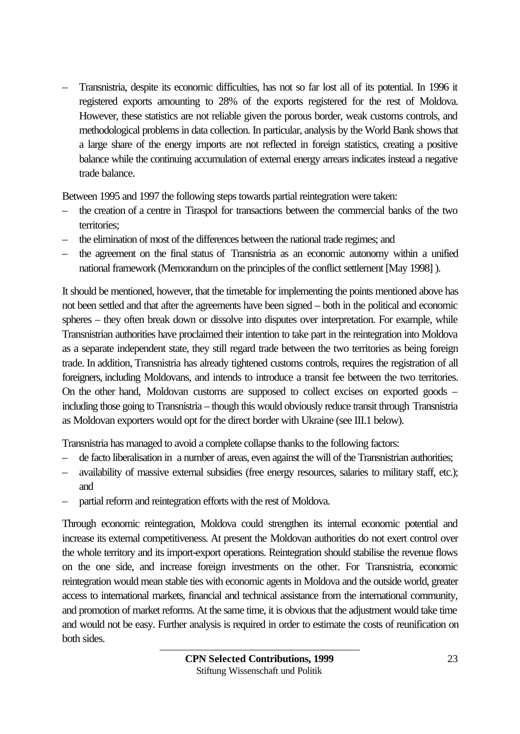– Transnistria, despite its economic difficulties, has not so far lost all of its potential. In 1996 it registered exports amounting to 28% of the exports registered for the rest of Moldova. However, these statistics are not reliable given the porous border, weak customs controls, and methodological problems in data collection. In particular, analysis by the World Bank shows that a large share of the energy imports are not reflected in foreign statistics, creating a positive balance while the continuing accumulation of external energy arrears indicates instead a negative trade balance.

Between 1995 and 1997 the following steps towards partial reintegration were taken:

- the creation of a centre in Tiraspol for transactions between the commercial banks of the two territories;
- the elimination of most of the differences between the national trade regimes; and
- the agreement on the final status of Transnistria as an economic autonomy within a unified national framework (Memorandum on the principles of the conflict settlement [May 1998] ).

It should be mentioned, however, that the timetable for implementing the points mentioned above has not been settled and that after the agreements have been signed – both in the political and economic spheres – they often break down or dissolve into disputes over interpretation. For example, while Transnistrian authorities have proclaimed their intention to take part in the reintegration into Moldova as a separate independent state, they still regard trade between the two territories as being foreign trade. In addition, Transnistria has already tightened customs controls, requires the registration of all foreigners, including Moldovans, and intends to introduce a transit fee between the two territories. On the other hand, Moldovan customs are supposed to collect excises on exported goods – including those going to Transnistria – though this would obviously reduce transit through Transnistria as Moldovan exporters would opt for the direct border with Ukraine (see III.1 below).

Transnistria has managed to avoid a complete collapse thanks to the following factors:

- de facto liberalisation in a number of areas, even against the will of the Transnistrian authorities;
- availability of massive external subsidies (free energy resources, salaries to military staff, etc.); and
- partial reform and reintegration efforts with the rest of Moldova.

Through economic reintegration, Moldova could strengthen its internal economic potential and increase its external competitiveness. At present the Moldovan authorities do not exert control over the whole territory and its import-export operations. Reintegration should stabilise the revenue flows on the one side, and increase foreign investments on the other. For Transnistria, economic reintegration would mean stable ties with economic agents in Moldova and the outside world, greater access to international markets, financial and technical assistance from the international community, and promotion of market reforms. At the same time, it is obvious that the adjustment would take time and would not be easy. Further analysis is required in order to estimate the costs of reunification on both sides.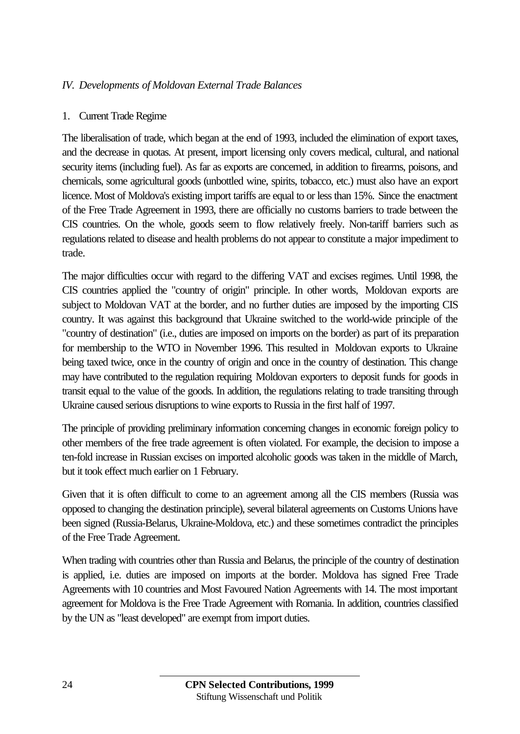#### *IV. Developments of Moldovan External Trade Balances*

#### 1. Current Trade Regime

The liberalisation of trade, which began at the end of 1993, included the elimination of export taxes, and the decrease in quotas. At present, import licensing only covers medical, cultural, and national security items (including fuel). As far as exports are concerned, in addition to firearms, poisons, and chemicals, some agricultural goods (unbottled wine, spirits, tobacco, etc.) must also have an export licence. Most of Moldova's existing import tariffs are equal to or less than 15%. Since the enactment of the Free Trade Agreement in 1993, there are officially no customs barriers to trade between the CIS countries. On the whole, goods seem to flow relatively freely. Non-tariff barriers such as regulations related to disease and health problems do not appear to constitute a major impediment to trade.

The major difficulties occur with regard to the differing VAT and excises regimes. Until 1998, the CIS countries applied the "country of origin" principle. In other words, Moldovan exports are subject to Moldovan VAT at the border, and no further duties are imposed by the importing CIS country. It was against this background that Ukraine switched to the world-wide principle of the "country of destination" (i.e., duties are imposed on imports on the border) as part of its preparation for membership to the WTO in November 1996. This resulted in Moldovan exports to Ukraine being taxed twice, once in the country of origin and once in the country of destination. This change may have contributed to the regulation requiring Moldovan exporters to deposit funds for goods in transit equal to the value of the goods. In addition, the regulations relating to trade transiting through Ukraine caused serious disruptions to wine exports to Russia in the first half of 1997.

The principle of providing preliminary information concerning changes in economic foreign policy to other members of the free trade agreement is often violated. For example, the decision to impose a ten-fold increase in Russian excises on imported alcoholic goods was taken in the middle of March, but it took effect much earlier on 1 February.

Given that it is often difficult to come to an agreement among all the CIS members (Russia was opposed to changing the destination principle), several bilateral agreements on Customs Unions have been signed (Russia-Belarus, Ukraine-Moldova, etc.) and these sometimes contradict the principles of the Free Trade Agreement.

When trading with countries other than Russia and Belarus, the principle of the country of destination is applied, i.e. duties are imposed on imports at the border. Moldova has signed Free Trade Agreements with 10 countries and Most Favoured Nation Agreements with 14. The most important agreement for Moldova is the Free Trade Agreement with Romania. In addition, countries classified by the UN as "least developed" are exempt from import duties.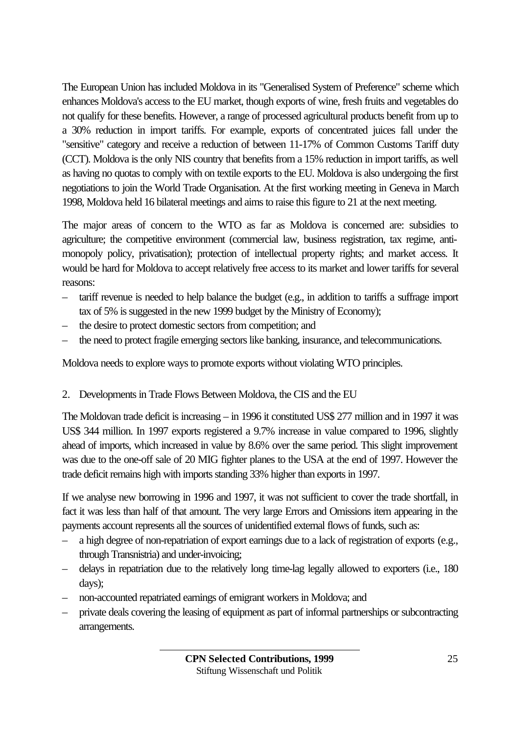The European Union has included Moldova in its "Generalised System of Preference" scheme which enhances Moldova's access to the EU market, though exports of wine, fresh fruits and vegetables do not qualify for these benefits. However, a range of processed agricultural products benefit from up to a 30% reduction in import tariffs. For example, exports of concentrated juices fall under the "sensitive" category and receive a reduction of between 11-17% of Common Customs Tariff duty (CCT). Moldova is the only NIS country that benefits from a 15% reduction in import tariffs, as well as having no quotas to comply with on textile exports to the EU. Moldova is also undergoing the first negotiations to join the World Trade Organisation. At the first working meeting in Geneva in March 1998, Moldova held 16 bilateral meetings and aims to raise this figure to 21 at the next meeting.

The major areas of concern to the WTO as far as Moldova is concerned are: subsidies to agriculture; the competitive environment (commercial law, business registration, tax regime, antimonopoly policy, privatisation); protection of intellectual property rights; and market access. It would be hard for Moldova to accept relatively free access to its market and lower tariffs for several reasons:

- tariff revenue is needed to help balance the budget (e.g., in addition to tariffs a suffrage import tax of 5% is suggested in the new 1999 budget by the Ministry of Economy);
- the desire to protect domestic sectors from competition; and
- the need to protect fragile emerging sectors like banking, insurance, and telecommunications.

Moldova needs to explore ways to promote exports without violating WTO principles.

2. Developments in Trade Flows Between Moldova, the CIS and the EU

The Moldovan trade deficit is increasing – in 1996 it constituted US\$ 277 million and in 1997 it was US\$ 344 million. In 1997 exports registered a 9.7% increase in value compared to 1996, slightly ahead of imports, which increased in value by 8.6% over the same period. This slight improvement was due to the one-off sale of 20 MIG fighter planes to the USA at the end of 1997. However the trade deficit remains high with imports standing 33% higher than exports in 1997.

If we analyse new borrowing in 1996 and 1997, it was not sufficient to cover the trade shortfall, in fact it was less than half of that amount. The very large Errors and Omissions item appearing in the payments account represents all the sources of unidentified external flows of funds, such as:

- a high degree of non-repatriation of export earnings due to a lack of registration of exports (e.g., through Transnistria) and under-invoicing;
- delays in repatriation due to the relatively long time-lag legally allowed to exporters (i.e., 180 days);
- non-accounted repatriated earnings of emigrant workers in Moldova; and
- private deals covering the leasing of equipment as part of informal partnerships or subcontracting arrangements.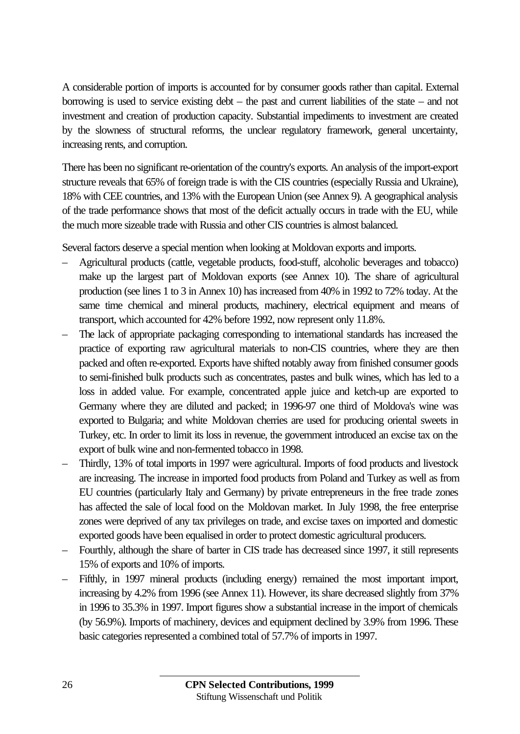A considerable portion of imports is accounted for by consumer goods rather than capital. External borrowing is used to service existing debt – the past and current liabilities of the state – and not investment and creation of production capacity. Substantial impediments to investment are created by the slowness of structural reforms, the unclear regulatory framework, general uncertainty, increasing rents, and corruption.

There has been no significant re-orientation of the country's exports. An analysis of the import-export structure reveals that 65% of foreign trade is with the CIS countries (especially Russia and Ukraine), 18% with CEE countries, and 13% with the European Union (see Annex 9). A geographical analysis of the trade performance shows that most of the deficit actually occurs in trade with the EU, while the much more sizeable trade with Russia and other CIS countries is almost balanced.

Several factors deserve a special mention when looking at Moldovan exports and imports.

- Agricultural products (cattle, vegetable products, food-stuff, alcoholic beverages and tobacco) make up the largest part of Moldovan exports (see Annex 10). The share of agricultural production (see lines 1 to 3 in Annex 10) has increased from 40% in 1992 to 72% today. At the same time chemical and mineral products, machinery, electrical equipment and means of transport, which accounted for 42% before 1992, now represent only 11.8%.
- The lack of appropriate packaging corresponding to international standards has increased the practice of exporting raw agricultural materials to non-CIS countries, where they are then packed and often re-exported. Exports have shifted notably away from finished consumer goods to semi-finished bulk products such as concentrates, pastes and bulk wines, which has led to a loss in added value. For example, concentrated apple juice and ketch-up are exported to Germany where they are diluted and packed; in 1996-97 one third of Moldova's wine was exported to Bulgaria; and white Moldovan cherries are used for producing oriental sweets in Turkey, etc. In order to limit its loss in revenue, the government introduced an excise tax on the export of bulk wine and non-fermented tobacco in 1998.
- Thirdly, 13% of total imports in 1997 were agricultural. Imports of food products and livestock are increasing. The increase in imported food products from Poland and Turkey as well as from EU countries (particularly Italy and Germany) by private entrepreneurs in the free trade zones has affected the sale of local food on the Moldovan market. In July 1998, the free enterprise zones were deprived of any tax privileges on trade, and excise taxes on imported and domestic exported goods have been equalised in order to protect domestic agricultural producers.
- Fourthly, although the share of barter in CIS trade has decreased since 1997, it still represents 15% of exports and 10% of imports.
- Fifthly, in 1997 mineral products (including energy) remained the most important import, increasing by 4.2% from 1996 (see Annex 11). However, its share decreased slightly from 37% in 1996 to 35.3% in 1997. Import figures show a substantial increase in the import of chemicals (by 56.9%). Imports of machinery, devices and equipment declined by 3.9% from 1996. These basic categories represented a combined total of 57.7% of imports in 1997.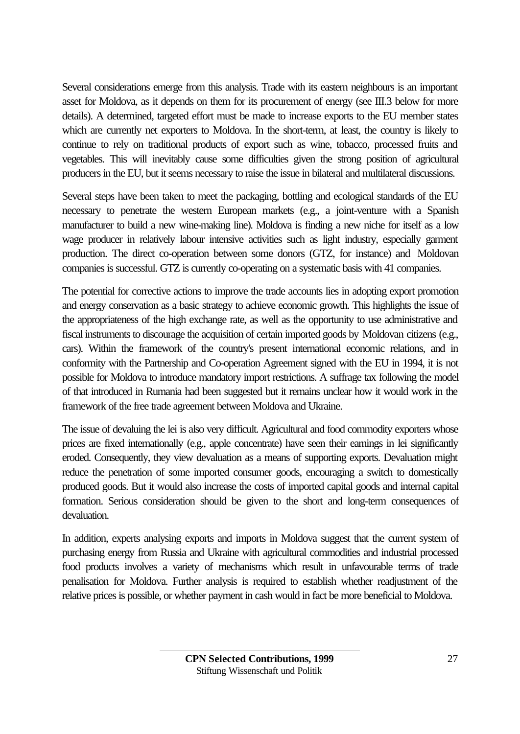Several considerations emerge from this analysis. Trade with its eastern neighbours is an important asset for Moldova, as it depends on them for its procurement of energy (see III.3 below for more details). A determined, targeted effort must be made to increase exports to the EU member states which are currently net exporters to Moldova. In the short-term, at least, the country is likely to continue to rely on traditional products of export such as wine, tobacco, processed fruits and vegetables. This will inevitably cause some difficulties given the strong position of agricultural producers in the EU, but it seems necessary to raise the issue in bilateral and multilateral discussions.

Several steps have been taken to meet the packaging, bottling and ecological standards of the EU necessary to penetrate the western European markets (e.g., a joint-venture with a Spanish manufacturer to build a new wine-making line). Moldova is finding a new niche for itself as a low wage producer in relatively labour intensive activities such as light industry, especially garment production. The direct co-operation between some donors (GTZ, for instance) and Moldovan companies is successful. GTZ is currently co-operating on a systematic basis with 41 companies.

The potential for corrective actions to improve the trade accounts lies in adopting export promotion and energy conservation as a basic strategy to achieve economic growth. This highlights the issue of the appropriateness of the high exchange rate, as well as the opportunity to use administrative and fiscal instruments to discourage the acquisition of certain imported goods by Moldovan citizens (e.g., cars). Within the framework of the country's present international economic relations, and in conformity with the Partnership and Co-operation Agreement signed with the EU in 1994, it is not possible for Moldova to introduce mandatory import restrictions. A suffrage tax following the model of that introduced in Rumania had been suggested but it remains unclear how it would work in the framework of the free trade agreement between Moldova and Ukraine.

The issue of devaluing the lei is also very difficult. Agricultural and food commodity exporters whose prices are fixed internationally (e.g., apple concentrate) have seen their earnings in lei significantly eroded. Consequently, they view devaluation as a means of supporting exports. Devaluation might reduce the penetration of some imported consumer goods, encouraging a switch to domestically produced goods. But it would also increase the costs of imported capital goods and internal capital formation. Serious consideration should be given to the short and long-term consequences of devaluation.

In addition, experts analysing exports and imports in Moldova suggest that the current system of purchasing energy from Russia and Ukraine with agricultural commodities and industrial processed food products involves a variety of mechanisms which result in unfavourable terms of trade penalisation for Moldova. Further analysis is required to establish whether readjustment of the relative prices is possible, or whether payment in cash would in fact be more beneficial to Moldova.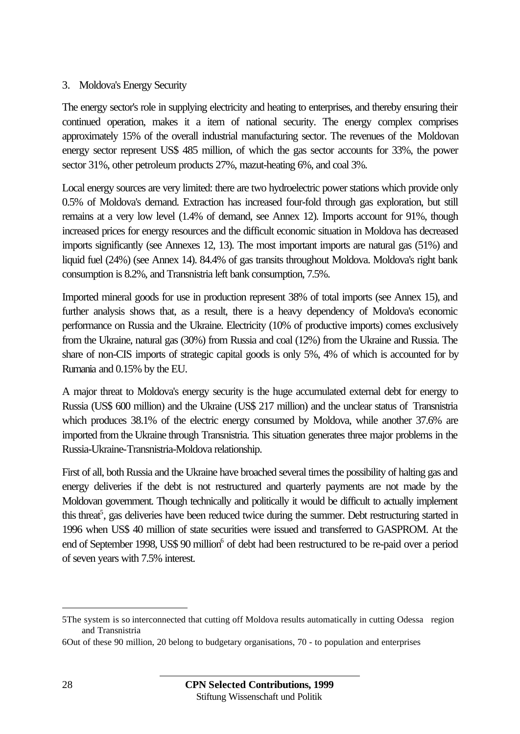#### 3. Moldova's Energy Security

The energy sector's role in supplying electricity and heating to enterprises, and thereby ensuring their continued operation, makes it a item of national security. The energy complex comprises approximately 15% of the overall industrial manufacturing sector. The revenues of the Moldovan energy sector represent US\$ 485 million, of which the gas sector accounts for 33%, the power sector 31%, other petroleum products 27%, mazut-heating 6%, and coal 3%.

Local energy sources are very limited: there are two hydroelectric power stations which provide only 0.5% of Moldova's demand. Extraction has increased four-fold through gas exploration, but still remains at a very low level (1.4% of demand, see Annex 12). Imports account for 91%, though increased prices for energy resources and the difficult economic situation in Moldova has decreased imports significantly (see Annexes 12, 13). The most important imports are natural gas (51%) and liquid fuel (24%) (see Annex 14). 84.4% of gas transits throughout Moldova. Moldova's right bank consumption is 8.2%, and Transnistria left bank consumption, 7.5%.

Imported mineral goods for use in production represent 38% of total imports (see Annex 15), and further analysis shows that, as a result, there is a heavy dependency of Moldova's economic performance on Russia and the Ukraine. Electricity (10% of productive imports) comes exclusively from the Ukraine, natural gas (30%) from Russia and coal (12%) from the Ukraine and Russia. The share of non-CIS imports of strategic capital goods is only 5%, 4% of which is accounted for by Rumania and 0.15% by the EU.

A major threat to Moldova's energy security is the huge accumulated external debt for energy to Russia (US\$ 600 million) and the Ukraine (US\$ 217 million) and the unclear status of Transnistria which produces 38.1% of the electric energy consumed by Moldova, while another 37.6% are imported from the Ukraine through Transnistria. This situation generates three major problems in the Russia-Ukraine-Transnistria-Moldova relationship.

First of all, both Russia and the Ukraine have broached several times the possibility of halting gas and energy deliveries if the debt is not restructured and quarterly payments are not made by the Moldovan government. Though technically and politically it would be difficult to actually implement this threat<sup>5</sup>, gas deliveries have been reduced twice during the summer. Debt restructuring started in 1996 when US\$ 40 million of state securities were issued and transferred to GASPROM. At the end of September 1998, US\$ 90 million<sup>6</sup> of debt had been restructured to be re-paid over a period of seven years with 7.5% interest.

 $\overline{a}$ 

<sup>5</sup>The system is so interconnected that cutting off Moldova results automatically in cutting Odessa region and Transnistria

<sup>6</sup>Out of these 90 million, 20 belong to budgetary organisations, 70 - to population and enterprises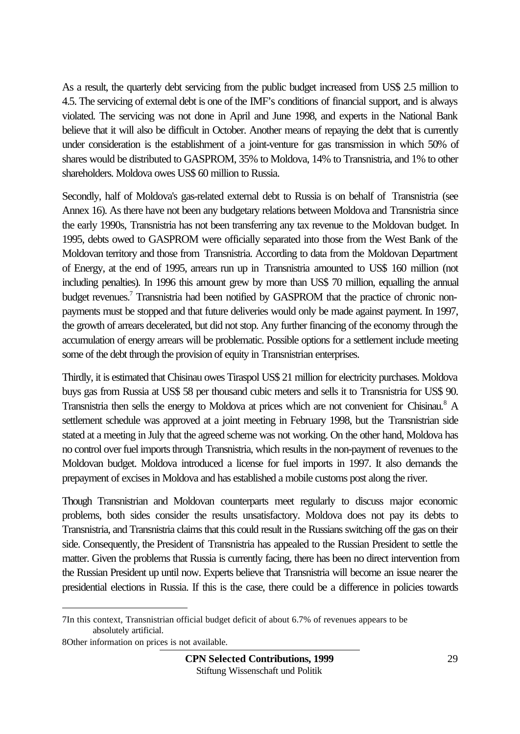As a result, the quarterly debt servicing from the public budget increased from US\$ 2.5 million to 4.5. The servicing of external debt is one of the IMF's conditions of financial support, and is always violated. The servicing was not done in April and June 1998, and experts in the National Bank believe that it will also be difficult in October. Another means of repaying the debt that is currently under consideration is the establishment of a joint-venture for gas transmission in which 50% of shares would be distributed to GASPROM, 35% to Moldova, 14% to Transnistria, and 1% to other shareholders. Moldova owes US\$ 60 million to Russia.

Secondly, half of Moldova's gas-related external debt to Russia is on behalf of Transnistria (see Annex 16). As there have not been any budgetary relations between Moldova and Transnistria since the early 1990s, Transnistria has not been transferring any tax revenue to the Moldovan budget. In 1995, debts owed to GASPROM were officially separated into those from the West Bank of the Moldovan territory and those from Transnistria. According to data from the Moldovan Department of Energy, at the end of 1995, arrears run up in Transnistria amounted to US\$ 160 million (not including penalties). In 1996 this amount grew by more than US\$ 70 million, equalling the annual budget revenues.<sup>7</sup> Transnistria had been notified by GASPROM that the practice of chronic nonpayments must be stopped and that future deliveries would only be made against payment. In 1997, the growth of arrears decelerated, but did not stop. Any further financing of the economy through the accumulation of energy arrears will be problematic. Possible options for a settlement include meeting some of the debt through the provision of equity in Transnistrian enterprises.

Thirdly, it is estimated that Chisinau owes Tiraspol US\$ 21 million for electricity purchases. Moldova buys gas from Russia at US\$ 58 per thousand cubic meters and sells it to Transnistria for US\$ 90. Transnistria then sells the energy to Moldova at prices which are not convenient for Chisinau.<sup>8</sup> A settlement schedule was approved at a joint meeting in February 1998, but the Transnistrian side stated at a meeting in July that the agreed scheme was not working. On the other hand, Moldova has no control over fuel imports through Transnistria, which results in the non-payment of revenues to the Moldovan budget. Moldova introduced a license for fuel imports in 1997. It also demands the prepayment of excises in Moldova and has established a mobile customs post along the river.

Though Transnistrian and Moldovan counterparts meet regularly to discuss major economic problems, both sides consider the results unsatisfactory. Moldova does not pay its debts to Transnistria, and Transnistria claims that this could result in the Russians switching off the gas on their side. Consequently, the President of Transnistria has appealed to the Russian President to settle the matter. Given the problems that Russia is currently facing, there has been no direct intervention from the Russian President up until now. Experts believe that Transnistria will become an issue nearer the presidential elections in Russia. If this is the case, there could be a difference in policies towards

8Other information on prices is not available.

 $\overline{a}$ 

<sup>7</sup>In this context, Transnistrian official budget deficit of about 6.7% of revenues appears to be absolutely artificial.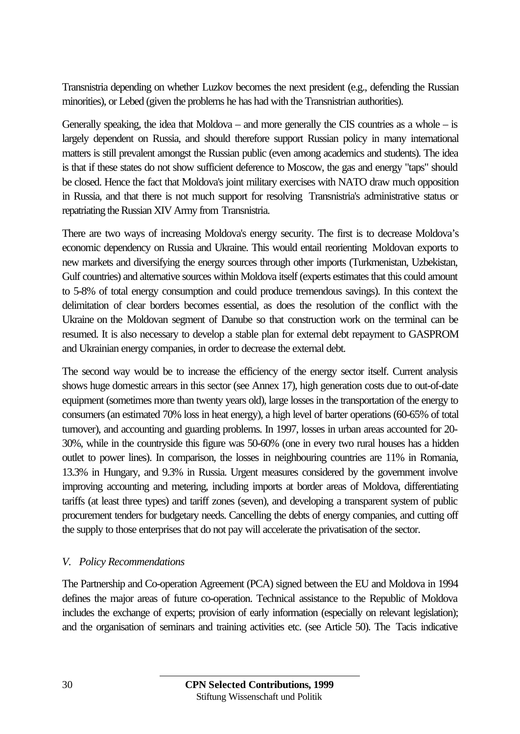Transnistria depending on whether Luzkov becomes the next president (e.g., defending the Russian minorities), or Lebed (given the problems he has had with the Transnistrian authorities).

Generally speaking, the idea that Moldova – and more generally the CIS countries as a whole  $-$  is largely dependent on Russia, and should therefore support Russian policy in many international matters is still prevalent amongst the Russian public (even among academics and students). The idea is that if these states do not show sufficient deference to Moscow, the gas and energy "taps" should be closed. Hence the fact that Moldova's joint military exercises with NATO draw much opposition in Russia, and that there is not much support for resolving Transnistria's administrative status or repatriating the Russian XIV Army from Transnistria.

There are two ways of increasing Moldova's energy security. The first is to decrease Moldova's economic dependency on Russia and Ukraine. This would entail reorienting Moldovan exports to new markets and diversifying the energy sources through other imports (Turkmenistan, Uzbekistan, Gulf countries) and alternative sources within Moldova itself (experts estimates that this could amount to 5-8% of total energy consumption and could produce tremendous savings). In this context the delimitation of clear borders becomes essential, as does the resolution of the conflict with the Ukraine on the Moldovan segment of Danube so that construction work on the terminal can be resumed. It is also necessary to develop a stable plan for external debt repayment to GASPROM and Ukrainian energy companies, in order to decrease the external debt.

The second way would be to increase the efficiency of the energy sector itself. Current analysis shows huge domestic arrears in this sector (see Annex 17), high generation costs due to out-of-date equipment (sometimes more than twenty years old), large losses in the transportation of the energy to consumers (an estimated 70% loss in heat energy), a high level of barter operations (60-65% of total turnover), and accounting and guarding problems. In 1997, losses in urban areas accounted for 20- 30%, while in the countryside this figure was 50-60% (one in every two rural houses has a hidden outlet to power lines). In comparison, the losses in neighbouring countries are 11% in Romania, 13.3% in Hungary, and 9.3% in Russia. Urgent measures considered by the government involve improving accounting and metering, including imports at border areas of Moldova, differentiating tariffs (at least three types) and tariff zones (seven), and developing a transparent system of public procurement tenders for budgetary needs. Cancelling the debts of energy companies, and cutting off the supply to those enterprises that do not pay will accelerate the privatisation of the sector.

#### *V. Policy Recommendations*

The Partnership and Co-operation Agreement (PCA) signed between the EU and Moldova in 1994 defines the major areas of future co-operation. Technical assistance to the Republic of Moldova includes the exchange of experts; provision of early information (especially on relevant legislation); and the organisation of seminars and training activities etc. (see Article 50). The Tacis indicative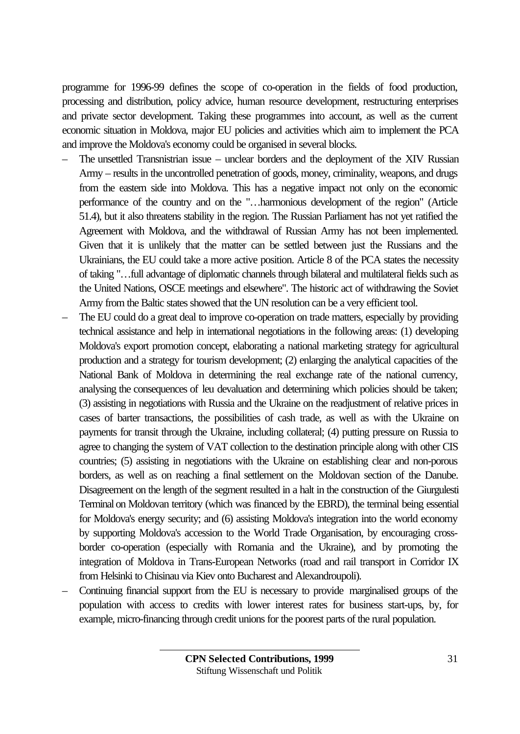programme for 1996-99 defines the scope of co-operation in the fields of food production, processing and distribution, policy advice, human resource development, restructuring enterprises and private sector development. Taking these programmes into account, as well as the current economic situation in Moldova, major EU policies and activities which aim to implement the PCA and improve the Moldova's economy could be organised in several blocks.

- The unsettled Transnistrian issue unclear borders and the deployment of the XIV Russian Army – results in the uncontrolled penetration of goods, money, criminality, weapons, and drugs from the eastern side into Moldova. This has a negative impact not only on the economic performance of the country and on the "…harmonious development of the region" (Article 51.4), but it also threatens stability in the region. The Russian Parliament has not yet ratified the Agreement with Moldova, and the withdrawal of Russian Army has not been implemented. Given that it is unlikely that the matter can be settled between just the Russians and the Ukrainians, the EU could take a more active position. Article 8 of the PCA states the necessity of taking "…full advantage of diplomatic channels through bilateral and multilateral fields such as the United Nations, OSCE meetings and elsewhere". The historic act of withdrawing the Soviet Army from the Baltic states showed that the UN resolution can be a very efficient tool.
- The EU could do a great deal to improve co-operation on trade matters, especially by providing technical assistance and help in international negotiations in the following areas: (1) developing Moldova's export promotion concept, elaborating a national marketing strategy for agricultural production and a strategy for tourism development; (2) enlarging the analytical capacities of the National Bank of Moldova in determining the real exchange rate of the national currency, analysing the consequences of leu devaluation and determining which policies should be taken; (3) assisting in negotiations with Russia and the Ukraine on the readjustment of relative prices in cases of barter transactions, the possibilities of cash trade, as well as with the Ukraine on payments for transit through the Ukraine, including collateral; (4) putting pressure on Russia to agree to changing the system of VAT collection to the destination principle along with other CIS countries; (5) assisting in negotiations with the Ukraine on establishing clear and non-porous borders, as well as on reaching a final settlement on the Moldovan section of the Danube. Disagreement on the length of the segment resulted in a halt in the construction of the Giurgulesti Terminal on Moldovan territory (which was financed by the EBRD), the terminal being essential for Moldova's energy security; and (6) assisting Moldova's integration into the world economy by supporting Moldova's accession to the World Trade Organisation, by encouraging crossborder co-operation (especially with Romania and the Ukraine), and by promoting the integration of Moldova in Trans-European Networks (road and rail transport in Corridor IX from Helsinki to Chisinau via Kiev onto Bucharest and Alexandroupoli).
- Continuing financial support from the EU is necessary to provide marginalised groups of the population with access to credits with lower interest rates for business start-ups, by, for example, micro-financing through credit unions for the poorest parts of the rural population.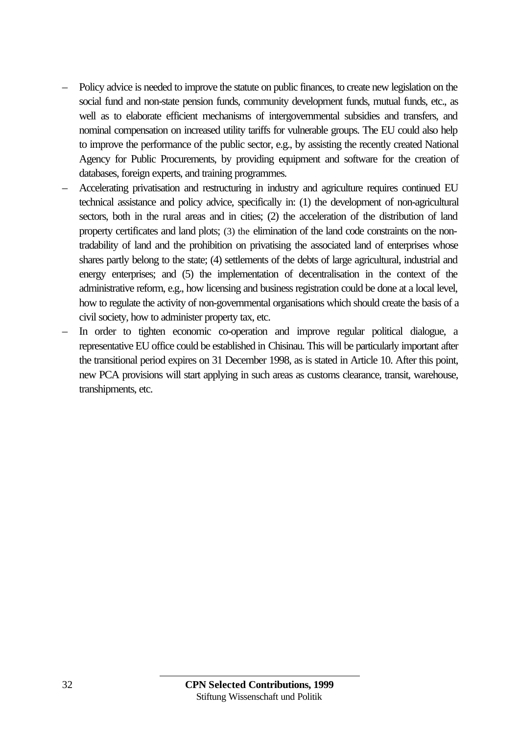- Policy advice is needed to improve the statute on public finances, to create new legislation on the social fund and non-state pension funds, community development funds, mutual funds, etc., as well as to elaborate efficient mechanisms of intergovernmental subsidies and transfers, and nominal compensation on increased utility tariffs for vulnerable groups. The EU could also help to improve the performance of the public sector, e.g., by assisting the recently created National Agency for Public Procurements, by providing equipment and software for the creation of databases, foreign experts, and training programmes.
- Accelerating privatisation and restructuring in industry and agriculture requires continued EU technical assistance and policy advice, specifically in: (1) the development of non-agricultural sectors, both in the rural areas and in cities; (2) the acceleration of the distribution of land property certificates and land plots; (3) the elimination of the land code constraints on the nontradability of land and the prohibition on privatising the associated land of enterprises whose shares partly belong to the state; (4) settlements of the debts of large agricultural, industrial and energy enterprises; and (5) the implementation of decentralisation in the context of the administrative reform, e.g., how licensing and business registration could be done at a local level, how to regulate the activity of non-governmental organisations which should create the basis of a civil society, how to administer property tax, etc.
- In order to tighten economic co-operation and improve regular political dialogue, a representative EU office could be established in Chisinau. This will be particularly important after the transitional period expires on 31 December 1998, as is stated in Article 10. After this point, new PCA provisions will start applying in such areas as customs clearance, transit, warehouse, transhipments, etc.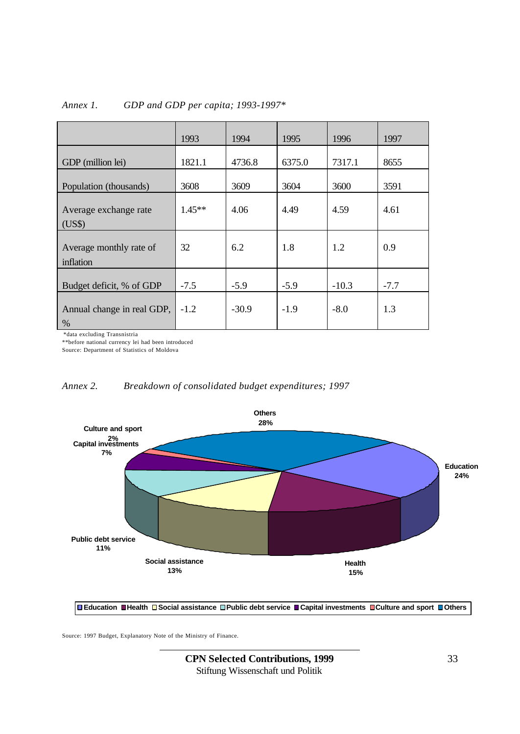|                                      | 1993     | 1994    | 1995   | 1996    | 1997   |
|--------------------------------------|----------|---------|--------|---------|--------|
| GDP (million lei)                    | 1821.1   | 4736.8  | 6375.0 | 7317.1  | 8655   |
| Population (thousands)               | 3608     | 3609    | 3604   | 3600    | 3591   |
| Average exchange rate<br>(US\$)      | $1.45**$ | 4.06    | 4.49   | 4.59    | 4.61   |
| Average monthly rate of<br>inflation | 32       | 6.2     | 1.8    | 1.2     | 0.9    |
| Budget deficit, % of GDP             | $-7.5$   | $-5.9$  | $-5.9$ | $-10.3$ | $-7.7$ |
| Annual change in real GDP,<br>%      | $-1.2$   | $-30.9$ | $-1.9$ | $-8.0$  | 1.3    |

#### *Annex 1. GDP and GDP per capita; 1993-1997\**

\*data excluding Transnistria

\*\*before national currency lei had been introduced

Source: Department of Statistics of Moldova

#### *Annex 2. Breakdown of consolidated budget expenditures; 1997*



**Education Health Social assistance Public debt service Capital investments Culture and sport Others**

Source: 1997 Budget, Explanatory Note of the Ministry of Finance.

**CPN Selected Contributions, 1999** 33 Stiftung Wissenschaft und Politik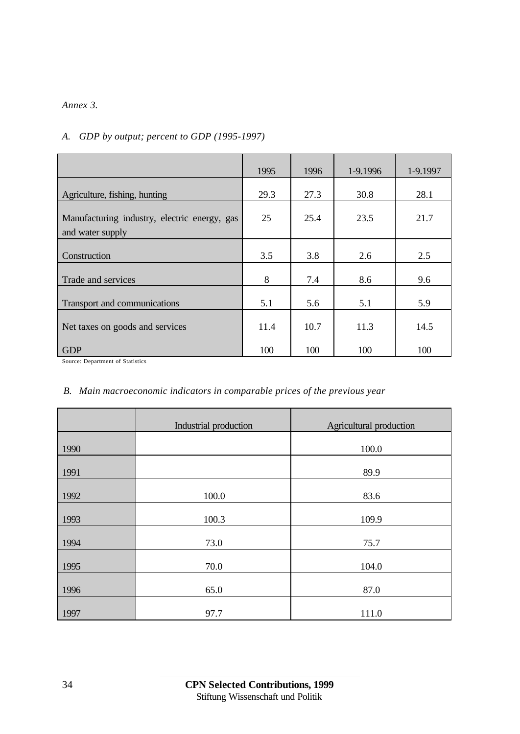#### *Annex 3.*

| A. GDP by output; percent to GDP (1995-1997) |
|----------------------------------------------|
|                                              |

|                                                                  | 1995 | 1996 | 1-9.1996 | 1-9.1997 |
|------------------------------------------------------------------|------|------|----------|----------|
| Agriculture, fishing, hunting                                    | 29.3 | 27.3 | 30.8     | 28.1     |
| Manufacturing industry, electric energy, gas<br>and water supply | 25   | 25.4 | 23.5     | 21.7     |
| Construction                                                     | 3.5  | 3.8  | 2.6      | 2.5      |
| Trade and services                                               | 8    | 7.4  | 8.6      | 9.6      |
| Transport and communications                                     | 5.1  | 5.6  | 5.1      | 5.9      |
| Net taxes on goods and services                                  | 11.4 | 10.7 | 11.3     | 14.5     |
| <b>GDP</b>                                                       | 100  | 100  | 100      | 100      |

Source: Department of Statistics

#### *B. Main macroeconomic indicators in comparable prices of the previous year*

|      | Industrial production | Agricultural production |
|------|-----------------------|-------------------------|
| 1990 |                       | 100.0                   |
| 1991 |                       | 89.9                    |
| 1992 | 100.0                 | 83.6                    |
| 1993 | 100.3                 | 109.9                   |
| 1994 | 73.0                  | 75.7                    |
| 1995 | 70.0                  | 104.0                   |
| 1996 | 65.0                  | 87.0                    |
| 1997 | 97.7                  | 111.0                   |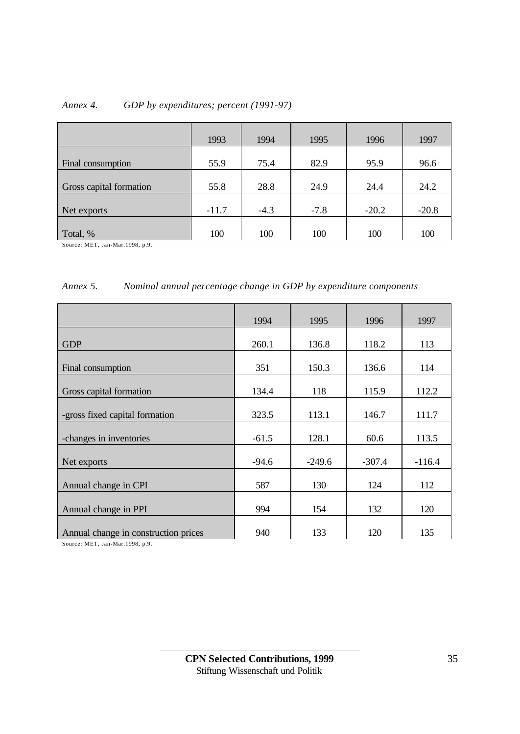| Annex 4. | GDP by expenditures; percent (1991-97) |  |
|----------|----------------------------------------|--|
|          |                                        |  |

|                         | 1993    | 1994   | 1995   | 1996    | 1997    |
|-------------------------|---------|--------|--------|---------|---------|
| Final consumption       | 55.9    | 75.4   | 82.9   | 95.9    | 96.6    |
| Gross capital formation | 55.8    | 28.8   | 24.9   | 24.4    | 24.2    |
| Net exports             | $-11.7$ | $-4.3$ | $-7.8$ | $-20.2$ | $-20.8$ |
| Total, %                | 100     | 100    | 100    | 100     | 100     |

Source: MET, Jan-Mar.1998, p.9.

#### *Annex 5. Nominal annual percentage change in GDP by expenditure components*

|                                      | 1994    | 1995     | 1996     | 1997     |
|--------------------------------------|---------|----------|----------|----------|
|                                      |         |          |          |          |
| <b>GDP</b>                           | 260.1   | 136.8    | 118.2    | 113      |
|                                      |         |          |          |          |
| Final consumption                    | 351     | 150.3    | 136.6    | 114      |
|                                      |         |          |          |          |
| Gross capital formation              | 134.4   | 118      | 115.9    | 112.2    |
|                                      |         |          |          |          |
| -gross fixed capital formation       | 323.5   | 113.1    | 146.7    | 111.7    |
|                                      |         |          |          |          |
| -changes in inventories              | $-61.5$ | 128.1    | 60.6     | 113.5    |
|                                      |         |          |          |          |
| Net exports                          | $-94.6$ | $-249.6$ | $-307.4$ | $-116.4$ |
|                                      |         |          |          |          |
| Annual change in CPI                 | 587     | 130      | 124      | 112      |
|                                      |         |          |          |          |
| Annual change in PPI                 | 994     | 154      | 132      | 120      |
|                                      |         |          |          |          |
| Annual change in construction prices | 940     | 133      | 120      | 135      |

Source: MET, Jan-Mar.1998, p.9.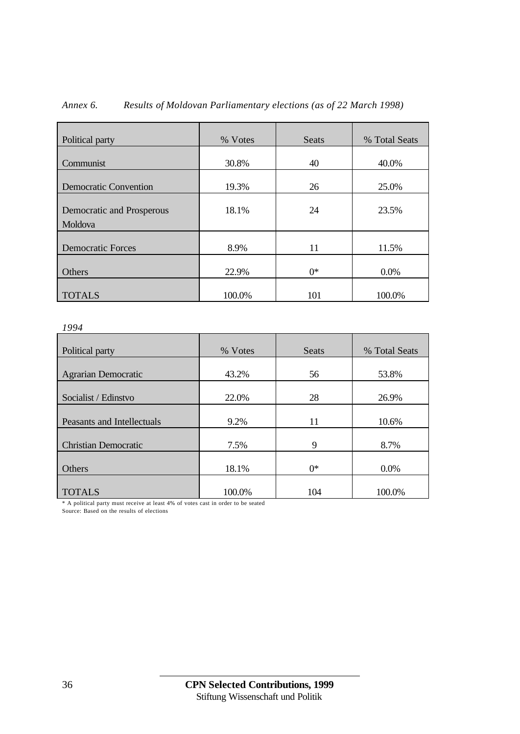| Political party                      | % Votes | Seats | % Total Seats |
|--------------------------------------|---------|-------|---------------|
| Communist                            | 30.8%   | 40    | 40.0%         |
| <b>Democratic Convention</b>         | 19.3%   | 26    | 25.0%         |
| Democratic and Prosperous<br>Moldova | 18.1%   | 24    | 23.5%         |
| <b>Democratic Forces</b>             | 8.9%    | 11    | 11.5%         |
| Others                               | 22.9%   | $0^*$ | 0.0%          |
| <b>TOTALS</b>                        | 100.0%  | 101   | 100.0%        |

#### *Annex 6. Results of Moldovan Parliamentary elections (as of 22 March 1998)*

#### *1994*

| <i>1 / / l</i>              |         |       |               |
|-----------------------------|---------|-------|---------------|
| Political party             | % Votes | Seats | % Total Seats |
| <b>Agrarian Democratic</b>  | 43.2%   | 56    | 53.8%         |
| Socialist / Edinstvo        | 22.0%   | 28    | 26.9%         |
| Peasants and Intellectuals  | 9.2%    | 11    | 10.6%         |
| <b>Christian Democratic</b> | 7.5%    | 9     | 8.7%          |
| Others                      | 18.1%   | $0^*$ | 0.0%          |
| <b>TOTALS</b>               | 100.0%  | 104   | 100.0%        |

\* A political party must receive at least 4% of votes cast in order to be seated

Source: Based on the results of elections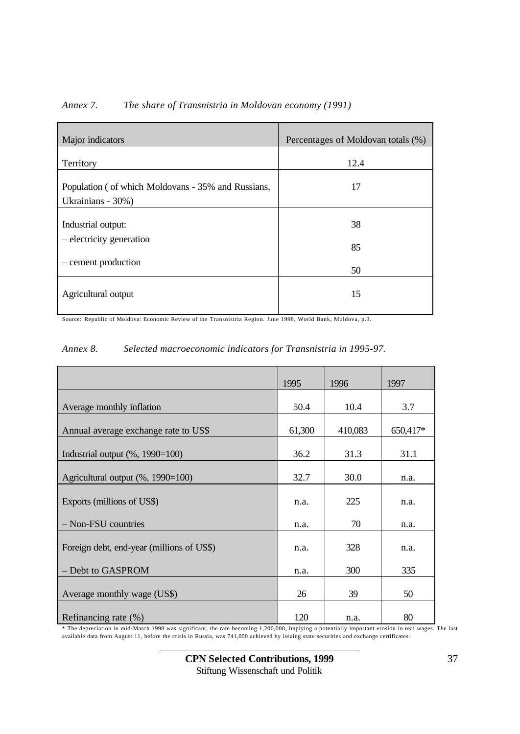| Major indicators                                                        | Percentages of Moldovan totals (%) |
|-------------------------------------------------------------------------|------------------------------------|
| Territory                                                               | 12.4                               |
| Population (of which Moldovans - 35% and Russians,<br>Ukrainians - 30%) | 17                                 |
| Industrial output:                                                      | 38                                 |
| - electricity generation                                                | 85                                 |
| – cement production                                                     | 50                                 |
| Agricultural output                                                     | 15                                 |

*Annex 7. The share of Transnistria in Moldovan economy (1991)*

Source: Republic of Moldova: Economic Review of the Transnistria Region. June 1998, World Bank, Moldova, p.3.

|                                           | 1995   | 1996    | 1997     |
|-------------------------------------------|--------|---------|----------|
| Average monthly inflation                 | 50.4   | 10.4    | 3.7      |
| Annual average exchange rate to US\$      | 61,300 | 410,083 | 650,417* |
| Industrial output $(\%$ , 1990=100)       | 36.2   | 31.3    | 31.1     |
| Agricultural output (%, 1990=100)         | 32.7   | 30.0    | n.a.     |
| Exports (millions of US\$)                | n.a.   | 225     | n.a.     |
| - Non-FSU countries                       | n.a.   | 70      | n.a.     |
| Foreign debt, end-year (millions of US\$) | n.a.   | 328     | n.a.     |
| - Debt to GASPROM                         | n.a.   | 300     | 335      |
| Average monthly wage (US\$)               | 26     | 39      | 50       |
| Refinancing rate (%)                      | 120    | n.a.    | 80       |

\* The depreciation in mid-March 1998 was significant, the rate becoming 1,200,000, implying a potentially important erosion in real wages. The last available data from August 11, before the crisis in Russia, was 741,000 achieved by issuing state securities and exchange certificates.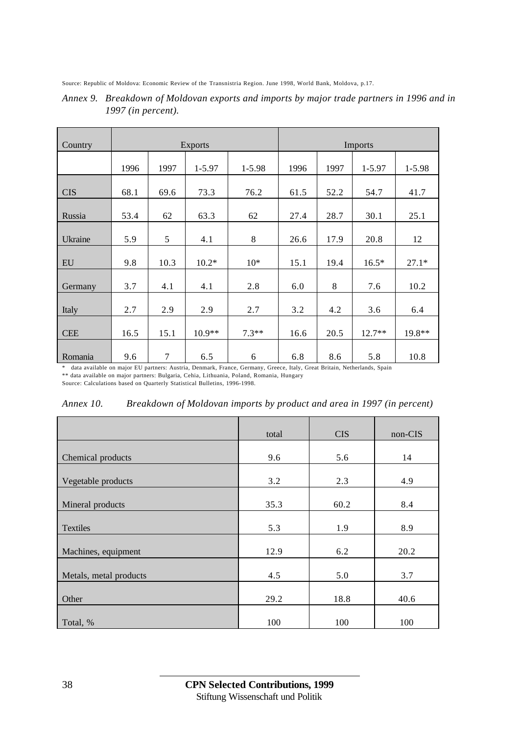Source: Republic of Moldova: Economic Review of the Transnistria Region. June 1998, World Bank, Moldova, p.17.

| Country    | <b>Exports</b> |                |          |         |      | Imports |          |         |
|------------|----------------|----------------|----------|---------|------|---------|----------|---------|
|            | 1996           | 1997           | 1-5.97   | 1-5.98  | 1996 | 1997    | 1-5.97   | 1-5.98  |
| <b>CIS</b> | 68.1           | 69.6           | 73.3     | 76.2    | 61.5 | 52.2    | 54.7     | 41.7    |
| Russia     | 53.4           | 62             | 63.3     | 62      | 27.4 | 28.7    | 30.1     | 25.1    |
| Ukraine    | 5.9            | 5              | 4.1      | 8       | 26.6 | 17.9    | 20.8     | 12      |
| EU         | 9.8            | 10.3           | $10.2*$  | $10*$   | 15.1 | 19.4    | $16.5*$  | $27.1*$ |
| Germany    | 3.7            | 4.1            | 4.1      | 2.8     | 6.0  | 8       | 7.6      | 10.2    |
| Italy      | 2.7            | 2.9            | 2.9      | 2.7     | 3.2  | 4.2     | 3.6      | 6.4     |
| <b>CEE</b> | 16.5           | 15.1           | $10.9**$ | $7.3**$ | 16.6 | 20.5    | $12.7**$ | 19.8**  |
| Romania    | 9.6            | $\overline{7}$ | 6.5      | 6       | 6.8  | 8.6     | 5.8      | 10.8    |

*Annex 9. Breakdown of Moldovan exports and imports by major trade partners in 1996 and in 1997 (in percent).*

\* data available on major EU partners: Austria, Denmark, France, Germany, Greece, Italy, Great Britain, Netherlands, Spain \*\* data available on major partners: Bulgaria, Cehia, Lithuania, Poland, Romania, Hungary

Source: Calculations based on Quarterly Statistical Bulletins, 1996-1998.

| Annex 10. | Breakdown of Moldovan imports by product and area in 1997 (in percent) |  |  |
|-----------|------------------------------------------------------------------------|--|--|
|-----------|------------------------------------------------------------------------|--|--|

|                        | total | <b>CIS</b> | non-CIS |
|------------------------|-------|------------|---------|
| Chemical products      | 9.6   | 5.6        | 14      |
| Vegetable products     | 3.2   | 2.3        | 4.9     |
| Mineral products       | 35.3  | 60.2       | 8.4     |
| <b>Textiles</b>        | 5.3   | 1.9        | 8.9     |
| Machines, equipment    | 12.9  | 6.2        | 20.2    |
| Metals, metal products | 4.5   | 5.0        | 3.7     |
| Other                  | 29.2  | 18.8       | 40.6    |
| Total, %               | 100   | 100        | 100     |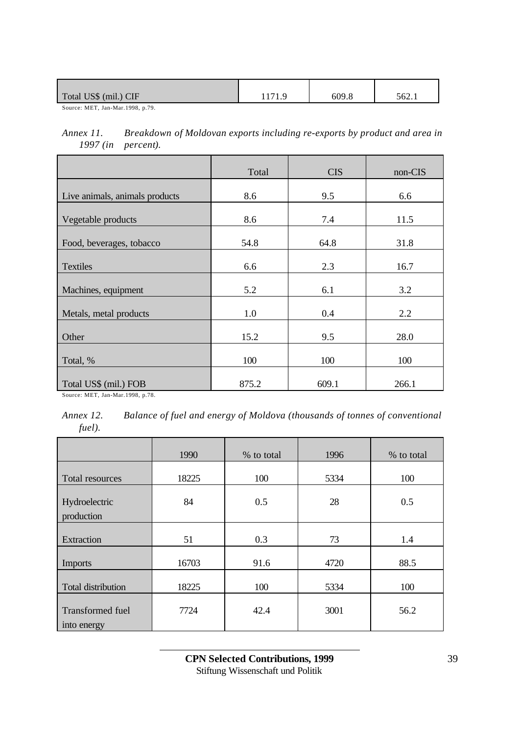| Total US\$ (mil.) CIF          | 609.8 | 562.1 |
|--------------------------------|-------|-------|
| $\alpha$ <b>MEDIAL</b> 1000 50 |       |       |

Source: MET, Jan-Mar.1998, p.79.

*Annex 11. Breakdown of Moldovan exports including re-exports by product and area in 1997 (in percent).*

|                                | Total | <b>CIS</b> | non-CIS |
|--------------------------------|-------|------------|---------|
| Live animals, animals products | 8.6   | 9.5        | 6.6     |
| Vegetable products             | 8.6   | 7.4        | 11.5    |
| Food, beverages, tobacco       | 54.8  | 64.8       | 31.8    |
| <b>Textiles</b>                | 6.6   | 2.3        | 16.7    |
| Machines, equipment            | 5.2   | 6.1        | 3.2     |
| Metals, metal products         | 1.0   | 0.4        | 2.2     |
| Other                          | 15.2  | 9.5        | 28.0    |
| Total, %                       | 100   | 100        | 100     |
| Total US\$ (mil.) FOB          | 875.2 | 609.1      | 266.1   |

Source: MET, Jan-Mar.1998, p.78.

*Annex 12. Balance of fuel and energy of Moldova (thousands of tonnes of conventional fuel).*

|                                        | 1990  | % to total | 1996 | % to total |
|----------------------------------------|-------|------------|------|------------|
| Total resources                        | 18225 | 100        | 5334 | 100        |
| Hydroelectric<br>production            | 84    | 0.5        | 28   | 0.5        |
| Extraction                             | 51    | 0.3        | 73   | 1.4        |
| <b>Imports</b>                         | 16703 | 91.6       | 4720 | 88.5       |
| Total distribution                     | 18225 | 100        | 5334 | 100        |
| <b>Transformed</b> fuel<br>into energy | 7724  | 42.4       | 3001 | 56.2       |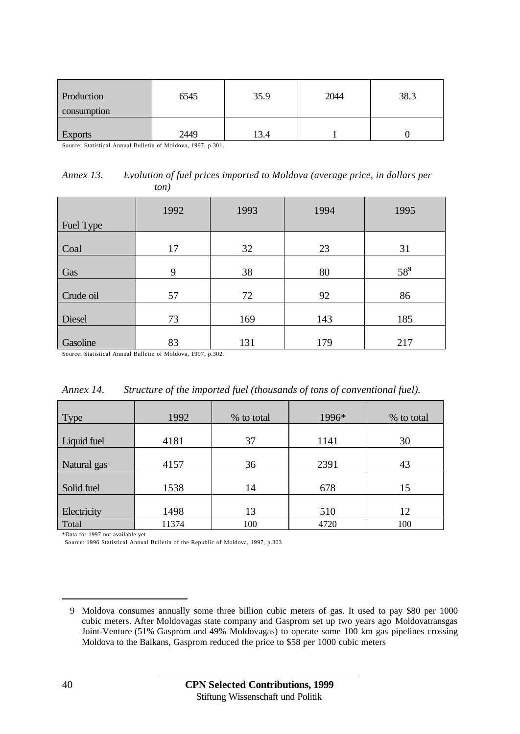| Production<br>consumption | 6545 | 35.9 | 2044 | 38.3 |
|---------------------------|------|------|------|------|
| <b>Exports</b>            | 2449 | 3.4  |      |      |

Source: Statistical Annual Bulletin of Moldova, 1997, p.301.

| Annex 13. | Evolution of fuel prices imported to Moldova (average price, in dollars per |
|-----------|-----------------------------------------------------------------------------|
|           | ton)                                                                        |

| Fuel Type | 1992 | 1993 | 1994 | 1995   |
|-----------|------|------|------|--------|
| Coal      | 17   | 32   | 23   | 31     |
| Gas       | 9    | 38   | 80   | $58^9$ |
| Crude oil | 57   | 72   | 92   | 86     |
| Diesel    | 73   | 169  | 143  | 185    |
| Gasoline  | 83   | 131  | 179  | 217    |

Source: Statistical Annual Bulletin of Moldova, 1997, p.302.

| Annex 14. |  | Structure of the imported fuel (thousands of tons of conventional fuel). |  |
|-----------|--|--------------------------------------------------------------------------|--|
|           |  |                                                                          |  |

| Type        | 1992  | % to total | 1996* | % to total |
|-------------|-------|------------|-------|------------|
| Liquid fuel | 4181  | 37         | 1141  | 30         |
| Natural gas | 4157  | 36         | 2391  | 43         |
| Solid fuel  | 1538  | 14         | 678   | 15         |
| Electricity | 1498  | 13         | 510   | 12         |
| Total       | 11374 | 100        | 4720  | 100        |

\*Data for 1997 not available yet

Source: 1996 Statistical Annual Bulletin of the Republic of Moldova, 1997, p.303

<sup>9</sup> Moldova consumes annually some three billion cubic meters of gas. It used to pay \$80 per 1000 cubic meters. After Moldovagas state company and Gasprom set up two years ago Moldovatransgas Joint-Venture (51% Gasprom and 49% Moldovagas) to operate some 100 km gas pipelines crossing Moldova to the Balkans, Gasprom reduced the price to \$58 per 1000 cubic meters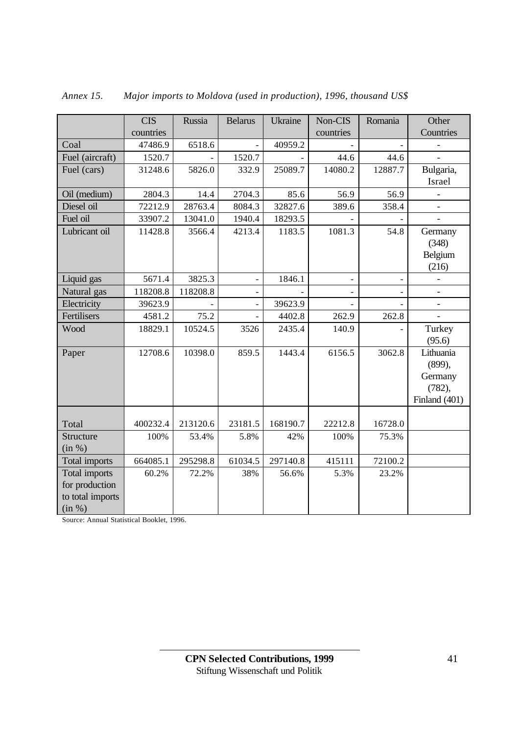|                                                               | <b>CIS</b> | Russia   | <b>Belarus</b>           | <b>Ukraine</b> | Non-CIS   | Romania | Other                                                     |
|---------------------------------------------------------------|------------|----------|--------------------------|----------------|-----------|---------|-----------------------------------------------------------|
|                                                               | countries  |          |                          |                | countries |         | Countries                                                 |
| Coal                                                          | 47486.9    | 6518.6   |                          | 40959.2        |           |         |                                                           |
| Fuel (aircraft)                                               | 1520.7     |          | 1520.7                   |                | 44.6      | 44.6    |                                                           |
| Fuel (cars)                                                   | 31248.6    | 5826.0   | 332.9                    | 25089.7        | 14080.2   | 12887.7 | Bulgaria,                                                 |
|                                                               |            |          |                          |                |           |         | Israel                                                    |
| Oil (medium)                                                  | 2804.3     | 14.4     | 2704.3                   | 85.6           | 56.9      | 56.9    |                                                           |
| Diesel oil                                                    | 72212.9    | 28763.4  | 8084.3                   | 32827.6        | 389.6     | 358.4   | $\overline{\phantom{a}}$                                  |
| Fuel oil                                                      | 33907.2    | 13041.0  | 1940.4                   | 18293.5        |           |         |                                                           |
| Lubricant oil                                                 | 11428.8    | 3566.4   | 4213.4                   | 1183.5         | 1081.3    | 54.8    | Germany<br>(348)<br>Belgium<br>(216)                      |
| Liquid gas                                                    | 5671.4     | 3825.3   | $\overline{a}$           | 1846.1         |           |         | $\overline{\phantom{0}}$                                  |
| Natural gas                                                   | 118208.8   | 118208.8 | $\overline{\phantom{0}}$ |                |           |         | $\overline{a}$                                            |
| Electricity                                                   | 39623.9    |          | $\overline{a}$           | 39623.9        |           |         |                                                           |
| Fertilisers                                                   | 4581.2     | 75.2     | $\overline{a}$           | 4402.8         | 262.9     | 262.8   |                                                           |
| Wood                                                          | 18829.1    | 10524.5  | 3526                     | 2435.4         | 140.9     |         | Turkey<br>(95.6)                                          |
| Paper                                                         | 12708.6    | 10398.0  | 859.5                    | 1443.4         | 6156.5    | 3062.8  | Lithuania<br>(899),<br>Germany<br>(782),<br>Finland (401) |
| Total                                                         | 400232.4   | 213120.6 | 23181.5                  | 168190.7       | 22212.8   | 16728.0 |                                                           |
| <b>Structure</b><br>(in %)                                    | 100%       | 53.4%    | 5.8%                     | 42%            | 100%      | 75.3%   |                                                           |
| Total imports                                                 | 664085.1   | 295298.8 | 61034.5                  | 297140.8       | 415111    | 72100.2 |                                                           |
| Total imports<br>for production<br>to total imports<br>(in %) | 60.2%      | 72.2%    | 38%                      | 56.6%          | 5.3%      | 23.2%   |                                                           |

*Annex 15. Major imports to Moldova (used in production), 1996, thousand US\$*

Source: Annual Statistical Booklet, 1996.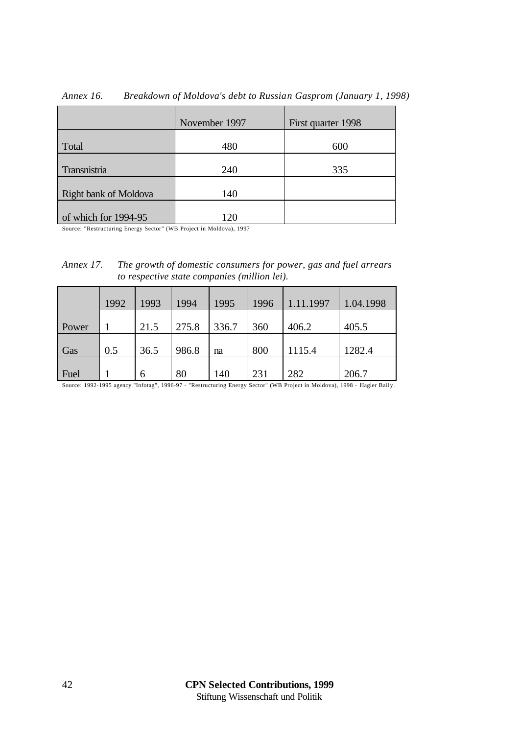|                       | November 1997 | First quarter 1998 |
|-----------------------|---------------|--------------------|
| Total                 | 480           | 600                |
| Transnistria          | 240           | 335                |
| Right bank of Moldova | 140           |                    |
| of which for 1994-95  | 120           |                    |

*Annex 16. Breakdown of Moldova's debt to Russian Gasprom (January 1, 1998)*

Source: "Restructuring Energy Sector" (WB Project in Moldova), 1997

| Annex 17. | The growth of domestic consumers for power, gas and fuel arrears |
|-----------|------------------------------------------------------------------|
|           | to respective state companies (million lei).                     |

|       | 1992 | 1993 | 1994  | 1995  | 1996 | 1.11.1997 | 1.04.1998 |
|-------|------|------|-------|-------|------|-----------|-----------|
| Power |      | 21.5 | 275.8 | 336.7 | 360  | 406.2     | 405.5     |
| Gas   | 0.5  | 36.5 | 986.8 | na    | 800  | 1115.4    | 1282.4    |
| Fuel  |      | 6    | 80    | 140   | 231  | 282       | 206.7     |

Source: 1992-1995 agency "Infotag", 1996-97 - "Restructuring Energy Sector" (WB Project in Moldova), 1998 - Hagler Baily.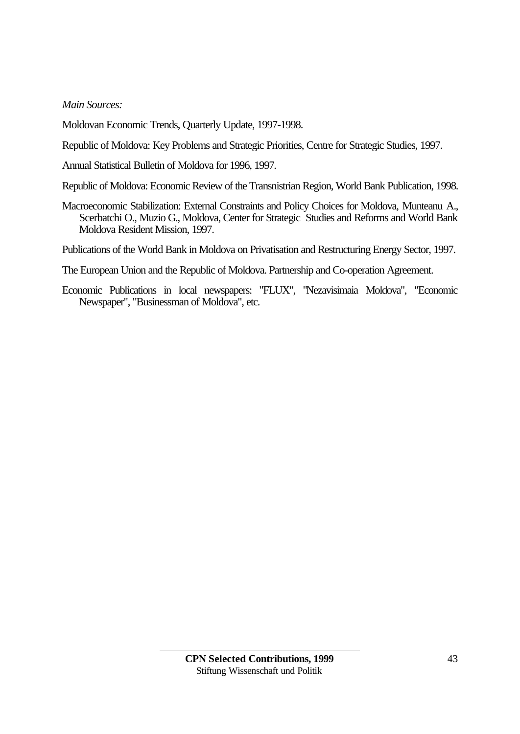*Main Sources:*

Moldovan Economic Trends, Quarterly Update, 1997-1998.

Republic of Moldova: Key Problems and Strategic Priorities, Centre for Strategic Studies, 1997.

Annual Statistical Bulletin of Moldova for 1996, 1997.

Republic of Moldova: Economic Review of the Transnistrian Region, World Bank Publication, 1998.

Macroeconomic Stabilization: External Constraints and Policy Choices for Moldova, Munteanu A., Scerbatchi O., Muzio G., Moldova, Center for Strategic Studies and Reforms and World Bank Moldova Resident Mission, 1997.

Publications of the World Bank in Moldova on Privatisation and Restructuring Energy Sector, 1997.

The European Union and the Republic of Moldova. Partnership and Co-operation Agreement.

Economic Publications in local newspapers: "FLUX", "Nezavisimaia Moldova", "Economic Newspaper", "Businessman of Moldova", etc.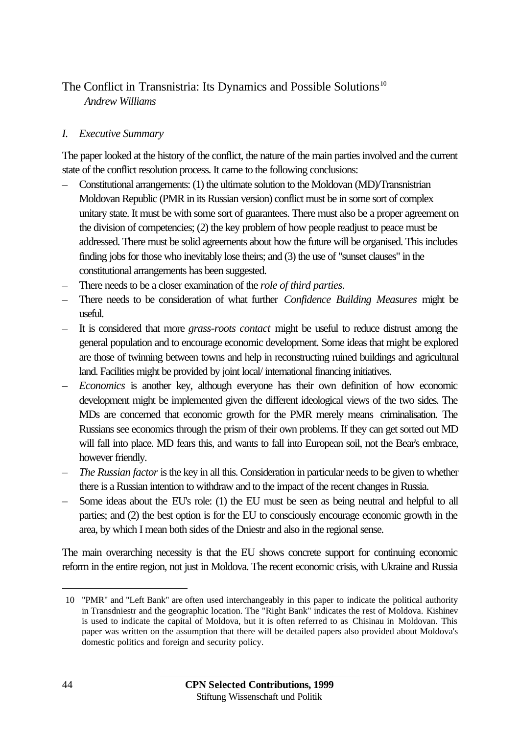# The Conflict in Transnistria: Its Dynamics and Possible Solutions<sup>10</sup> *Andrew Williams*

### *I. Executive Summary*

The paper looked at the history of the conflict, the nature of the main parties involved and the current state of the conflict resolution process. It came to the following conclusions:

- Constitutional arrangements: (1) the ultimate solution to the Moldovan (MD)/Transnistrian Moldovan Republic (PMR in its Russian version) conflict must be in some sort of complex unitary state. It must be with some sort of guarantees. There must also be a proper agreement on the division of competencies; (2) the key problem of how people readjust to peace must be addressed. There must be solid agreements about how the future will be organised. This includes finding jobs for those who inevitably lose theirs; and (3) the use of "sunset clauses" in the constitutional arrangements has been suggested.
- There needs to be a closer examination of the *role of third parties*.
- There needs to be consideration of what further *Confidence Building Measures* might be useful.
- It is considered that more *grass-roots contact* might be useful to reduce distrust among the general population and to encourage economic development. Some ideas that might be explored are those of twinning between towns and help in reconstructing ruined buildings and agricultural land. Facilities might be provided by joint local/ international financing initiatives.
- *Economics* is another key, although everyone has their own definition of how economic development might be implemented given the different ideological views of the two sides. The MDs are concerned that economic growth for the PMR merely means criminalisation. The Russians see economics through the prism of their own problems. If they can get sorted out MD will fall into place. MD fears this, and wants to fall into European soil, not the Bear's embrace, however friendly.
- *The Russian factor* is the key in all this. Consideration in particular needs to be given to whether there is a Russian intention to withdraw and to the impact of the recent changes in Russia.
- Some ideas about the EU's role: (1) the EU must be seen as being neutral and helpful to all parties; and (2) the best option is for the EU to consciously encourage economic growth in the area, by which I mean both sides of the Dniestr and also in the regional sense.

The main overarching necessity is that the EU shows concrete support for continuing economic reform in the entire region, not just in Moldova. The recent economic crisis, with Ukraine and Russia

<sup>10</sup> "PMR" and "Left Bank" are often used interchangeably in this paper to indicate the political authority in Transdniestr and the geographic location. The "Right Bank" indicates the rest of Moldova. Kishinev is used to indicate the capital of Moldova, but it is often referred to as Chisinau in Moldovan. This paper was written on the assumption that there will be detailed papers also provided about Moldova's domestic politics and foreign and security policy.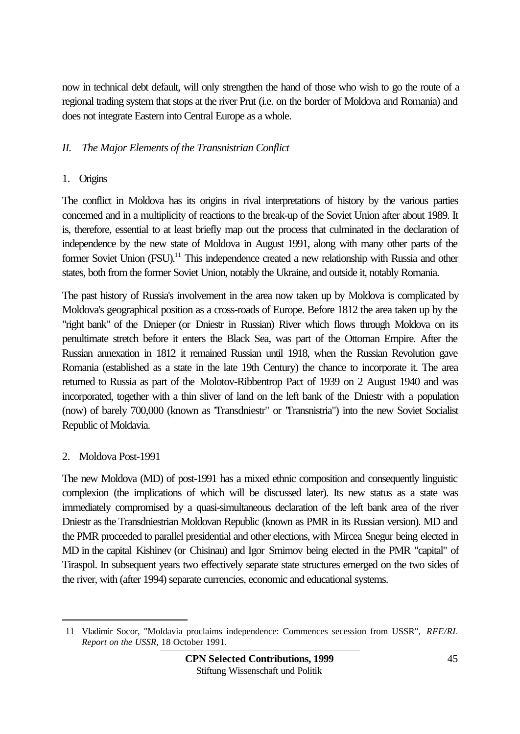now in technical debt default, will only strengthen the hand of those who wish to go the route of a regional trading system that stops at the river Prut (i.e. on the border of Moldova and Romania) and does not integrate Eastern into Central Europe as a whole.

## *II. The Major Elements of the Transnistrian Conflict*

### 1. Origins

The conflict in Moldova has its origins in rival interpretations of history by the various parties concerned and in a multiplicity of reactions to the break-up of the Soviet Union after about 1989. It is, therefore, essential to at least briefly map out the process that culminated in the declaration of independence by the new state of Moldova in August 1991, along with many other parts of the former Soviet Union (FSU).<sup>11</sup> This independence created a new relationship with Russia and other states, both from the former Soviet Union, notably the Ukraine, and outside it, notably Romania.

The past history of Russia's involvement in the area now taken up by Moldova is complicated by Moldova's geographical position as a cross-roads of Europe. Before 1812 the area taken up by the "right bank" of the Dnieper (or Dniestr in Russian) River which flows through Moldova on its penultimate stretch before it enters the Black Sea, was part of the Ottoman Empire. After the Russian annexation in 1812 it remained Russian until 1918, when the Russian Revolution gave Romania (established as a state in the late 19th Century) the chance to incorporate it. The area returned to Russia as part of the Molotov-Ribbentrop Pact of 1939 on 2 August 1940 and was incorporated, together with a thin sliver of land on the left bank of the Dniestr with a population (now) of barely 700,000 (known as "Transdniestr" or "Transnistria") into the new Soviet Socialist Republic of Moldavia.

#### 2. Moldova Post-1991

 $\overline{a}$ 

The new Moldova (MD) of post-1991 has a mixed ethnic composition and consequently linguistic complexion (the implications of which will be discussed later). Its new status as a state was immediately compromised by a quasi-simultaneous declaration of the left bank area of the river Dniestr as the Transdniestrian Moldovan Republic (known as PMR in its Russian version). MD and the PMR proceeded to parallel presidential and other elections, with Mircea Snegur being elected in MD in the capital Kishinev (or Chisinau) and Igor Smirnov being elected in the PMR "capital" of Tiraspol. In subsequent years two effectively separate state structures emerged on the two sides of the river, with (after 1994) separate currencies, economic and educational systems.

<sup>11</sup> Vladimir Socor, "Moldavia proclaims independence: Commences secession from USSR", *RFE/RL Report on the USSR*, 18 October 1991.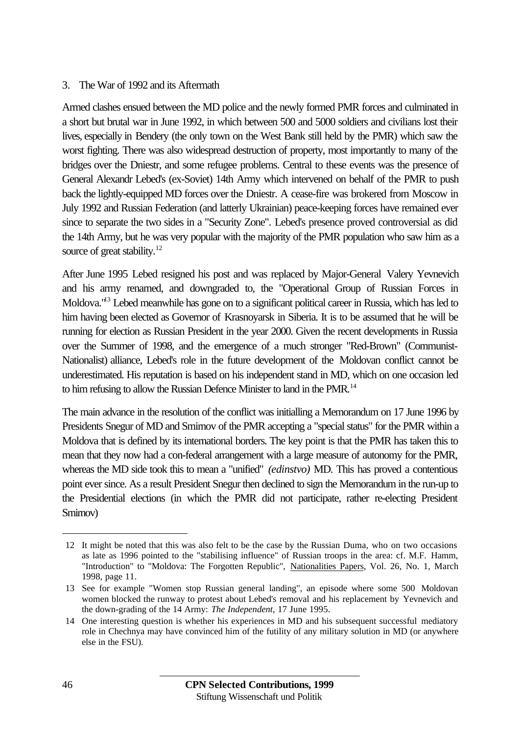#### 3. The War of 1992 and its Aftermath

Armed clashes ensued between the MD police and the newly formed PMR forces and culminated in a short but brutal war in June 1992, in which between 500 and 5000 soldiers and civilians lost their lives, especially in Bendery (the only town on the West Bank still held by the PMR) which saw the worst fighting. There was also widespread destruction of property, most importantly to many of the bridges over the Dniestr, and some refugee problems. Central to these events was the presence of General Alexandr Lebed's (ex-Soviet) 14th Army which intervened on behalf of the PMR to push back the lightly-equipped MD forces over the Dniestr. A cease-fire was brokered from Moscow in July 1992 and Russian Federation (and latterly Ukrainian) peace-keeping forces have remained ever since to separate the two sides in a "Security Zone". Lebed's presence proved controversial as did the 14th Army, but he was very popular with the majority of the PMR population who saw him as a source of great stability.<sup>12</sup>

After June 1995 Lebed resigned his post and was replaced by Major-General Valery Yevnevich and his army renamed, and downgraded to, the "Operational Group of Russian Forces in Moldova."<sup>13</sup> Lebed meanwhile has gone on to a significant political career in Russia, which has led to him having been elected as Governor of Krasnoyarsk in Siberia. It is to be assumed that he will be running for election as Russian President in the year 2000. Given the recent developments in Russia over the Summer of 1998, and the emergence of a much stronger "Red-Brown" (Communist-Nationalist) alliance, Lebed's role in the future development of the Moldovan conflict cannot be underestimated. His reputation is based on his independent stand in MD, which on one occasion led to him refusing to allow the Russian Defence Minister to land in the PMR.<sup>14</sup>

The main advance in the resolution of the conflict was initialling a Memorandum on 17 June 1996 by Presidents Snegur of MD and Smirnov of the PMR accepting a "special status" for the PMR within a Moldova that is defined by its international borders. The key point is that the PMR has taken this to mean that they now had a con-federal arrangement with a large measure of autonomy for the PMR, whereas the MD side took this to mean a "unified" *(edinstvo)* MD. This has proved a contentious point ever since. As a result President Snegur then declined to sign the Memorandum in the run-up to the Presidential elections (in which the PMR did not participate, rather re-electing President Smirnov)

<sup>12</sup> It might be noted that this was also felt to be the case by the Russian Duma, who on two occasions as late as 1996 pointed to the "stabilising influence" of Russian troops in the area: cf. M.F. Hamm, "Introduction" to "Moldova: The Forgotten Republic", Nationalities Papers, Vol. 26, No. 1, March 1998, page 11.

<sup>13</sup> See for example "Women stop Russian general landing", an episode where some 500 Moldovan women blocked the runway to protest about Lebed's removal and his replacement by Yevnevich and the down-grading of the 14 Army: *The Independent*, 17 June 1995.

<sup>14</sup> One interesting question is whether his experiences in MD and his subsequent successful mediatory role in Chechnya may have convinced him of the futility of any military solution in MD (or anywhere else in the FSU).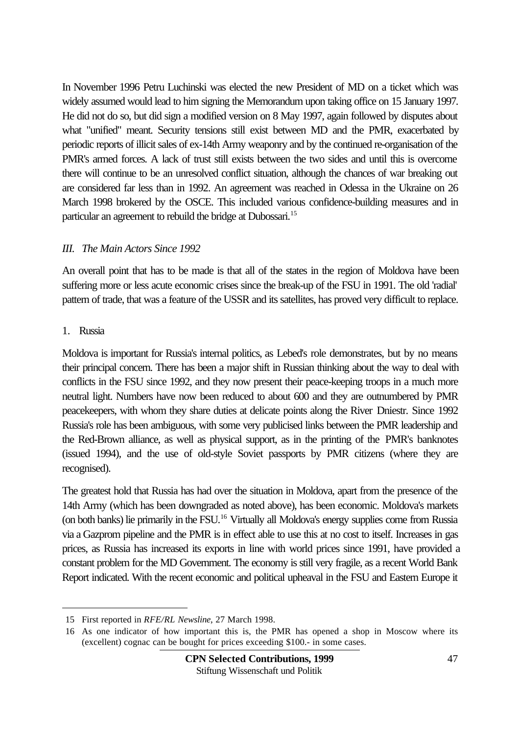In November 1996 Petru Luchinski was elected the new President of MD on a ticket which was widely assumed would lead to him signing the Memorandum upon taking office on 15 January 1997. He did not do so, but did sign a modified version on 8 May 1997, again followed by disputes about what "unified" meant. Security tensions still exist between MD and the PMR, exacerbated by periodic reports of illicit sales of ex-14th Army weaponry and by the continued re-organisation of the PMR's armed forces. A lack of trust still exists between the two sides and until this is overcome there will continue to be an unresolved conflict situation, although the chances of war breaking out are considered far less than in 1992. An agreement was reached in Odessa in the Ukraine on 26 March 1998 brokered by the OSCE. This included various confidence-building measures and in particular an agreement to rebuild the bridge at Dubossari.<sup>15</sup>

#### *III. The Main Actors Since 1992*

An overall point that has to be made is that all of the states in the region of Moldova have been suffering more or less acute economic crises since the break-up of the FSU in 1991. The old 'radial' pattern of trade, that was a feature of the USSR and its satellites, has proved very difficult to replace.

### 1. Russia

 $\overline{a}$ 

Moldova is important for Russia's internal politics, as Lebed's role demonstrates, but by no means their principal concern. There has been a major shift in Russian thinking about the way to deal with conflicts in the FSU since 1992, and they now present their peace-keeping troops in a much more neutral light. Numbers have now been reduced to about 600 and they are outnumbered by PMR peacekeepers, with whom they share duties at delicate points along the River Dniestr. Since 1992 Russia's role has been ambiguous, with some very publicised links between the PMR leadership and the Red-Brown alliance, as well as physical support, as in the printing of the PMR's banknotes (issued 1994), and the use of old-style Soviet passports by PMR citizens (where they are recognised).

The greatest hold that Russia has had over the situation in Moldova, apart from the presence of the 14th Army (which has been downgraded as noted above), has been economic. Moldova's markets (on both banks) lie primarily in the FSU.<sup>16</sup> Virtually all Moldova's energy supplies come from Russia via a Gazprom pipeline and the PMR is in effect able to use this at no cost to itself. Increases in gas prices, as Russia has increased its exports in line with world prices since 1991, have provided a constant problem for the MD Government. The economy is still very fragile, as a recent World Bank Report indicated. With the recent economic and political upheaval in the FSU and Eastern Europe it

<sup>15</sup> First reported in *RFE/RL Newsline*, 27 March 1998.

<sup>16</sup> As one indicator of how important this is, the PMR has opened a shop in Moscow where its (excellent) cognac can be bought for prices exceeding \$100.- in some cases.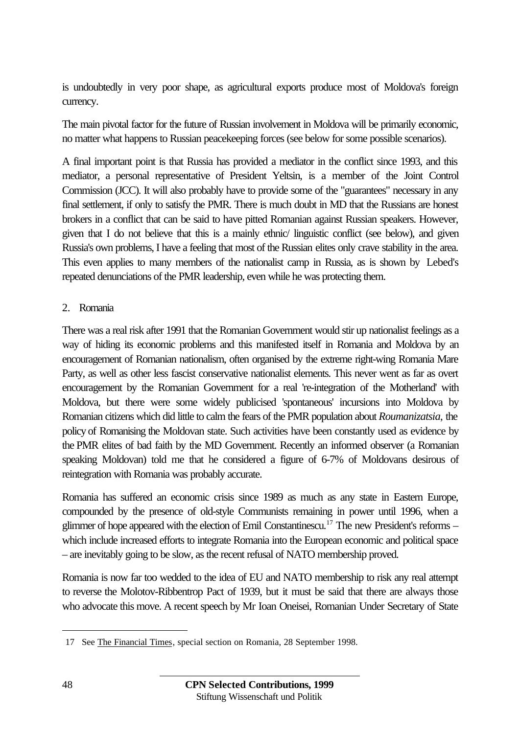is undoubtedly in very poor shape, as agricultural exports produce most of Moldova's foreign currency.

The main pivotal factor for the future of Russian involvement in Moldova will be primarily economic, no matter what happens to Russian peacekeeping forces (see below for some possible scenarios).

A final important point is that Russia has provided a mediator in the conflict since 1993, and this mediator, a personal representative of President Yeltsin, is a member of the Joint Control Commission (JCC). It will also probably have to provide some of the "guarantees" necessary in any final settlement, if only to satisfy the PMR. There is much doubt in MD that the Russians are honest brokers in a conflict that can be said to have pitted Romanian against Russian speakers. However, given that I do not believe that this is a mainly ethnic/ linguistic conflict (see below), and given Russia's own problems, I have a feeling that most of the Russian elites only crave stability in the area. This even applies to many members of the nationalist camp in Russia, as is shown by Lebed's repeated denunciations of the PMR leadership, even while he was protecting them.

#### 2. Romania

There was a real risk after 1991 that the Romanian Government would stir up nationalist feelings as a way of hiding its economic problems and this manifested itself in Romania and Moldova by an encouragement of Romanian nationalism, often organised by the extreme right-wing Romania Mare Party, as well as other less fascist conservative nationalist elements. This never went as far as overt encouragement by the Romanian Government for a real 're-integration of the Motherland' with Moldova, but there were some widely publicised 'spontaneous' incursions into Moldova by Romanian citizens which did little to calm the fears of the PMR population about *Roumanizatsia*, the policy of Romanising the Moldovan state. Such activities have been constantly used as evidence by the PMR elites of bad faith by the MD Government. Recently an informed observer (a Romanian speaking Moldovan) told me that he considered a figure of 6-7% of Moldovans desirous of reintegration with Romania was probably accurate.

Romania has suffered an economic crisis since 1989 as much as any state in Eastern Europe, compounded by the presence of old-style Communists remaining in power until 1996, when a glimmer of hope appeared with the election of Emil Constantinescu.<sup>17</sup> The new President's reforms – which include increased efforts to integrate Romania into the European economic and political space – are inevitably going to be slow, as the recent refusal of NATO membership proved.

Romania is now far too wedded to the idea of EU and NATO membership to risk any real attempt to reverse the Molotov-Ribbentrop Pact of 1939, but it must be said that there are always those who advocate this move. A recent speech by Mr Ioan Oneisei, Romanian Under Secretary of State

 $\overline{a}$ 

<sup>17</sup> See The Financial Times, special section on Romania, 28 September 1998.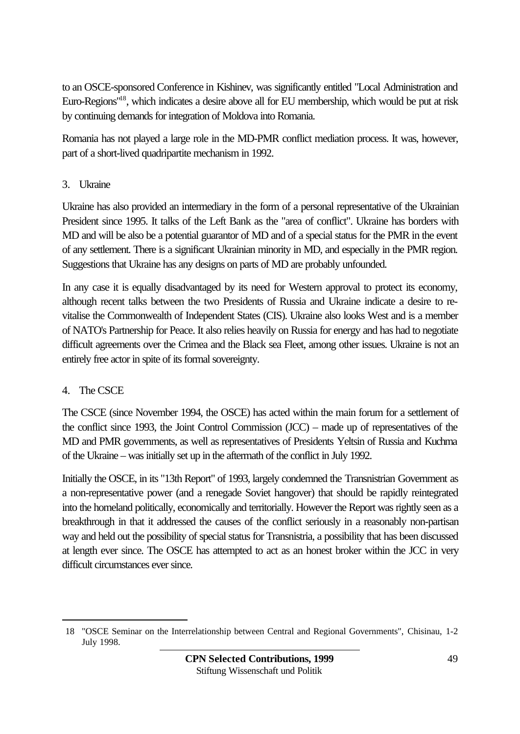to an OSCE-sponsored Conference in Kishinev, was significantly entitled "Local Administration and Euro-Regions"<sup>18</sup>, which indicates a desire above all for EU membership, which would be put at risk by continuing demands for integration of Moldova into Romania.

Romania has not played a large role in the MD-PMR conflict mediation process. It was, however, part of a short-lived quadripartite mechanism in 1992.

## 3. Ukraine

Ukraine has also provided an intermediary in the form of a personal representative of the Ukrainian President since 1995. It talks of the Left Bank as the "area of conflict". Ukraine has borders with MD and will be also be a potential guarantor of MD and of a special status for the PMR in the event of any settlement. There is a significant Ukrainian minority in MD, and especially in the PMR region. Suggestions that Ukraine has any designs on parts of MD are probably unfounded.

In any case it is equally disadvantaged by its need for Western approval to protect its economy, although recent talks between the two Presidents of Russia and Ukraine indicate a desire to revitalise the Commonwealth of Independent States (CIS). Ukraine also looks West and is a member of NATO's Partnership for Peace. It also relies heavily on Russia for energy and has had to negotiate difficult agreements over the Crimea and the Black sea Fleet, among other issues. Ukraine is not an entirely free actor in spite of its formal sovereignty.

# 4. The CSCE

 $\overline{a}$ 

The CSCE (since November 1994, the OSCE) has acted within the main forum for a settlement of the conflict since 1993, the Joint Control Commission (JCC) – made up of representatives of the MD and PMR governments, as well as representatives of Presidents Yeltsin of Russia and Kuchma of the Ukraine – was initially set up in the aftermath of the conflict in July 1992.

Initially the OSCE, in its "13th Report" of 1993, largely condemned the Transnistrian Government as a non-representative power (and a renegade Soviet hangover) that should be rapidly reintegrated into the homeland politically, economically and territorially. However the Report was rightly seen as a breakthrough in that it addressed the causes of the conflict seriously in a reasonably non-partisan way and held out the possibility of special status for Transnistria, a possibility that has been discussed at length ever since. The OSCE has attempted to act as an honest broker within the JCC in very difficult circumstances ever since.

<sup>18</sup> "OSCE Seminar on the Interrelationship between Central and Regional Governments", Chisinau, 1-2 July 1998.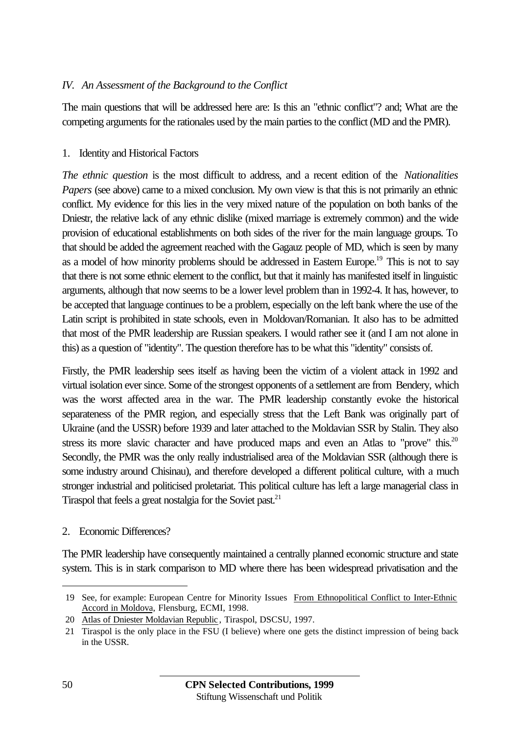### *IV. An Assessment of the Background to the Conflict*

The main questions that will be addressed here are: Is this an "ethnic conflict"? and; What are the competing arguments for the rationales used by the main parties to the conflict (MD and the PMR).

#### 1. Identity and Historical Factors

*The ethnic question* is the most difficult to address, and a recent edition of the *Nationalities Papers* (see above) came to a mixed conclusion. My own view is that this is not primarily an ethnic conflict. My evidence for this lies in the very mixed nature of the population on both banks of the Dniestr, the relative lack of any ethnic dislike (mixed marriage is extremely common) and the wide provision of educational establishments on both sides of the river for the main language groups. To that should be added the agreement reached with the Gagauz people of MD, which is seen by many as a model of how minority problems should be addressed in Eastern Europe.<sup>19</sup> This is not to sav that there is not some ethnic element to the conflict, but that it mainly has manifested itself in linguistic arguments, although that now seems to be a lower level problem than in 1992-4. It has, however, to be accepted that language continues to be a problem, especially on the left bank where the use of the Latin script is prohibited in state schools, even in Moldovan/Romanian. It also has to be admitted that most of the PMR leadership are Russian speakers. I would rather see it (and I am not alone in this) as a question of "identity". The question therefore has to be what this "identity" consists of.

Firstly, the PMR leadership sees itself as having been the victim of a violent attack in 1992 and virtual isolation ever since. Some of the strongest opponents of a settlement are from Bendery, which was the worst affected area in the war. The PMR leadership constantly evoke the historical separateness of the PMR region, and especially stress that the Left Bank was originally part of Ukraine (and the USSR) before 1939 and later attached to the Moldavian SSR by Stalin. They also stress its more slavic character and have produced maps and even an Atlas to "prove" this. $20$ Secondly, the PMR was the only really industrialised area of the Moldavian SSR (although there is some industry around Chisinau), and therefore developed a different political culture, with a much stronger industrial and politicised proletariat. This political culture has left a large managerial class in Tiraspol that feels a great nostalgia for the Soviet past.<sup>21</sup>

#### 2. Economic Differences?

The PMR leadership have consequently maintained a centrally planned economic structure and state system. This is in stark comparison to MD where there has been widespread privatisation and the

<sup>19</sup> See, for example: European Centre for Minority Issues From Ethnopolitical Conflict to Inter-Ethnic Accord in Moldova, Flensburg, ECMI, 1998.

<sup>20</sup> Atlas of Dniester Moldavian Republic, Tiraspol, DSCSU, 1997.

<sup>21</sup> Tiraspol is the only place in the FSU (I believe) where one gets the distinct impression of being back in the USSR.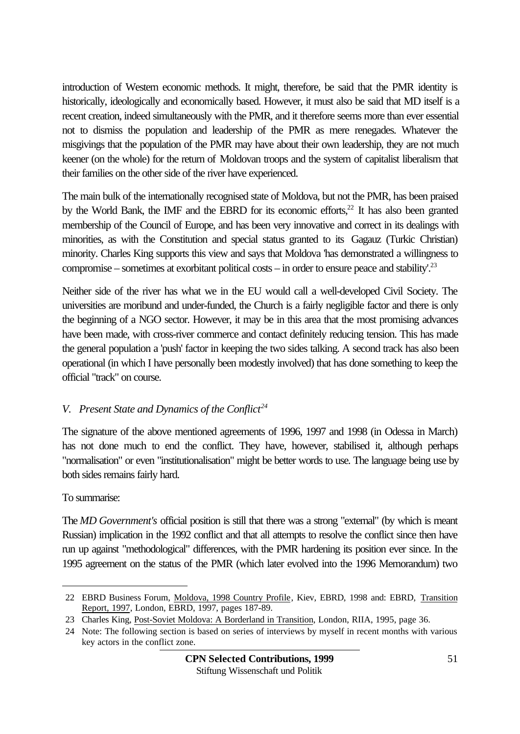introduction of Western economic methods. It might, therefore, be said that the PMR identity is historically, ideologically and economically based. However, it must also be said that MD itself is a recent creation, indeed simultaneously with the PMR, and it therefore seems more than ever essential not to dismiss the population and leadership of the PMR as mere renegades. Whatever the misgivings that the population of the PMR may have about their own leadership, they are not much keener (on the whole) for the return of Moldovan troops and the system of capitalist liberalism that their families on the other side of the river have experienced.

The main bulk of the internationally recognised state of Moldova, but not the PMR, has been praised by the World Bank, the IMF and the EBRD for its economic efforts,<sup>22</sup> It has also been granted membership of the Council of Europe, and has been very innovative and correct in its dealings with minorities, as with the Constitution and special status granted to its Gagauz (Turkic Christian) minority. Charles King supports this view and says that Moldova 'has demonstrated a willingness to compromise – sometimes at exorbitant political costs – in order to ensure peace and stability'.<sup>23</sup>

Neither side of the river has what we in the EU would call a well-developed Civil Society. The universities are moribund and under-funded, the Church is a fairly negligible factor and there is only the beginning of a NGO sector. However, it may be in this area that the most promising advances have been made, with cross-river commerce and contact definitely reducing tension. This has made the general population a 'push' factor in keeping the two sides talking. A second track has also been operational (in which I have personally been modestly involved) that has done something to keep the official "track" on course.

### *V. Present State and Dynamics of the Conflict<sup>24</sup>*

The signature of the above mentioned agreements of 1996, 1997 and 1998 (in Odessa in March) has not done much to end the conflict. They have, however, stabilised it, although perhaps "normalisation" or even "institutionalisation" might be better words to use. The language being use by both sides remains fairly hard.

### To summarise:

l

The *MD Government's* official position is still that there was a strong "external" (by which is meant Russian) implication in the 1992 conflict and that all attempts to resolve the conflict since then have run up against "methodological" differences, with the PMR hardening its position ever since. In the 1995 agreement on the status of the PMR (which later evolved into the 1996 Memorandum) two

<sup>22</sup> EBRD Business Forum, Moldova, 1998 Country Profile, Kiev, EBRD, 1998 and: EBRD, Transition Report, 1997, London, EBRD, 1997, pages 187-89.

<sup>23</sup> Charles King, Post-Soviet Moldova: A Borderland in Transition, London, RIIA, 1995, page 36.

<sup>24</sup> Note: The following section is based on series of interviews by myself in recent months with various key actors in the conflict zone.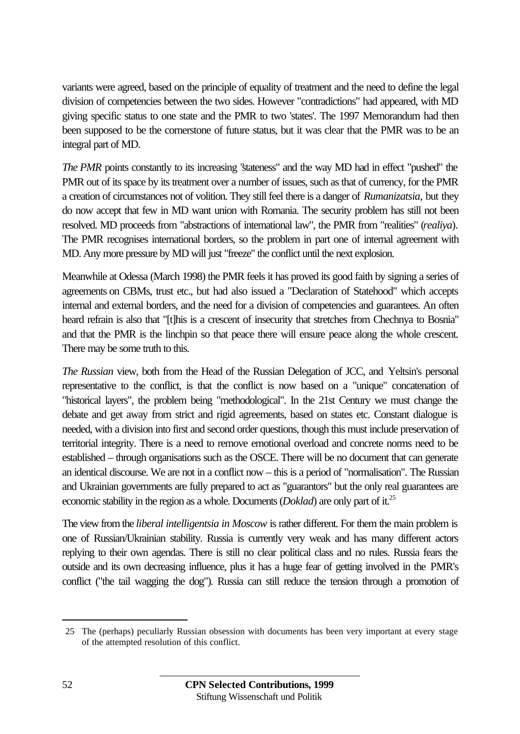variants were agreed, based on the principle of equality of treatment and the need to define the legal division of competencies between the two sides. However "contradictions" had appeared, with MD giving specific status to one state and the PMR to two 'states'. The 1997 Memorandum had then been supposed to be the cornerstone of future status, but it was clear that the PMR was to be an integral part of MD.

*The PMR* points constantly to its increasing "stateness" and the way MD had in effect "pushed" the PMR out of its space by its treatment over a number of issues, such as that of currency, for the PMR a creation of circumstances not of volition. They still feel there is a danger of *Rumanizatsia*, but they do now accept that few in MD want union with Romania. The security problem has still not been resolved. MD proceeds from "abstractions of international law", the PMR from "realities" (*realiya*). The PMR recognises international borders, so the problem in part one of internal agreement with MD. Any more pressure by MD will just "freeze" the conflict until the next explosion.

Meanwhile at Odessa (March 1998) the PMR feels it has proved its good faith by signing a series of agreements on CBMs, trust etc., but had also issued a "Declaration of Statehood" which accepts internal and external borders, and the need for a division of competencies and guarantees. An often heard refrain is also that "[t]his is a crescent of insecurity that stretches from Chechnya to Bosnia" and that the PMR is the linchpin so that peace there will ensure peace along the whole crescent. There may be some truth to this.

*The Russian* view, both from the Head of the Russian Delegation of JCC, and Yeltsin's personal representative to the conflict, is that the conflict is now based on a "unique" concatenation of "historical layers", the problem being "methodological". In the 21st Century we must change the debate and get away from strict and rigid agreements, based on states etc. Constant dialogue is needed, with a division into first and second order questions, though this must include preservation of territorial integrity. There is a need to remove emotional overload and concrete norms need to be established – through organisations such as the OSCE. There will be no document that can generate an identical discourse. We are not in a conflict now – this is a period of "normalisation". The Russian and Ukrainian governments are fully prepared to act as "guarantors" but the only real guarantees are economic stability in the region as a whole. Documents *(Doklad)* are only part of it.<sup>25</sup>

The view from the *liberal intelligentsia in Moscow* is rather different. For them the main problem is one of Russian/Ukrainian stability. Russia is currently very weak and has many different actors replying to their own agendas. There is still no clear political class and no rules. Russia fears the outside and its own decreasing influence, plus it has a huge fear of getting involved in the PMR's conflict ("the tail wagging the dog"). Russia can still reduce the tension through a promotion of

 $\overline{a}$ 

<sup>25</sup> The (perhaps) peculiarly Russian obsession with documents has been very important at every stage of the attempted resolution of this conflict.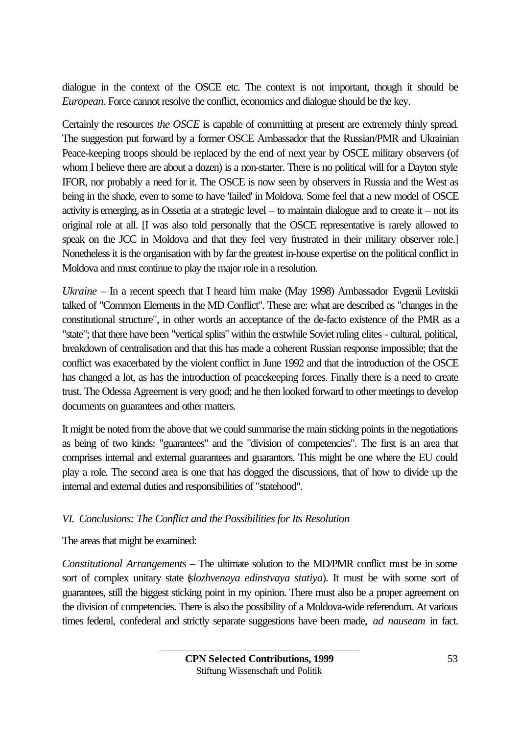dialogue in the context of the OSCE etc. The context is not important, though it should be *European*. Force cannot resolve the conflict, economics and dialogue should be the key.

Certainly the resources *the OSCE* is capable of committing at present are extremely thinly spread. The suggestion put forward by a former OSCE Ambassador that the Russian/PMR and Ukrainian Peace-keeping troops should be replaced by the end of next year by OSCE military observers (of whom I believe there are about a dozen) is a non-starter. There is no political will for a Dayton style IFOR, nor probably a need for it. The OSCE is now seen by observers in Russia and the West as being in the shade, even to some to have 'failed' in Moldova. Some feel that a new model of OSCE activity is emerging, as in Ossetia at a strategic level – to maintain dialogue and to create it – not its original role at all. [I was also told personally that the OSCE representative is rarely allowed to speak on the JCC in Moldova and that they feel very frustrated in their military observer role.] Nonetheless it is the organisation with by far the greatest in-house expertise on the political conflict in Moldova and must continue to play the major role in a resolution.

*Ukraine* – In a recent speech that I heard him make (May 1998) Ambassador Evgenii Levitskii talked of "Common Elements in the MD Conflict". These are: what are described as "changes in the constitutional structure", in other words an acceptance of the de-facto existence of the PMR as a "state"; that there have been "vertical splits" within the erstwhile Soviet ruling elites - cultural, political, breakdown of centralisation and that this has made a coherent Russian response impossible; that the conflict was exacerbated by the violent conflict in June 1992 and that the introduction of the OSCE has changed a lot, as has the introduction of peacekeeping forces. Finally there is a need to create trust. The Odessa Agreement is very good; and he then looked forward to other meetings to develop documents on guarantees and other matters.

It might be noted from the above that we could summarise the main sticking points in the negotiations as being of two kinds: "guarantees" and the "division of competencies". The first is an area that comprises internal and external guarantees and guarantors. This might be one where the EU could play a role. The second area is one that has dogged the discussions, that of how to divide up the internal and external duties and responsibilities of "statehood".

### *VI. Conclusions: The Conflict and the Possibilities for Its Resolution*

The areas that might be examined:

*Constitutional Arrangements* – The ultimate solution to the MD/PMR conflict must be in some sort of complex unitary state (*slozhvenaya edinstvaya statiya*). It must be with some sort of guarantees, still the biggest sticking point in my opinion. There must also be a proper agreement on the division of competencies. There is also the possibility of a Moldova-wide referendum. At various times federal, confederal and strictly separate suggestions have been made, *ad nauseam* in fact.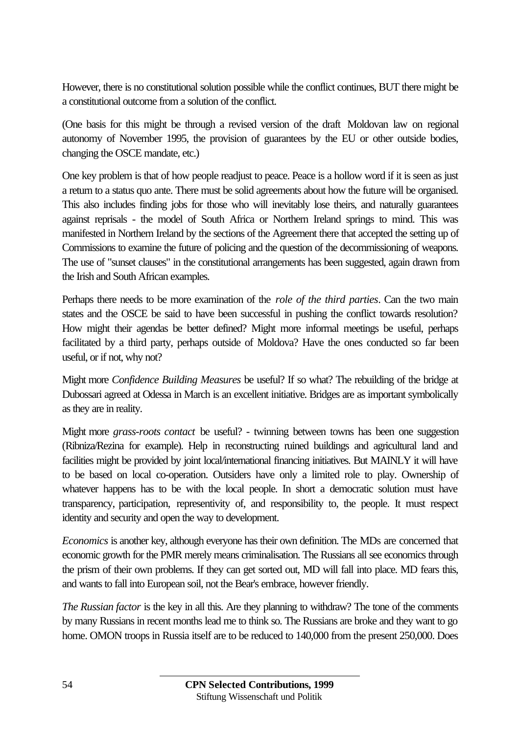However, there is no constitutional solution possible while the conflict continues, BUT there might be a constitutional outcome from a solution of the conflict.

(One basis for this might be through a revised version of the draft Moldovan law on regional autonomy of November 1995, the provision of guarantees by the EU or other outside bodies, changing the OSCE mandate, etc.)

One key problem is that of how people readjust to peace. Peace is a hollow word if it is seen as just a return to a status quo ante. There must be solid agreements about how the future will be organised. This also includes finding jobs for those who will inevitably lose theirs, and naturally guarantees against reprisals - the model of South Africa or Northern Ireland springs to mind. This was manifested in Northern Ireland by the sections of the Agreement there that accepted the setting up of Commissions to examine the future of policing and the question of the decommissioning of weapons. The use of "sunset clauses" in the constitutional arrangements has been suggested, again drawn from the Irish and South African examples.

Perhaps there needs to be more examination of the *role of the third parties*. Can the two main states and the OSCE be said to have been successful in pushing the conflict towards resolution? How might their agendas be better defined? Might more informal meetings be useful, perhaps facilitated by a third party, perhaps outside of Moldova? Have the ones conducted so far been useful, or if not, why not?

Might more *Confidence Building Measures* be useful? If so what? The rebuilding of the bridge at Dubossari agreed at Odessa in March is an excellent initiative. Bridges are as important symbolically as they are in reality.

Might more *grass-roots contact* be useful? - twinning between towns has been one suggestion (Ribniza/Rezina for example). Help in reconstructing ruined buildings and agricultural land and facilities might be provided by joint local/international financing initiatives. But MAINLY it will have to be based on local co-operation. Outsiders have only a limited role to play. Ownership of whatever happens has to be with the local people. In short a democratic solution must have transparency, participation, representivity of, and responsibility to, the people. It must respect identity and security and open the way to development.

*Economics* is another key, although everyone has their own definition. The MDs are concerned that economic growth for the PMR merely means criminalisation. The Russians all see economics through the prism of their own problems. If they can get sorted out, MD will fall into place. MD fears this, and wants to fall into European soil, not the Bear's embrace, however friendly.

*The Russian factor* is the key in all this. Are they planning to withdraw? The tone of the comments by many Russians in recent months lead me to think so. The Russians are broke and they want to go home. OMON troops in Russia itself are to be reduced to 140,000 from the present 250,000. Does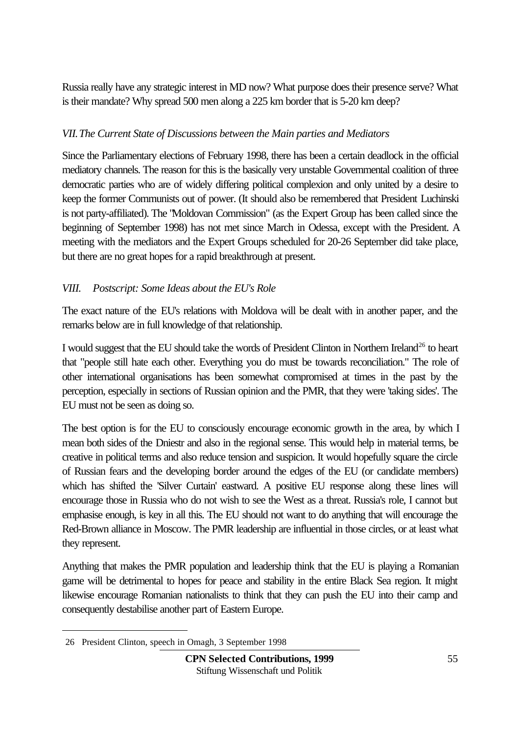Russia really have any strategic interest in MD now? What purpose does their presence serve? What is their mandate? Why spread 500 men along a 225 km border that is 5-20 km deep?

### *VII.The Current State of Discussions between the Main parties and Mediators*

Since the Parliamentary elections of February 1998, there has been a certain deadlock in the official mediatory channels. The reason for this is the basically very unstable Governmental coalition of three democratic parties who are of widely differing political complexion and only united by a desire to keep the former Communists out of power. (It should also be remembered that President Luchinski is not party-affiliated). The "Moldovan Commission" (as the Expert Group has been called since the beginning of September 1998) has not met since March in Odessa, except with the President. A meeting with the mediators and the Expert Groups scheduled for 20-26 September did take place, but there are no great hopes for a rapid breakthrough at present.

### *VIII. Postscript: Some Ideas about the EU's Role*

The exact nature of the EU's relations with Moldova will be dealt with in another paper, and the remarks below are in full knowledge of that relationship.

I would suggest that the EU should take the words of President Clinton in Northern Ireland<sup>26</sup> to heart that "people still hate each other. Everything you do must be towards reconciliation." The role of other international organisations has been somewhat compromised at times in the past by the perception, especially in sections of Russian opinion and the PMR, that they were 'taking sides'. The EU must not be seen as doing so.

The best option is for the EU to consciously encourage economic growth in the area, by which I mean both sides of the Dniestr and also in the regional sense. This would help in material terms, be creative in political terms and also reduce tension and suspicion. It would hopefully square the circle of Russian fears and the developing border around the edges of the EU (or candidate members) which has shifted the 'Silver Curtain' eastward. A positive EU response along these lines will encourage those in Russia who do not wish to see the West as a threat. Russia's role, I cannot but emphasise enough, is key in all this. The EU should not want to do anything that will encourage the Red-Brown alliance in Moscow. The PMR leadership are influential in those circles, or at least what they represent.

Anything that makes the PMR population and leadership think that the EU is playing a Romanian game will be detrimental to hopes for peace and stability in the entire Black Sea region. It might likewise encourage Romanian nationalists to think that they can push the EU into their camp and consequently destabilise another part of Eastern Europe.

 $\overline{a}$ 

<sup>26</sup> President Clinton, speech in Omagh, 3 September 1998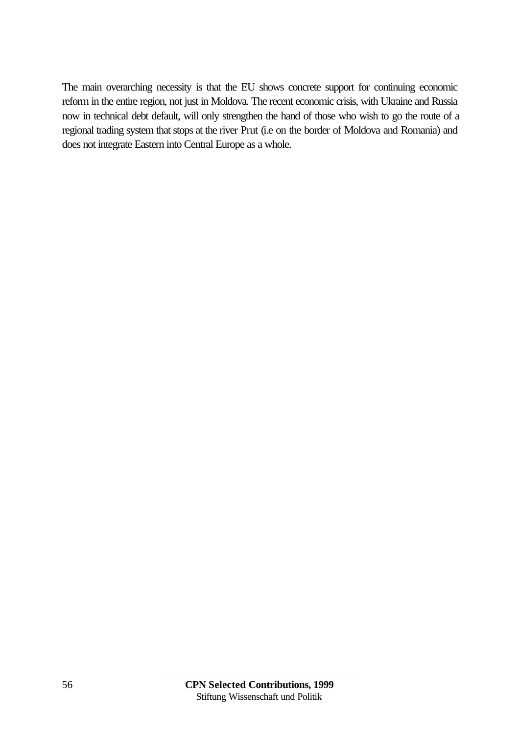The main overarching necessity is that the EU shows concrete support for continuing economic reform in the entire region, not just in Moldova. The recent economic crisis, with Ukraine and Russia now in technical debt default, will only strengthen the hand of those who wish to go the route of a regional trading system that stops at the river Prut (i.e on the border of Moldova and Romania) and does not integrate Eastern into Central Europe as a whole.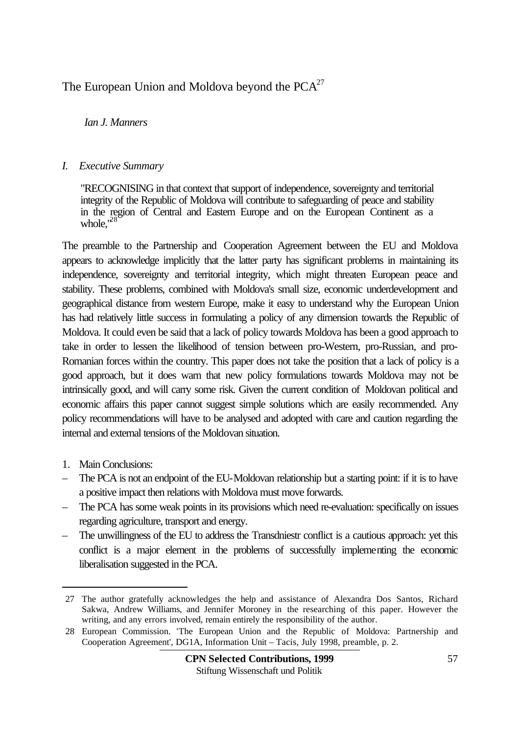# The European Union and Moldova beyond the  $PCA<sup>27</sup>$

### *Ian J. Manners*

#### *I. Executive Summary*

"RECOGNISING in that context that support of independence, sovereignty and territorial integrity of the Republic of Moldova will contribute to safeguarding of peace and stability in the region of Central and Eastern Europe and on the European Continent as a whole,<sup>28</sup>

The preamble to the Partnership and Cooperation Agreement between the EU and Moldova appears to acknowledge implicitly that the latter party has significant problems in maintaining its independence, sovereignty and territorial integrity, which might threaten European peace and stability. These problems, combined with Moldova's small size, economic underdevelopment and geographical distance from western Europe, make it easy to understand why the European Union has had relatively little success in formulating a policy of any dimension towards the Republic of Moldova. It could even be said that a lack of policy towards Moldova has been a good approach to take in order to lessen the likelihood of tension between pro-Western, pro-Russian, and pro-Romanian forces within the country. This paper does not take the position that a lack of policy is a good approach, but it does warn that new policy formulations towards Moldova may not be intrinsically good, and will carry some risk. Given the current condition of Moldovan political and economic affairs this paper cannot suggest simple solutions which are easily recommended. Any policy recommendations will have to be analysed and adopted with care and caution regarding the internal and external tensions of the Moldovan situation.

1. Main Conclusions:

- The PCA is not an endpoint of the EU-Moldovan relationship but a starting point: if it is to have a positive impact then relations with Moldova must move forwards.
- The PCA has some weak points in its provisions which need re-evaluation: specifically on issues regarding agriculture, transport and energy.
- The unwillingness of the EU to address the Transdniestr conflict is a cautious approach: yet this conflict is a major element in the problems of successfully implementing the economic liberalisation suggested in the PCA.

<sup>27</sup> The author gratefully acknowledges the help and assistance of Alexandra Dos Santos, Richard Sakwa, Andrew Williams, and Jennifer Moroney in the researching of this paper. However the writing, and any errors involved, remain entirely the responsibility of the author.

<sup>28</sup> European Commission. 'The European Union and the Republic of Moldova: Partnership and Cooperation Agreement', DG1A, Information Unit – Tacis, July 1998, preamble, p. 2.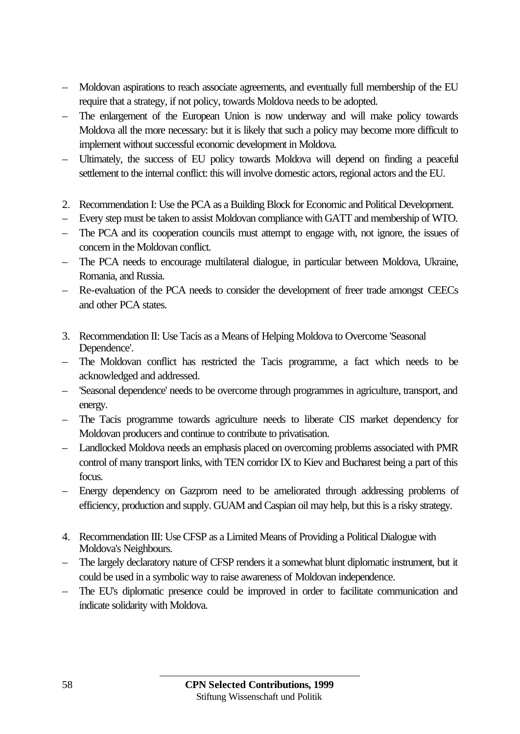- Moldovan aspirations to reach associate agreements, and eventually full membership of the EU require that a strategy, if not policy, towards Moldova needs to be adopted.
- The enlargement of the European Union is now underway and will make policy towards Moldova all the more necessary: but it is likely that such a policy may become more difficult to implement without successful economic development in Moldova.
- Ultimately, the success of EU policy towards Moldova will depend on finding a peaceful settlement to the internal conflict: this will involve domestic actors, regional actors and the EU.
- 2. Recommendation I: Use the PCA as a Building Block for Economic and Political Development.
- Every step must be taken to assist Moldovan compliance with GATT and membership of WTO.
- The PCA and its cooperation councils must attempt to engage with, not ignore, the issues of concern in the Moldovan conflict.
- The PCA needs to encourage multilateral dialogue, in particular between Moldova, Ukraine, Romania, and Russia.
- Re-evaluation of the PCA needs to consider the development of freer trade amongst CEECs and other PCA states.
- 3. Recommendation II: Use Tacis as a Means of Helping Moldova to Overcome 'Seasonal Dependence'.
- The Moldovan conflict has restricted the Tacis programme, a fact which needs to be acknowledged and addressed.
- 'Seasonal dependence' needs to be overcome through programmes in agriculture, transport, and energy.
- The Tacis programme towards agriculture needs to liberate CIS market dependency for Moldovan producers and continue to contribute to privatisation.
- Landlocked Moldova needs an emphasis placed on overcoming problems associated with PMR control of many transport links, with TEN corridor IX to Kiev and Bucharest being a part of this focus.
- Energy dependency on Gazprom need to be ameliorated through addressing problems of efficiency, production and supply. GUAM and Caspian oil may help, but this is a risky strategy.
- 4. Recommendation III: Use CFSP as a Limited Means of Providing a Political Dialogue with Moldova's Neighbours.
- The largely declaratory nature of CFSP renders it a somewhat blunt diplomatic instrument, but it could be used in a symbolic way to raise awareness of Moldovan independence.
- The EU's diplomatic presence could be improved in order to facilitate communication and indicate solidarity with Moldova.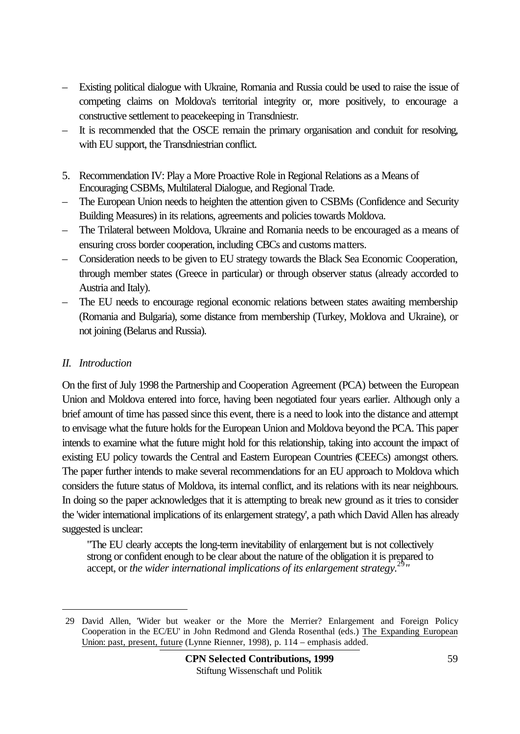- Existing political dialogue with Ukraine, Romania and Russia could be used to raise the issue of competing claims on Moldova's territorial integrity or, more positively, to encourage a constructive settlement to peacekeeping in Transdniestr.
- It is recommended that the OSCE remain the primary organisation and conduit for resolving, with EU support, the Transdniestrian conflict.
- 5. Recommendation IV: Play a More Proactive Role in Regional Relations as a Means of Encouraging CSBMs, Multilateral Dialogue, and Regional Trade.
- The European Union needs to heighten the attention given to CSBMs (Confidence and Security Building Measures) in its relations, agreements and policies towards Moldova.
- The Trilateral between Moldova, Ukraine and Romania needs to be encouraged as a means of ensuring cross border cooperation, including CBCs and customs matters.
- Consideration needs to be given to EU strategy towards the Black Sea Economic Cooperation, through member states (Greece in particular) or through observer status (already accorded to Austria and Italy).
- The EU needs to encourage regional economic relations between states awaiting membership (Romania and Bulgaria), some distance from membership (Turkey, Moldova and Ukraine), or not joining (Belarus and Russia).

### *II. Introduction*

 $\overline{a}$ 

On the first of July 1998 the Partnership and Cooperation Agreement (PCA) between the European Union and Moldova entered into force, having been negotiated four years earlier. Although only a brief amount of time has passed since this event, there is a need to look into the distance and attempt to envisage what the future holds for the European Union and Moldova beyond the PCA. This paper intends to examine what the future might hold for this relationship, taking into account the impact of existing EU policy towards the Central and Eastern European Countries (CEECs) amongst others. The paper further intends to make several recommendations for an EU approach to Moldova which considers the future status of Moldova, its internal conflict, and its relations with its near neighbours. In doing so the paper acknowledges that it is attempting to break new ground as it tries to consider the 'wider international implications of its enlargement strategy', a path which David Allen has already suggested is unclear:

"The EU clearly accepts the long-term inevitability of enlargement but is not collectively strong or confident enough to be clear about the nature of the obligation it is prepared to accept, or *the wider international implications of its enlargement strategy.*<sup>29</sup>*"*

<sup>29</sup> David Allen, 'Wider but weaker or the More the Merrier? Enlargement and Foreign Policy Cooperation in the EC/EU' in John Redmond and Glenda Rosenthal (eds.) The Expanding European Union: past, present, future (Lynne Rienner, 1998), p. 114 – emphasis added.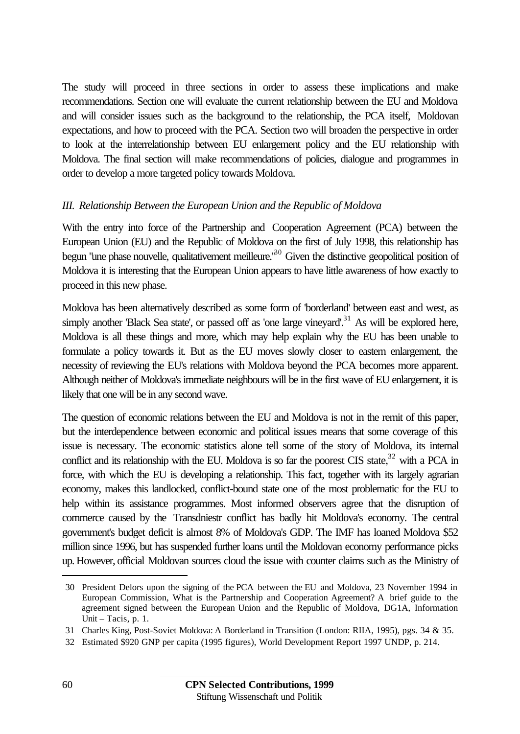The study will proceed in three sections in order to assess these implications and make recommendations. Section one will evaluate the current relationship between the EU and Moldova and will consider issues such as the background to the relationship, the PCA itself, Moldovan expectations, and how to proceed with the PCA. Section two will broaden the perspective in order to look at the interrelationship between EU enlargement policy and the EU relationship with Moldova. The final section will make recommendations of policies, dialogue and programmes in order to develop a more targeted policy towards Moldova.

#### *III. Relationship Between the European Union and the Republic of Moldova*

With the entry into force of the Partnership and Cooperation Agreement (PCA) between the European Union (EU) and the Republic of Moldova on the first of July 1998, this relationship has begun "une phase nouvelle, qualitativement meilleure.<sup>30</sup> Given the distinctive geopolitical position of Moldova it is interesting that the European Union appears to have little awareness of how exactly to proceed in this new phase.

Moldova has been alternatively described as some form of 'borderland' between east and west, as simply another 'Black Sea state', or passed off as 'one large vineyard'.<sup>31</sup> As will be explored here, Moldova is all these things and more, which may help explain why the EU has been unable to formulate a policy towards it. But as the EU moves slowly closer to eastern enlargement, the necessity of reviewing the EU's relations with Moldova beyond the PCA becomes more apparent. Although neither of Moldova's immediate neighbours will be in the first wave of EU enlargement, it is likely that one will be in any second wave.

The question of economic relations between the EU and Moldova is not in the remit of this paper, but the interdependence between economic and political issues means that some coverage of this issue is necessary. The economic statistics alone tell some of the story of Moldova, its internal conflict and its relationship with the EU. Moldova is so far the poorest CIS state,<sup>32</sup> with a PCA in force, with which the EU is developing a relationship. This fact, together with its largely agrarian economy, makes this landlocked, conflict-bound state one of the most problematic for the EU to help within its assistance programmes. Most informed observers agree that the disruption of commerce caused by the Transdniestr conflict has badly hit Moldova's economy. The central government's budget deficit is almost 8% of Moldova's GDP. The IMF has loaned Moldova \$52 million since 1996, but has suspended further loans until the Moldovan economy performance picks up. However, official Moldovan sources cloud the issue with counter claims such as the Ministry of

<sup>30</sup> President Delors upon the signing of the PCA between the EU and Moldova, 23 November 1994 in European Commission, What is the Partnership and Cooperation Agreement? A brief guide to the agreement signed between the European Union and the Republic of Moldova, DG1A, Information Unit – Tacis, p. 1.

<sup>31</sup> Charles King, Post-Soviet Moldova: A Borderland in Transition (London: RIIA, 1995), pgs. 34 & 35.

<sup>32</sup> Estimated \$920 GNP per capita (1995 figures), World Development Report 1997 UNDP, p. 214.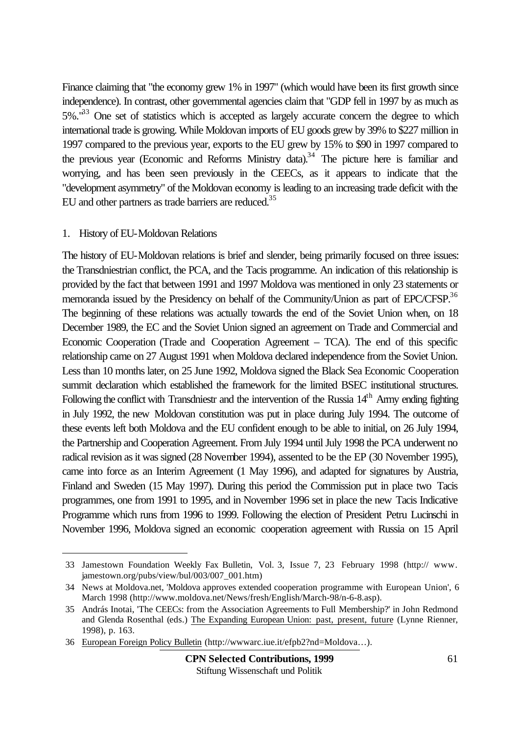Finance claiming that "the economy grew 1% in 1997" (which would have been its first growth since independence). In contrast, other governmental agencies claim that "GDP fell in 1997 by as much as 5%.<sup>133</sup> One set of statistics which is accepted as largely accurate concern the degree to which international trade is growing. While Moldovan imports of EU goods grew by 39% to \$227 million in 1997 compared to the previous year, exports to the EU grew by 15% to \$90 in 1997 compared to the previous year (Economic and Reforms Ministry data).<sup>34</sup> The picture here is familiar and worrying, and has been seen previously in the CEECs, as it appears to indicate that the "development asymmetry" of the Moldovan economy is leading to an increasing trade deficit with the EU and other partners as trade barriers are reduced.<sup>35</sup>

#### 1. History of EU-Moldovan Relations

l

The history of EU-Moldovan relations is brief and slender, being primarily focused on three issues: the Transdniestrian conflict, the PCA, and the Tacis programme. An indication of this relationship is provided by the fact that between 1991 and 1997 Moldova was mentioned in only 23 statements or memoranda issued by the Presidency on behalf of the Community/Union as part of EPC/CFSP.<sup>36</sup> The beginning of these relations was actually towards the end of the Soviet Union when, on 18 December 1989, the EC and the Soviet Union signed an agreement on Trade and Commercial and Economic Cooperation (Trade and Cooperation Agreement – TCA). The end of this specific relationship came on 27 August 1991 when Moldova declared independence from the Soviet Union. Less than 10 months later, on 25 June 1992, Moldova signed the Black Sea Economic Cooperation summit declaration which established the framework for the limited BSEC institutional structures. Following the conflict with Transdniestr and the intervention of the Russia  $14<sup>th</sup>$  Army ending fighting in July 1992, the new Moldovan constitution was put in place during July 1994. The outcome of these events left both Moldova and the EU confident enough to be able to initial, on 26 July 1994, the Partnership and Cooperation Agreement. From July 1994 until July 1998 the PCA underwent no radical revision as it was signed (28 November 1994), assented to be the EP (30 November 1995), came into force as an Interim Agreement (1 May 1996), and adapted for signatures by Austria, Finland and Sweden (15 May 1997). During this period the Commission put in place two Tacis programmes, one from 1991 to 1995, and in November 1996 set in place the new Tacis Indicative Programme which runs from 1996 to 1999. Following the election of President Petru Lucinschi in November 1996, Moldova signed an economic cooperation agreement with Russia on 15 April

<sup>33</sup> Jamestown Foundation Weekly Fax Bulletin, Vol. 3, Issue 7, 23 February 1998 (http:// www. jamestown.org/pubs/view/bul/003/007\_001.htm)

<sup>34</sup> News at Moldova.net, 'Moldova approves extended cooperation programme with European Union', 6 March 1998 (http://www.moldova.net/News/fresh/English/March-98/n-6-8.asp).

<sup>35</sup> András Inotai, 'The CEECs: from the Association Agreements to Full Membership?' in John Redmond and Glenda Rosenthal (eds.) The Expanding European Union: past, present, future (Lynne Rienner, 1998), p. 163.

<sup>36</sup> European Foreign Policy Bulletin (http://wwwarc.iue.it/efpb2?nd=Moldova…).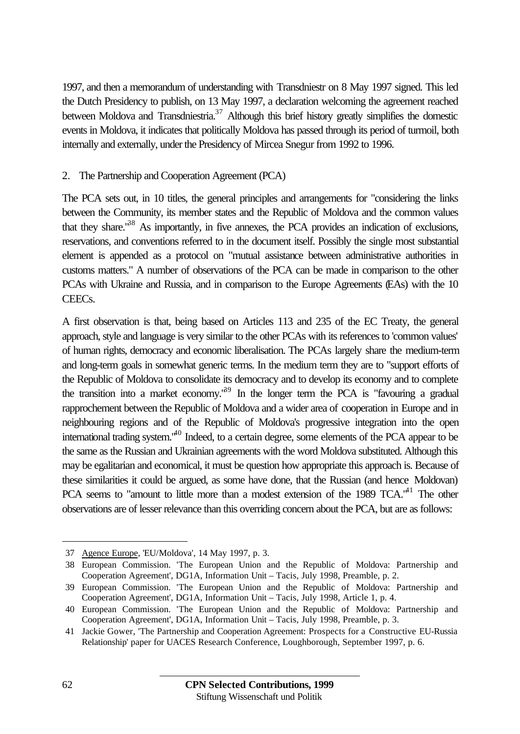1997, and then a memorandum of understanding with Transdniestr on 8 May 1997 signed. This led the Dutch Presidency to publish, on 13 May 1997, a declaration welcoming the agreement reached between Moldova and Transdniestria.<sup>37</sup> Although this brief history greatly simplifies the domestic events in Moldova, it indicates that politically Moldova has passed through its period of turmoil, both internally and externally, under the Presidency of Mircea Snegur from 1992 to 1996.

### 2. The Partnership and Cooperation Agreement (PCA)

The PCA sets out, in 10 titles, the general principles and arrangements for "considering the links between the Community, its member states and the Republic of Moldova and the common values that they share.<sup> $38$ </sup> As importantly, in five annexes, the PCA provides an indication of exclusions, reservations, and conventions referred to in the document itself. Possibly the single most substantial element is appended as a protocol on "mutual assistance between administrative authorities in customs matters." A number of observations of the PCA can be made in comparison to the other PCAs with Ukraine and Russia, and in comparison to the Europe Agreements (EAs) with the 10 CEECs.

A first observation is that, being based on Articles 113 and 235 of the EC Treaty, the general approach, style and language is very similar to the other PCAs with its references to 'common values' of human rights, democracy and economic liberalisation. The PCAs largely share the medium-term and long-term goals in somewhat generic terms. In the medium term they are to "support efforts of the Republic of Moldova to consolidate its democracy and to develop its economy and to complete the transition into a market economy.<sup>39</sup> In the longer term the PCA is "favouring a gradual rapprochement between the Republic of Moldova and a wider area of cooperation in Europe and in neighbouring regions and of the Republic of Moldova's progressive integration into the open international trading system."<sup>40</sup> Indeed, to a certain degree, some elements of the PCA appear to be the same as the Russian and Ukrainian agreements with the word Moldova substituted. Although this may be egalitarian and economical, it must be question how appropriate this approach is. Because of these similarities it could be argued, as some have done, that the Russian (and hence Moldovan) PCA seems to "amount to little more than a modest extension of the 1989 TCA."<sup>41</sup> The other observations are of lesser relevance than this overriding concern about the PCA, but are as follows:

<sup>37</sup> Agence Europe, 'EU/Moldova', 14 May 1997, p. 3.

<sup>38</sup> European Commission. 'The European Union and the Republic of Moldova: Partnership and Cooperation Agreement', DG1A, Information Unit – Tacis, July 1998, Preamble, p. 2.

<sup>39</sup> European Commission. 'The European Union and the Republic of Moldova: Partnership and Cooperation Agreement', DG1A, Information Unit – Tacis, July 1998, Article 1, p. 4.

<sup>40</sup> European Commission. 'The European Union and the Republic of Moldova: Partnership and Cooperation Agreement', DG1A, Information Unit – Tacis, July 1998, Preamble, p. 3.

<sup>41</sup> Jackie Gower, 'The Partnership and Cooperation Agreement: Prospects for a Constructive EU-Russia Relationship' paper for UACES Research Conference, Loughborough, September 1997, p. 6.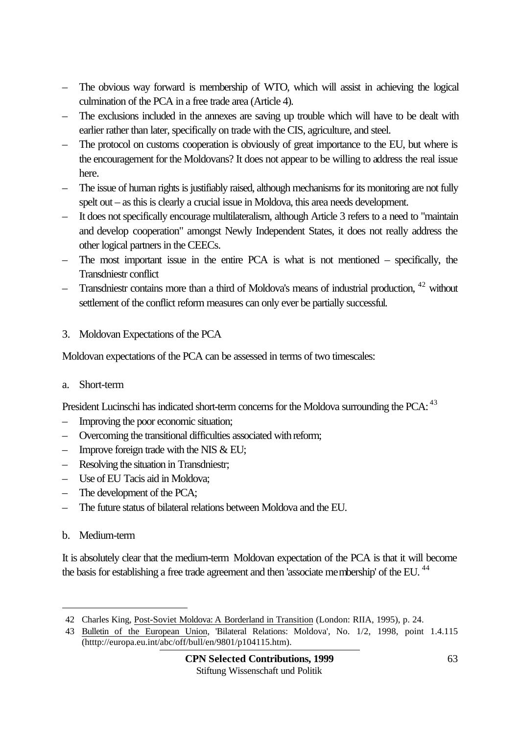- The obvious way forward is membership of WTO, which will assist in achieving the logical culmination of the PCA in a free trade area (Article 4).
- The exclusions included in the annexes are saving up trouble which will have to be dealt with earlier rather than later, specifically on trade with the CIS, agriculture, and steel.
- The protocol on customs cooperation is obviously of great importance to the EU, but where is the encouragement for the Moldovans? It does not appear to be willing to address the real issue here.
- The issue of human rights is justifiably raised, although mechanisms for its monitoring are not fully spelt out – as this is clearly a crucial issue in Moldova, this area needs development.
- It does not specifically encourage multilateralism, although Article 3 refers to a need to "maintain and develop cooperation" amongst Newly Independent States, it does not really address the other logical partners in the CEECs.
- The most important issue in the entire PCA is what is not mentioned specifically, the Transdniestr conflict
- Transdniestr contains more than a third of Moldova's means of industrial production,  $42$  without settlement of the conflict reform measures can only ever be partially successful.
- 3. Moldovan Expectations of the PCA

Moldovan expectations of the PCA can be assessed in terms of two timescales:

a. Short-term

President Lucinschi has indicated short-term concerns for the Moldova surrounding the PCA: <sup>43</sup>

- Improving the poor economic situation;
- Overcoming the transitional difficulties associated with reform;
- Improve foreign trade with the NIS  $& EU;$
- Resolving the situation in Transdniestr;
- Use of EU Tacis aid in Moldova;
- The development of the PCA;
- The future status of bilateral relations between Moldova and the EU.
- b. Medium-term

 $\overline{a}$ 

It is absolutely clear that the medium-term Moldovan expectation of the PCA is that it will become the basis for establishing a free trade agreement and then 'associate membership' of the EU.<sup>44</sup>

<sup>42</sup> Charles King, Post-Soviet Moldova: A Borderland in Transition (London: RIIA, 1995), p. 24.

<sup>43</sup> Bulletin of the European Union, 'Bilateral Relations: Moldova', No. 1/2, 1998, point 1.4.115 (htttp://europa.eu.int/abc/off/bull/en/9801/p104115.htm).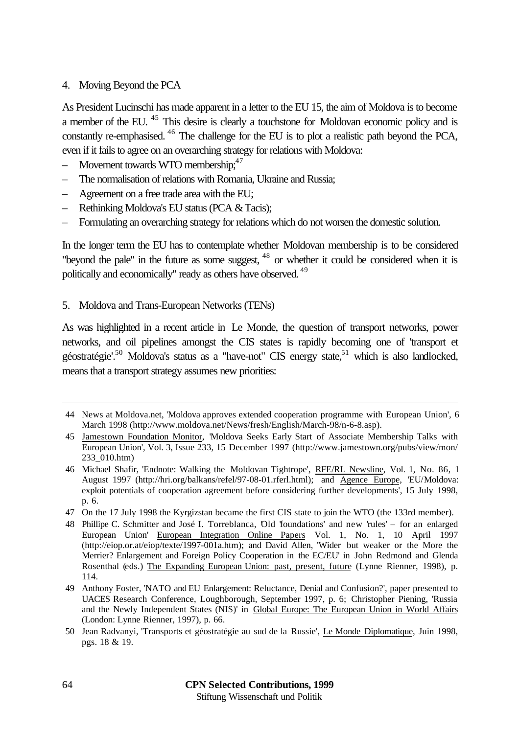#### 4. Moving Beyond the PCA

As President Lucinschi has made apparent in a letter to the EU 15, the aim of Moldova is to become a member of the EU.<sup>45</sup> This desire is clearly a touchstone for Moldovan economic policy and is constantly re-emphasised. <sup>46</sup> The challenge for the EU is to plot a realistic path beyond the PCA, even if it fails to agree on an overarching strategy for relations with Moldova:

- Movement towards WTO membership; $47$
- The normalisation of relations with Romania, Ukraine and Russia;
- Agreement on a free trade area with the EU;
- Rethinking Moldova's EU status (PCA & Tacis);
- Formulating an overarching strategy for relations which do not worsen the domestic solution.

In the longer term the EU has to contemplate whether Moldovan membership is to be considered "beyond the pale" in the future as some suggest, <sup>48</sup> or whether it could be considered when it is politically and economically" ready as others have observed. <sup>49</sup>

5. Moldova and Trans-European Networks (TENs)

As was highlighted in a recent article in Le Monde, the question of transport networks, power networks, and oil pipelines amongst the CIS states is rapidly becoming one of 'transport et géostratégie'.<sup>50</sup> Moldova's status as a "have-not" CIS energy state,<sup>51</sup> which is also landlocked, means that a transport strategy assumes new priorities:

<sup>44</sup> News at Moldova.net, 'Moldova approves extended cooperation programme with European Union', 6 March 1998 (http://www.moldova.net/News/fresh/English/March-98/n-6-8.asp).

<sup>45</sup> Jamestown Foundation Monitor, 'Moldova Seeks Early Start of Associate Membership Talks with European Union', Vol. 3, Issue 233, 15 December 1997 (http://www.jamestown.org/pubs/view/mon/ 233\_010.htm)

<sup>46</sup> Michael Shafir, 'Endnote: Walking the Moldovan Tightrope', RFE/RL Newsline, Vol. 1, No. 86, 1 August 1997 (http://hri.org/balkans/refel/97-08-01.rferl.html); and Agence Europe, 'EU/Moldova: exploit potentials of cooperation agreement before considering further developments', 15 July 1998, p. 6.

<sup>47</sup> On the 17 July 1998 the Kyrgizstan became the first CIS state to join the WTO (the 133rd member).

<sup>48</sup> Phillipe C. Schmitter and José I. Torreblanca, 'Old 'foundations' and new 'rules' – for an enlarged European Union' European Integration Online Papers Vol. 1, No. 1, 10 April 1997 (http://eiop.or.at/eiop/texte/1997-001a.htm); and David Allen, 'Wider but weaker or the More the Merrier? Enlargement and Foreign Policy Cooperation in the EC/EU' in John Redmond and Glenda Rosenthal (eds.) The Expanding European Union: past, present, future (Lynne Rienner, 1998), p. 114.

<sup>49</sup> Anthony Foster, 'NATO and EU Enlargement: Reluctance, Denial and Confusion?', paper presented to UACES Research Conference, Loughborough, September 1997, p. 6; Christopher Piening, 'Russia and the Newly Independent States (NIS)' in Global Europe: The European Union in World Affairs (London: Lynne Rienner, 1997), p. 66.

<sup>50</sup> Jean Radvanyi, 'Transports et géostratégie au sud de la Russie', Le Monde Diplomatique, Juin 1998, pgs. 18 & 19.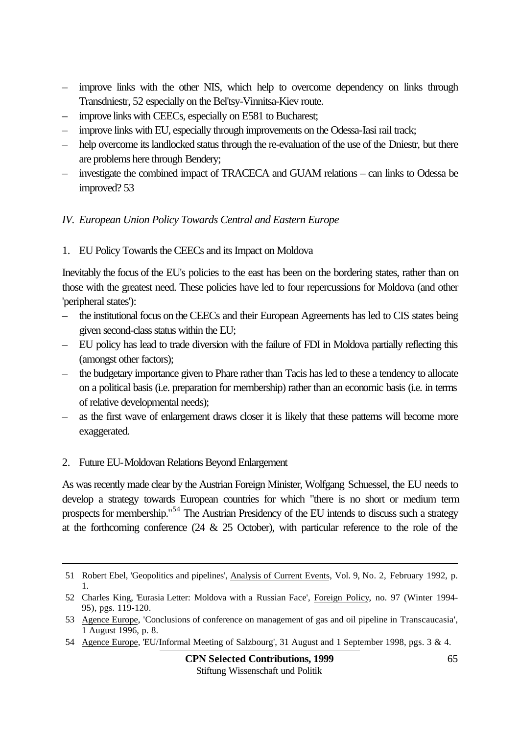- improve links with the other NIS, which help to overcome dependency on links through Transdniestr, 52 especially on the Bel'tsy-Vinnitsa-Kiev route.
- improve links with CEECs, especially on E581 to Bucharest;
- improve links with EU, especially through improvements on the Odessa-Iasi rail track;
- help overcome its landlocked status through the re-evaluation of the use of the Dniestr, but there are problems here through Bendery;
- investigate the combined impact of TRACECA and GUAM relations can links to Odessa be improved? 53

#### *IV. European Union Policy Towards Central and Eastern Europe*

1. EU Policy Towards the CEECs and its Impact on Moldova

Inevitably the focus of the EU's policies to the east has been on the bordering states, rather than on those with the greatest need. These policies have led to four repercussions for Moldova (and other 'peripheral states'):

- the institutional focus on the CEECs and their European Agreements has led to CIS states being given second-class status within the EU;
- EU policy has lead to trade diversion with the failure of FDI in Moldova partially reflecting this (amongst other factors);
- the budgetary importance given to Phare rather than Tacis has led to these a tendency to allocate on a political basis (i.e. preparation for membership) rather than an economic basis (i.e. in terms of relative developmental needs);
- as the first wave of enlargement draws closer it is likely that these patterns will become more exaggerated.
- 2. Future EU-Moldovan Relations Beyond Enlargement

l

As was recently made clear by the Austrian Foreign Minister, Wolfgang Schuessel, the EU needs to develop a strategy towards European countries for which "there is no short or medium term prospects for membership."<sup>54</sup> The Austrian Presidency of the EU intends to discuss such a strategy at the forthcoming conference  $(24 \& 25 \text{ October})$ , with particular reference to the role of the

54 Agence Europe, 'EU/Informal Meeting of Salzbourg', 31 August and 1 September 1998, pgs. 3 & 4.

<sup>51</sup> Robert Ebel, 'Geopolitics and pipelines', Analysis of Current Events, Vol. 9, No. 2, February 1992, p. 1.

<sup>52</sup> Charles King, 'Eurasia Letter: Moldova with a Russian Face', Foreign Policy, no. 97 (Winter 1994- 95), pgs. 119-120.

<sup>53</sup> Agence Europe, 'Conclusions of conference on management of gas and oil pipeline in Transcaucasia', 1 August 1996, p. 8.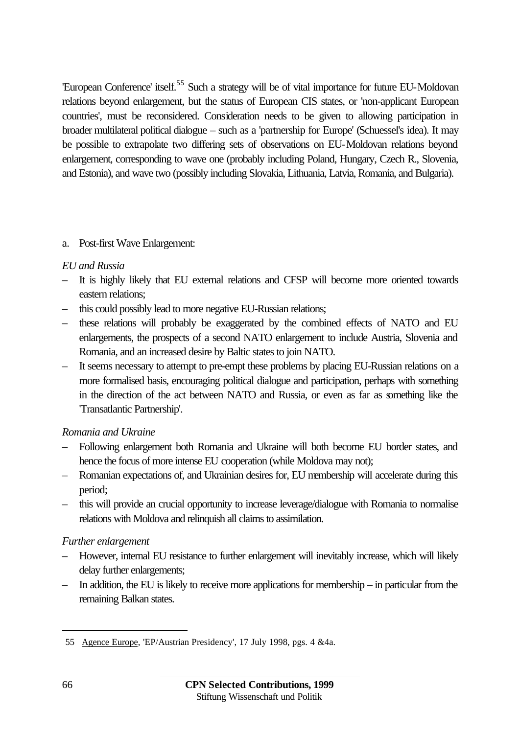'European Conference' itself.<sup>55</sup> Such a strategy will be of vital importance for future EU-Moldovan relations beyond enlargement, but the status of European CIS states, or 'non-applicant European countries', must be reconsidered. Consideration needs to be given to allowing participation in broader multilateral political dialogue – such as a 'partnership for Europe' (Schuessel's idea). It may be possible to extrapolate two differing sets of observations on EU-Moldovan relations beyond enlargement, corresponding to wave one (probably including Poland, Hungary, Czech R., Slovenia, and Estonia), and wave two (possibly including Slovakia, Lithuania, Latvia, Romania, and Bulgaria).

#### a. Post-first Wave Enlargement:

#### *EU and Russia*

- It is highly likely that EU external relations and CFSP will become more oriented towards eastern relations;
- this could possibly lead to more negative EU-Russian relations;
- these relations will probably be exaggerated by the combined effects of NATO and EU enlargements, the prospects of a second NATO enlargement to include Austria, Slovenia and Romania, and an increased desire by Baltic states to join NATO.
- It seems necessary to attempt to pre-empt these problems by placing EU-Russian relations on a more formalised basis, encouraging political dialogue and participation, perhaps with something in the direction of the act between NATO and Russia, or even as far as something like the 'Transatlantic Partnership'.

#### *Romania and Ukraine*

- Following enlargement both Romania and Ukraine will both become EU border states, and hence the focus of more intense EU cooperation (while Moldova may not);
- Romanian expectations of, and Ukrainian desires for, EU membership will accelerate during this period;
- this will provide an crucial opportunity to increase leverage/dialogue with Romania to normalise relations with Moldova and relinquish all claims to assimilation.

#### *Further enlargement*

- However, internal EU resistance to further enlargement will inevitably increase, which will likely delay further enlargements;
- In addition, the EU is likely to receive more applications for membership in particular from the remaining Balkan states.

 $\overline{a}$ 

<sup>55</sup> Agence Europe, 'EP/Austrian Presidency', 17 July 1998, pgs. 4 &4a.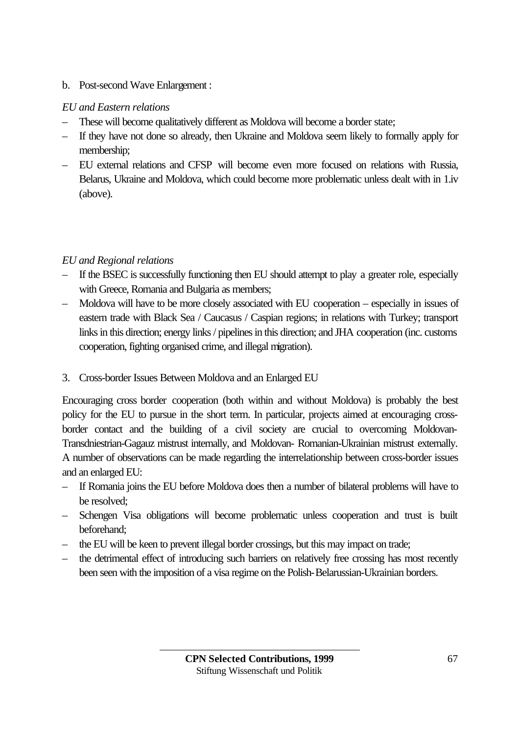### b. Post-second Wave Enlargement :

### *EU and Eastern relations*

- These will become qualitatively different as Moldova will become a border state;
- If they have not done so already, then Ukraine and Moldova seem likely to formally apply for membership;
- EU external relations and CFSP will become even more focused on relations with Russia, Belarus, Ukraine and Moldova, which could become more problematic unless dealt with in 1.iv (above).

## *EU and Regional relations*

- If the BSEC is successfully functioning then EU should attempt to play a greater role, especially with Greece, Romania and Bulgaria as members;
- Moldova will have to be more closely associated with EU cooperation especially in issues of eastern trade with Black Sea / Caucasus / Caspian regions; in relations with Turkey; transport links in this direction; energy links / pipelines in this direction; and JHA cooperation (inc. customs cooperation, fighting organised crime, and illegal migration).
- 3. Cross-border Issues Between Moldova and an Enlarged EU

Encouraging cross border cooperation (both within and without Moldova) is probably the best policy for the EU to pursue in the short term. In particular, projects aimed at encouraging crossborder contact and the building of a civil society are crucial to overcoming Moldovan-Transdniestrian-Gagauz mistrust internally, and Moldovan- Romanian-Ukrainian mistrust externally. A number of observations can be made regarding the interrelationship between cross-border issues and an enlarged EU:

- If Romania joins the EU before Moldova does then a number of bilateral problems will have to be resolved;
- Schengen Visa obligations will become problematic unless cooperation and trust is built beforehand;
- the EU will be keen to prevent illegal border crossings, but this may impact on trade;
- the detrimental effect of introducing such barriers on relatively free crossing has most recently been seen with the imposition of a visa regime on the Polish-Belarussian-Ukrainian borders.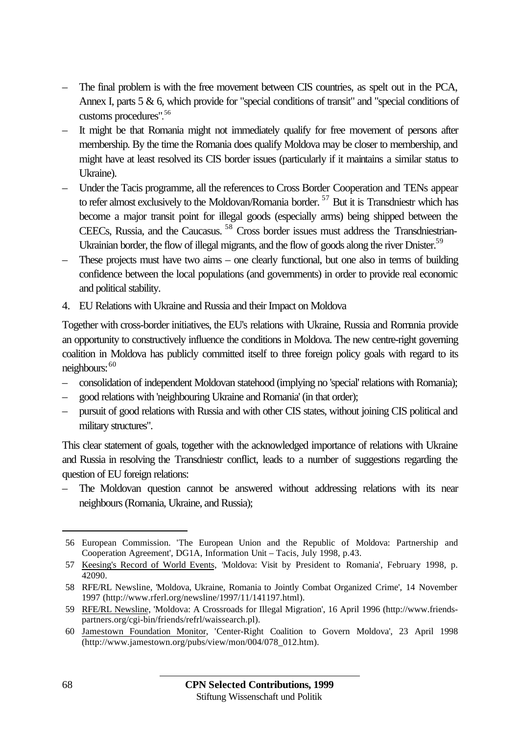- The final problem is with the free movement between CIS countries, as spelt out in the PCA, Annex I, parts 5 & 6, which provide for "special conditions of transit" and "special conditions of customs procedures". 56
- It might be that Romania might not immediately qualify for free movement of persons after membership. By the time the Romania does qualify Moldova may be closer to membership, and might have at least resolved its CIS border issues (particularly if it maintains a similar status to Ukraine).
- Under the Tacis programme, all the references to Cross Border Cooperation and TENs appear to refer almost exclusively to the Moldovan/Romania border.  $57$  But it is Transdniestr which has become a major transit point for illegal goods (especially arms) being shipped between the CEECs, Russia, and the Caucasus. <sup>58</sup> Cross border issues must address the Transdniestrian-Ukrainian border, the flow of illegal migrants, and the flow of goods along the river Dnister.<sup>59</sup>
- These projects must have two aims one clearly functional, but one also in terms of building confidence between the local populations (and governments) in order to provide real economic and political stability.
- 4. EU Relations with Ukraine and Russia and their Impact on Moldova

Together with cross-border initiatives, the EU's relations with Ukraine, Russia and Romania provide an opportunity to constructively influence the conditions in Moldova. The new centre-right governing coalition in Moldova has publicly committed itself to three foreign policy goals with regard to its neighbours:  $60$ 

- consolidation of independent Moldovan statehood (implying no 'special' relations with Romania);
- good relations with 'neighbouring Ukraine and Romania' (in that order);
- pursuit of good relations with Russia and with other CIS states, without joining CIS political and military structures".

This clear statement of goals, together with the acknowledged importance of relations with Ukraine and Russia in resolving the Transdniestr conflict, leads to a number of suggestions regarding the question of EU foreign relations:

– The Moldovan question cannot be answered without addressing relations with its near neighbours (Romania, Ukraine, and Russia);

<sup>56</sup> European Commission. 'The European Union and the Republic of Moldova: Partnership and Cooperation Agreement', DG1A, Information Unit – Tacis, July 1998, p.43.

<sup>57</sup> Keesing's Record of World Events, 'Moldova: Visit by President to Romania', February 1998, p. 42090.

<sup>58</sup> RFE/RL Newsline, 'Moldova, Ukraine, Romania to Jointly Combat Organized Crime', 14 November 1997 (http://www.rferl.org/newsline/1997/11/141197.html).

<sup>59</sup> RFE/RL Newsline, 'Moldova: A Crossroads for Illegal Migration', 16 April 1996 (http://www.friendspartners.org/cgi-bin/friends/refrl/waissearch.pl).

<sup>60</sup> Jamestown Foundation Monitor, 'Center-Right Coalition to Govern Moldova', 23 April 1998 (http://www.jamestown.org/pubs/view/mon/004/078\_012.htm).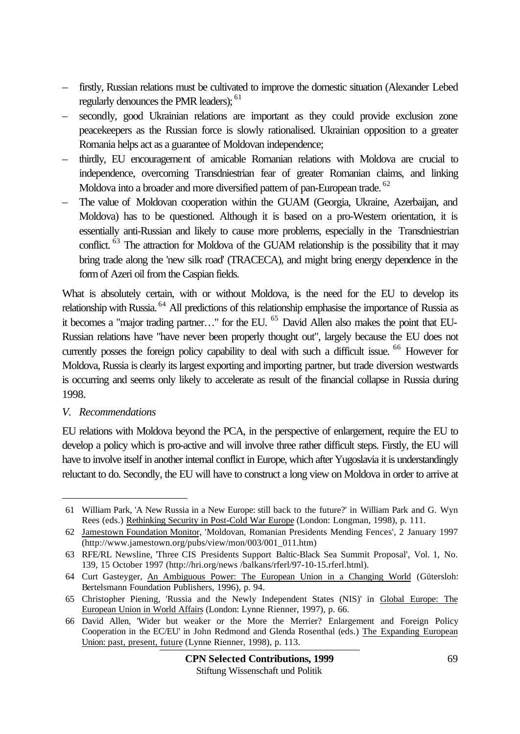- firstly, Russian relations must be cultivated to improve the domestic situation (Alexander Lebed regularly denounces the PMR leaders); <sup>61</sup>
- secondly, good Ukrainian relations are important as they could provide exclusion zone peacekeepers as the Russian force is slowly rationalised. Ukrainian opposition to a greater Romania helps act as a guarantee of Moldovan independence;
- thirdly, EU encouragement of amicable Romanian relations with Moldova are crucial to independence, overcoming Transdniestrian fear of greater Romanian claims, and linking Moldova into a broader and more diversified pattern of pan-European trade. <sup>62</sup>
- The value of Moldovan cooperation within the GUAM (Georgia, Ukraine, Azerbaijan, and Moldova) has to be questioned. Although it is based on a pro-Western orientation, it is essentially anti-Russian and likely to cause more problems, especially in the Transdniestrian conflict. <sup>63</sup> The attraction for Moldova of the GUAM relationship is the possibility that it may bring trade along the 'new silk road' (TRACECA), and might bring energy dependence in the form of Azeri oil from the Caspian fields.

What is absolutely certain, with or without Moldova, is the need for the EU to develop its relationship with Russia. <sup>64</sup> All predictions of this relationship emphasise the importance of Russia as it becomes a "major trading partner..." for the EU.<sup>65</sup> David Allen also makes the point that EU-Russian relations have "have never been properly thought out", largely because the EU does not currently posses the foreign policy capability to deal with such a difficult issue. <sup>66</sup> However for Moldova, Russia is clearly its largest exporting and importing partner, but trade diversion westwards is occurring and seems only likely to accelerate as result of the financial collapse in Russia during 1998.

#### *V. Recommendations*

l

EU relations with Moldova beyond the PCA, in the perspective of enlargement, require the EU to develop a policy which is pro-active and will involve three rather difficult steps. Firstly, the EU will have to involve itself in another internal conflict in Europe, which after Yugoslavia it is understandingly reluctant to do. Secondly, the EU will have to construct a long view on Moldova in order to arrive at

<sup>61</sup> William Park, 'A New Russia in a New Europe: still back to the future?' in William Park and G. Wyn Rees (eds.) Rethinking Security in Post-Cold War Europe (London: Longman, 1998), p. 111.

<sup>62</sup> Jamestown Foundation Monitor, 'Moldovan, Romanian Presidents Mending Fences', 2 January 1997 (http://www.jamestown.org/pubs/view/mon/003/001\_011.htm)

<sup>63</sup> RFE/RL Newsline, 'Three CIS Presidents Support Baltic-Black Sea Summit Proposal', Vol. 1, No. 139, 15 October 1997 (http://hri.org/news /balkans/rferl/97-10-15.rferl.html).

<sup>64</sup> Curt Gasteyger, An Ambiguous Power: The European Union in a Changing World (Gütersloh: Bertelsmann Foundation Publishers, 1996), p. 94.

<sup>65</sup> Christopher Piening, 'Russia and the Newly Independent States (NIS)' in Global Europe: The European Union in World Affairs (London: Lynne Rienner, 1997), p. 66.

<sup>66</sup> David Allen, 'Wider but weaker or the More the Merrier? Enlargement and Foreign Policy Cooperation in the EC/EU' in John Redmond and Glenda Rosenthal (eds.) The Expanding European Union: past, present, future (Lynne Rienner, 1998), p. 113.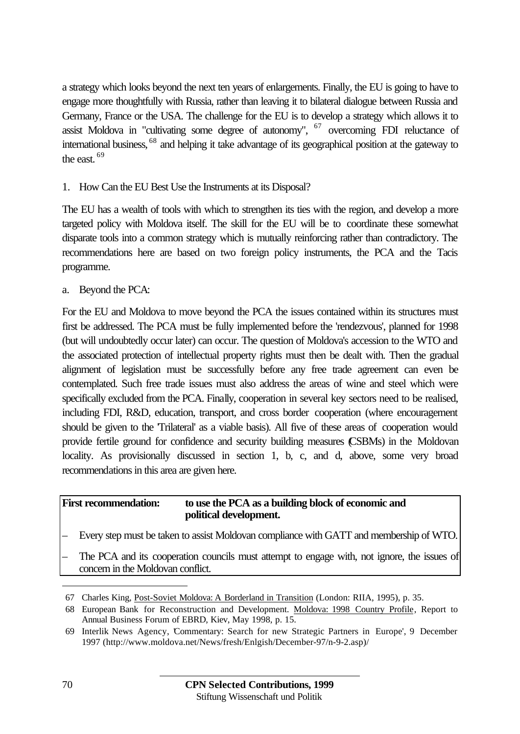a strategy which looks beyond the next ten years of enlargements. Finally, the EU is going to have to engage more thoughtfully with Russia, rather than leaving it to bilateral dialogue between Russia and Germany, France or the USA. The challenge for the EU is to develop a strategy which allows it to assist Moldova in "cultivating some degree of autonomy",  $67$  overcoming FDI reluctance of international business, <sup>68</sup> and helping it take advantage of its geographical position at the gateway to the east  $69$ 

### 1. How Can the EU Best Use the Instruments at its Disposal?

The EU has a wealth of tools with which to strengthen its ties with the region, and develop a more targeted policy with Moldova itself. The skill for the EU will be to coordinate these somewhat disparate tools into a common strategy which is mutually reinforcing rather than contradictory. The recommendations here are based on two foreign policy instruments, the PCA and the Tacis programme.

a. Beyond the PCA:

For the EU and Moldova to move beyond the PCA the issues contained within its structures must first be addressed. The PCA must be fully implemented before the 'rendezvous', planned for 1998 (but will undoubtedly occur later) can occur. The question of Moldova's accession to the WTO and the associated protection of intellectual property rights must then be dealt with. Then the gradual alignment of legislation must be successfully before any free trade agreement can even be contemplated. Such free trade issues must also address the areas of wine and steel which were specifically excluded from the PCA. Finally, cooperation in several key sectors need to be realised, including FDI, R&D, education, transport, and cross border cooperation (where encouragement should be given to the 'Trilateral' as a viable basis). All five of these areas of cooperation would provide fertile ground for confidence and security building measures (CSBMs) in the Moldovan locality. As provisionally discussed in section 1, b, c, and d, above, some very broad recommendations in this area are given here.

#### **First recommendation: to use the PCA as a building block of economic and political development.**

- Every step must be taken to assist Moldovan compliance with GATT and membership of WTO.
- The PCA and its cooperation councils must attempt to engage with, not ignore, the issues of concern in the Moldovan conflict.

<sup>67</sup> Charles King, Post-Soviet Moldova: A Borderland in Transition (London: RIIA, 1995), p. 35.

<sup>68</sup> European Bank for Reconstruction and Development. Moldova: 1998 Country Profile, Report to Annual Business Forum of EBRD, Kiev, May 1998, p. 15.

<sup>69</sup> Interlik News Agency, 'Commentary: Search for new Strategic Partners in Europe', 9 December 1997 (http://www.moldova.net/News/fresh/Enlgish/December-97/n-9-2.asp)/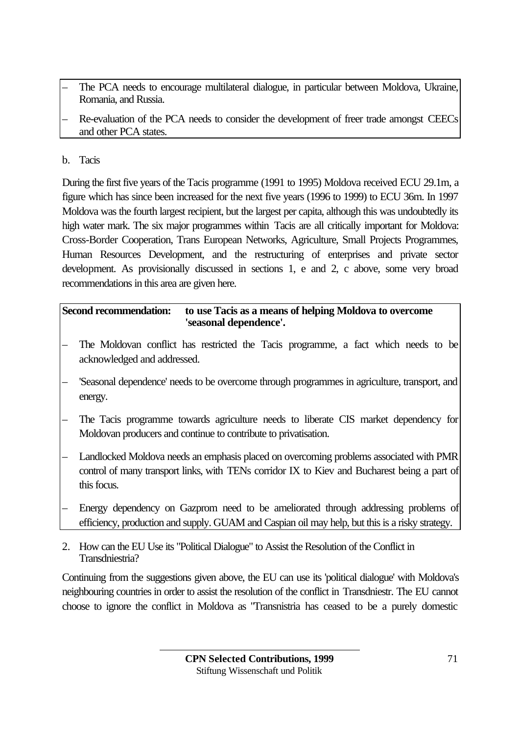- The PCA needs to encourage multilateral dialogue, in particular between Moldova, Ukraine, Romania, and Russia.
- Re-evaluation of the PCA needs to consider the development of freer trade amongst CEECs and other PCA states.

## b. Tacis

During the first five years of the Tacis programme (1991 to 1995) Moldova received ECU 29.1m, a figure which has since been increased for the next five years (1996 to 1999) to ECU 36m. In 1997 Moldova was the fourth largest recipient, but the largest per capita, although this was undoubtedly its high water mark. The six major programmes within Tacis are all critically important for Moldova: Cross-Border Cooperation, Trans European Networks, Agriculture, Small Projects Programmes, Human Resources Development, and the restructuring of enterprises and private sector development. As provisionally discussed in sections 1, e and 2, c above, some very broad recommendations in this area are given here.

### **Second recommendation: to use Tacis as a means of helping Moldova to overcome 'seasonal dependence'.**

- The Moldovan conflict has restricted the Tacis programme, a fact which needs to be acknowledged and addressed.
- 'Seasonal dependence' needs to be overcome through programmes in agriculture, transport, and energy.
- The Tacis programme towards agriculture needs to liberate CIS market dependency for Moldovan producers and continue to contribute to privatisation.
- Landlocked Moldova needs an emphasis placed on overcoming problems associated with PMR control of many transport links, with TENs corridor IX to Kiev and Bucharest being a part of this focus.
- Energy dependency on Gazprom need to be ameliorated through addressing problems of efficiency, production and supply. GUAM and Caspian oil may help, but this is a risky strategy.
- 2. How can the EU Use its "Political Dialogue" to Assist the Resolution of the Conflict in Transdniestria?

Continuing from the suggestions given above, the EU can use its 'political dialogue' with Moldova's neighbouring countries in order to assist the resolution of the conflict in Transdniestr. The EU cannot choose to ignore the conflict in Moldova as "Transnistria has ceased to be a purely domestic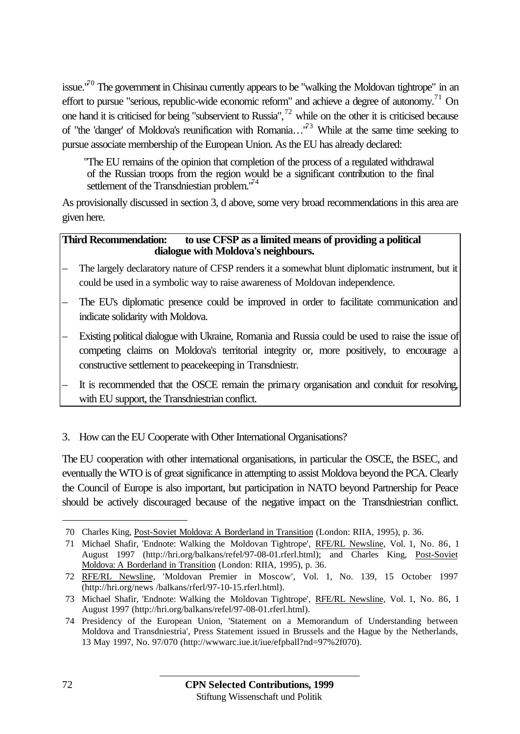issue."<sup>70</sup> The government in Chisinau currently appears to be "walking the Moldovan tightrope" in an effort to pursue "serious, republic-wide economic reform" and achieve a degree of autonomy.<sup>71</sup> On one hand it is criticised for being "subservient to Russia", $^{72}$  while on the other it is criticised because of "the 'danger' of Moldova's reunification with Romania..."<sup>73</sup> While at the same time seeking to pursue associate membership of the European Union. As the EU has already declared:

"The EU remains of the opinion that completion of the process of a regulated withdrawal of the Russian troops from the region would be a significant contribution to the final settlement of the Transdniestian problem.<sup>74</sup>

As provisionally discussed in section 3, d above, some very broad recommendations in this area are given here.

#### **Third Recommendation: to use CFSP as a limited means of providing a political dialogue with Moldova's neighbours.**

- The largely declaratory nature of CFSP renders it a somewhat blunt diplomatic instrument, but it could be used in a symbolic way to raise awareness of Moldovan independence.
- The EU's diplomatic presence could be improved in order to facilitate communication and indicate solidarity with Moldova.
- Existing political dialogue with Ukraine, Romania and Russia could be used to raise the issue of competing claims on Moldova's territorial integrity or, more positively, to encourage a constructive settlement to peacekeeping in Transdniestr.
- It is recommended that the OSCE remain the primary organisation and conduit for resolving, with EU support, the Transdniestrian conflict.
- 3. How can the EU Cooperate with Other International Organisations?

The EU cooperation with other international organisations, in particular the OSCE, the BSEC, and eventually the WTO is of great significance in attempting to assist Moldova beyond the PCA. Clearly the Council of Europe is also important, but participation in NATO beyond Partnership for Peace should be actively discouraged because of the negative impact on the Transdniestrian conflict.

<sup>70</sup> Charles King, Post-Soviet Moldova: A Borderland in Transition (London: RIIA, 1995), p. 36.

<sup>71</sup> Michael Shafir, 'Endnote: Walking the Moldovan Tightrope', RFE/RL Newsline, Vol. 1, No. 86, 1 August 1997 (http://hri.org/balkans/refel/97-08-01.rferl.html); and Charles King, Post-Soviet Moldova: A Borderland in Transition (London: RIIA, 1995), p. 36.

<sup>72</sup> RFE/RL Newsline, 'Moldovan Premier in Moscow', Vol. 1, No. 139, 15 October 1997 (http://hri.org/news /balkans/rferl/97-10-15.rferl.html).

<sup>73</sup> Michael Shafir, 'Endnote: Walking the Moldovan Tightrope', RFE/RL Newsline, Vol. 1, No. 86, 1 August 1997 (http://hri.org/balkans/refel/97-08-01.rferl.html).

<sup>74</sup> Presidency of the European Union, 'Statement on a Memorandum of Understanding between Moldova and Transdniestria', Press Statement issued in Brussels and the Hague by the Netherlands, 13 May 1997, No. 97/070 (http://wwwarc.iue.it/iue/efpball?nd=97%2f070).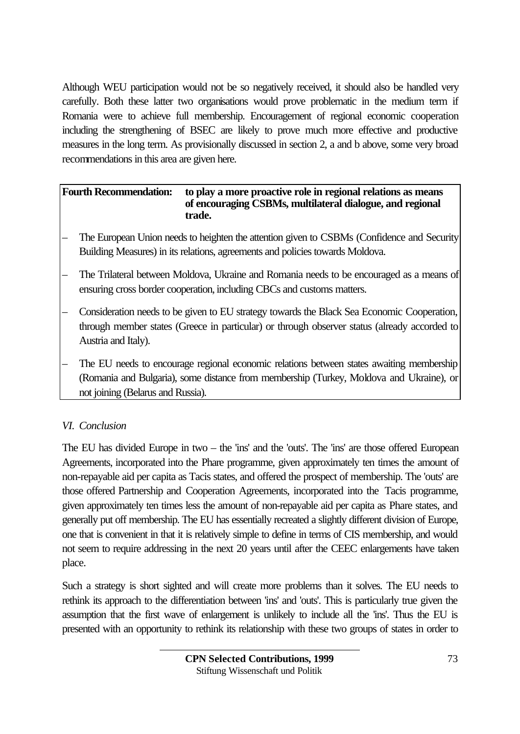Although WEU participation would not be so negatively received, it should also be handled very carefully. Both these latter two organisations would prove problematic in the medium term if Romania were to achieve full membership. Encouragement of regional economic cooperation including the strengthening of BSEC are likely to prove much more effective and productive measures in the long term. As provisionally discussed in section 2, a and b above, some very broad recommendations in this area are given here.

### **Fourth Recommendation: to play a more proactive role in regional relations as means of encouraging CSBMs, multilateral dialogue, and regional trade.**

- The European Union needs to heighten the attention given to CSBMs (Confidence and Security Building Measures) in its relations, agreements and policies towards Moldova.
- The Trilateral between Moldova, Ukraine and Romania needs to be encouraged as a means of ensuring cross border cooperation, including CBCs and customs matters.
- Consideration needs to be given to EU strategy towards the Black Sea Economic Cooperation, through member states (Greece in particular) or through observer status (already accorded to Austria and Italy).
- The EU needs to encourage regional economic relations between states awaiting membership (Romania and Bulgaria), some distance from membership (Turkey, Moldova and Ukraine), or not joining (Belarus and Russia).

# *VI. Conclusion*

The EU has divided Europe in two – the 'ins' and the 'outs'. The 'ins' are those offered European Agreements, incorporated into the Phare programme, given approximately ten times the amount of non-repayable aid per capita as Tacis states, and offered the prospect of membership. The 'outs' are those offered Partnership and Cooperation Agreements, incorporated into the Tacis programme, given approximately ten times less the amount of non-repayable aid per capita as Phare states, and generally put off membership. The EU has essentially recreated a slightly different division of Europe, one that is convenient in that it is relatively simple to define in terms of CIS membership, and would not seem to require addressing in the next 20 years until after the CEEC enlargements have taken place.

Such a strategy is short sighted and will create more problems than it solves. The EU needs to rethink its approach to the differentiation between 'ins' and 'outs'. This is particularly true given the assumption that the first wave of enlargement is unlikely to include all the 'ins'. Thus the EU is presented with an opportunity to rethink its relationship with these two groups of states in order to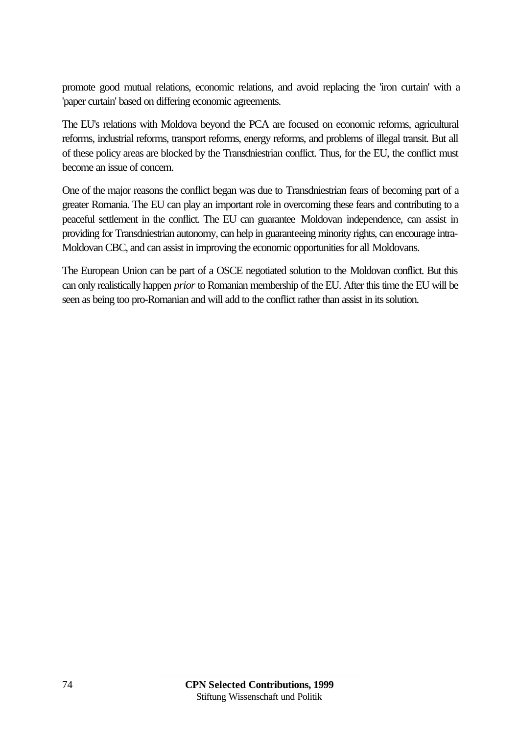promote good mutual relations, economic relations, and avoid replacing the 'iron curtain' with a 'paper curtain' based on differing economic agreements.

The EU's relations with Moldova beyond the PCA are focused on economic reforms, agricultural reforms, industrial reforms, transport reforms, energy reforms, and problems of illegal transit. But all of these policy areas are blocked by the Transdniestrian conflict. Thus, for the EU, the conflict must become an issue of concern.

One of the major reasons the conflict began was due to Transdniestrian fears of becoming part of a greater Romania. The EU can play an important role in overcoming these fears and contributing to a peaceful settlement in the conflict. The EU can guarantee Moldovan independence, can assist in providing for Transdniestrian autonomy, can help in guaranteeing minority rights, can encourage intra-Moldovan CBC, and can assist in improving the economic opportunities for all Moldovans.

The European Union can be part of a OSCE negotiated solution to the Moldovan conflict. But this can only realistically happen *prior* to Romanian membership of the EU. After this time the EU will be seen as being too pro-Romanian and will add to the conflict rather than assist in its solution.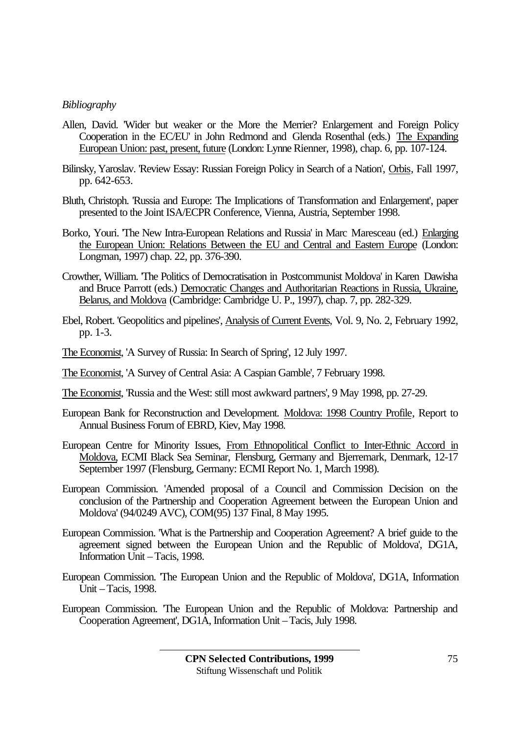#### *Bibliography*

- Allen, David. 'Wider but weaker or the More the Merrier? Enlargement and Foreign Policy Cooperation in the EC/EU' in John Redmond and Glenda Rosenthal (eds.) The Expanding European Union: past, present, future (London: Lynne Rienner, 1998), chap. 6, pp. 107-124.
- Bilinsky, Yaroslav. 'Review Essay: Russian Foreign Policy in Search of a Nation', Orbis, Fall 1997, pp. 642-653.
- Bluth, Christoph. 'Russia and Europe: The Implications of Transformation and Enlargement', paper presented to the Joint ISA/ECPR Conference, Vienna, Austria, September 1998.
- Borko, Youri. 'The New Intra-European Relations and Russia' in Marc Maresceau (ed.) Enlarging the European Union: Relations Between the EU and Central and Eastern Europe (London: Longman, 1997) chap. 22, pp. 376-390.
- Crowther, William. 'The Politics of Democratisation in Postcommunist Moldova' in Karen Dawisha and Bruce Parrott (eds.) Democratic Changes and Authoritarian Reactions in Russia, Ukraine, Belarus, and Moldova (Cambridge: Cambridge U. P., 1997), chap. 7, pp. 282-329.
- Ebel, Robert. 'Geopolitics and pipelines', Analysis of Current Events, Vol. 9, No. 2, February 1992, pp. 1-3.
- The Economist, 'A Survey of Russia: In Search of Spring', 12 July 1997.
- The Economist, 'A Survey of Central Asia: A Caspian Gamble', 7 February 1998.
- The Economist, 'Russia and the West: still most awkward partners', 9 May 1998, pp. 27-29.
- European Bank for Reconstruction and Development. Moldova: 1998 Country Profile, Report to Annual Business Forum of EBRD, Kiev, May 1998.
- European Centre for Minority Issues, From Ethnopolitical Conflict to Inter-Ethnic Accord in Moldova, ECMI Black Sea Seminar, Flensburg, Germany and Bjerremark, Denmark, 12-17 September 1997 (Flensburg, Germany: ECMI Report No. 1, March 1998).
- European Commission. 'Amended proposal of a Council and Commission Decision on the conclusion of the Partnership and Cooperation Agreement between the European Union and Moldova' (94/0249 AVC), COM(95) 137 Final, 8 May 1995.
- European Commission. 'What is the Partnership and Cooperation Agreement? A brief guide to the agreement signed between the European Union and the Republic of Moldova', DG1A, Information Unit – Tacis, 1998.
- European Commission. 'The European Union and the Republic of Moldova', DG1A, Information Unit – Tacis, 1998.
- European Commission. 'The European Union and the Republic of Moldova: Partnership and Cooperation Agreement', DG1A, Information Unit – Tacis, July 1998.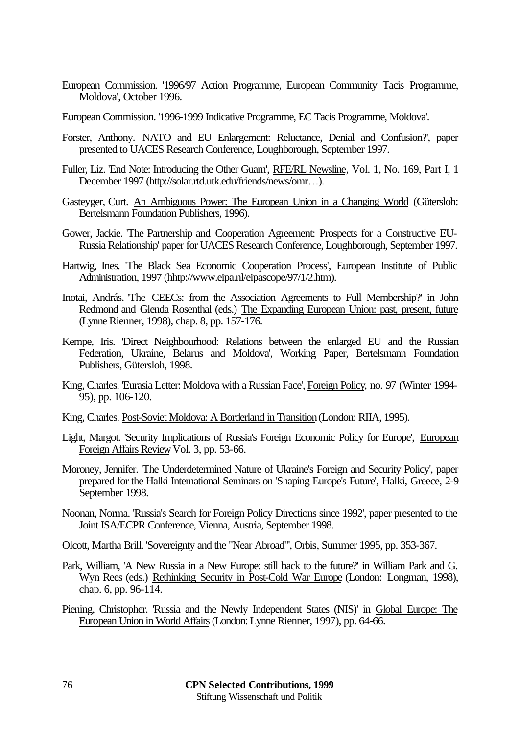- European Commission. '1996/97 Action Programme, European Community Tacis Programme, Moldova', October 1996.
- European Commission. '1996-1999 Indicative Programme, EC Tacis Programme, Moldova'.
- Forster, Anthony. 'NATO and EU Enlargement: Reluctance, Denial and Confusion?', paper presented to UACES Research Conference, Loughborough, September 1997.
- Fuller, Liz. 'End Note: Introducing the Other Guam', RFE/RL Newsline, Vol. 1, No. 169, Part I, 1 December 1997 (http://solar.rtd.utk.edu/friends/news/omr…).
- Gasteyger, Curt. An Ambiguous Power: The European Union in a Changing World (Gütersloh: Bertelsmann Foundation Publishers, 1996).
- Gower, Jackie. 'The Partnership and Cooperation Agreement: Prospects for a Constructive EU-Russia Relationship' paper for UACES Research Conference, Loughborough, September 1997.
- Hartwig, Ines. 'The Black Sea Economic Cooperation Process', European Institute of Public Administration, 1997 (hhtp://www.eipa.nl/eipascope/97/1/2.htm).
- Inotai, András. 'The CEECs: from the Association Agreements to Full Membership?' in John Redmond and Glenda Rosenthal (eds.) The Expanding European Union: past, present, future (Lynne Rienner, 1998), chap. 8, pp. 157-176.
- Kempe, Iris. 'Direct Neighbourhood: Relations between the enlarged EU and the Russian Federation, Ukraine, Belarus and Moldova', Working Paper, Bertelsmann Foundation Publishers, Gütersloh, 1998.
- King, Charles. 'Eurasia Letter: Moldova with a Russian Face', Foreign Policy, no. 97 (Winter 1994-95), pp. 106-120.
- King, Charles. Post-Soviet Moldova: A Borderland in Transition (London: RIIA, 1995).
- Light, Margot. 'Security Implications of Russia's Foreign Economic Policy for Europe', European Foreign Affairs Review Vol. 3, pp. 53-66.
- Moroney, Jennifer. 'The Underdetermined Nature of Ukraine's Foreign and Security Policy', paper prepared for the Halki International Seminars on 'Shaping Europe's Future', Halki, Greece, 2-9 September 1998.
- Noonan, Norma. 'Russia's Search for Foreign Policy Directions since 1992', paper presented to the Joint ISA/ECPR Conference, Vienna, Austria, September 1998.
- Olcott, Martha Brill. 'Sovereignty and the "Near Abroad"', Orbis, Summer 1995, pp. 353-367.
- Park, William, 'A New Russia in a New Europe: still back to the future?' in William Park and G. Wyn Rees (eds.) Rethinking Security in Post-Cold War Europe (London: Longman, 1998), chap. 6, pp. 96-114.
- Piening, Christopher. 'Russia and the Newly Independent States (NIS)' in Global Europe: The European Union in World Affairs (London: Lynne Rienner, 1997), pp. 64-66.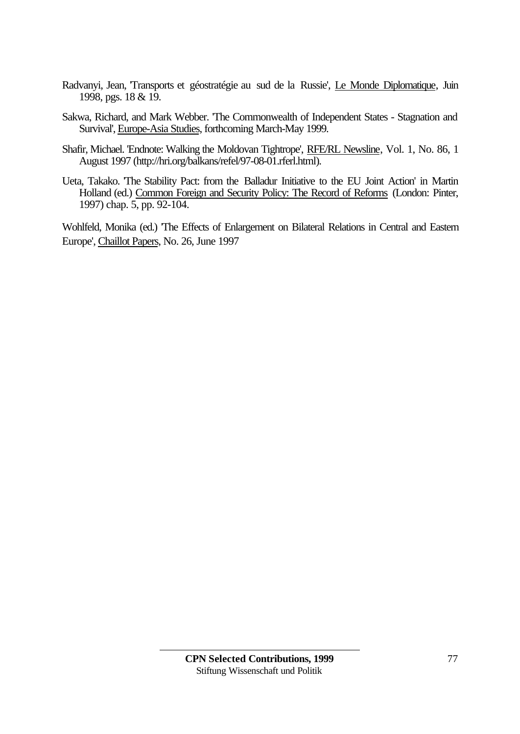- Radvanyi, Jean, 'Transports et géostratégie au sud de la Russie', Le Monde Diplomatique, Juin 1998, pgs. 18 & 19.
- Sakwa, Richard, and Mark Webber. 'The Commonwealth of Independent States Stagnation and Survival', Europe-Asia Studies, forthcoming March-May 1999.
- Shafir, Michael. 'Endnote: Walking the Moldovan Tightrope', RFE/RL Newsline, Vol. 1, No. 86, 1 August 1997 (http://hri.org/balkans/refel/97-08-01.rferl.html).
- Ueta, Takako. 'The Stability Pact: from the Balladur Initiative to the EU Joint Action' in Martin Holland (ed.) Common Foreign and Security Policy: The Record of Reforms (London: Pinter, 1997) chap. 5, pp. 92-104.

Wohlfeld, Monika (ed.) 'The Effects of Enlargement on Bilateral Relations in Central and Eastern Europe', Chaillot Papers, No. 26, June 1997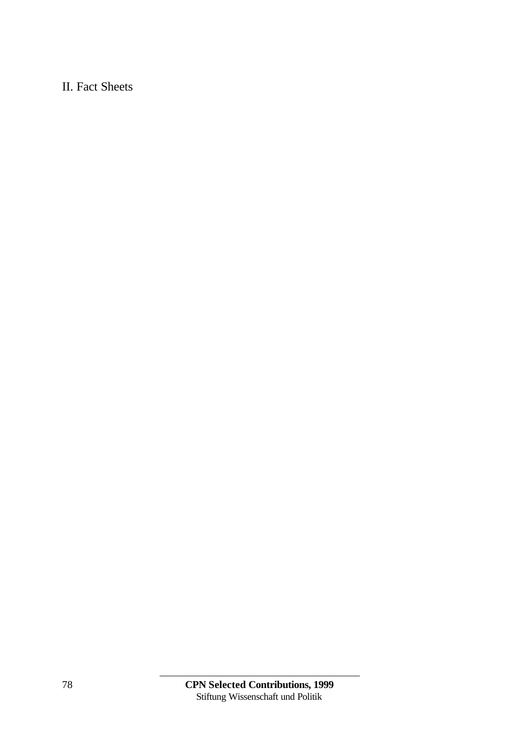# II. Fact Sheets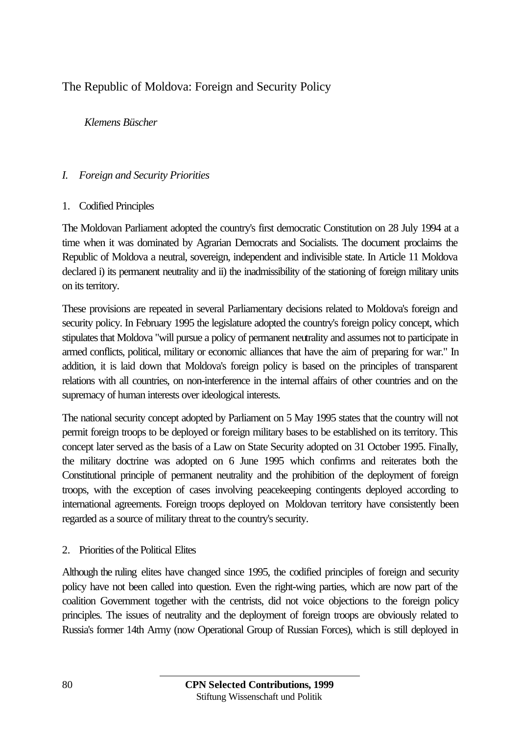# The Republic of Moldova: Foreign and Security Policy

### *Klemens Büscher*

### *I. Foreign and Security Priorities*

### 1. Codified Principles

The Moldovan Parliament adopted the country's first democratic Constitution on 28 July 1994 at a time when it was dominated by Agrarian Democrats and Socialists. The document proclaims the Republic of Moldova a neutral, sovereign, independent and indivisible state. In Article 11 Moldova declared i) its permanent neutrality and ii) the inadmissibility of the stationing of foreign military units on its territory.

These provisions are repeated in several Parliamentary decisions related to Moldova's foreign and security policy. In February 1995 the legislature adopted the country's foreign policy concept, which stipulates that Moldova "will pursue a policy of permanent neutrality and assumes not to participate in armed conflicts, political, military or economic alliances that have the aim of preparing for war." In addition, it is laid down that Moldova's foreign policy is based on the principles of transparent relations with all countries, on non-interference in the internal affairs of other countries and on the supremacy of human interests over ideological interests.

The national security concept adopted by Parliament on 5 May 1995 states that the country will not permit foreign troops to be deployed or foreign military bases to be established on its territory. This concept later served as the basis of a Law on State Security adopted on 31 October 1995. Finally, the military doctrine was adopted on 6 June 1995 which confirms and reiterates both the Constitutional principle of permanent neutrality and the prohibition of the deployment of foreign troops, with the exception of cases involving peacekeeping contingents deployed according to international agreements. Foreign troops deployed on Moldovan territory have consistently been regarded as a source of military threat to the country's security.

### 2. Priorities of the Political Elites

Although the ruling elites have changed since 1995, the codified principles of foreign and security policy have not been called into question. Even the right-wing parties, which are now part of the coalition Government together with the centrists, did not voice objections to the foreign policy principles. The issues of neutrality and the deployment of foreign troops are obviously related to Russia's former 14th Army (now Operational Group of Russian Forces), which is still deployed in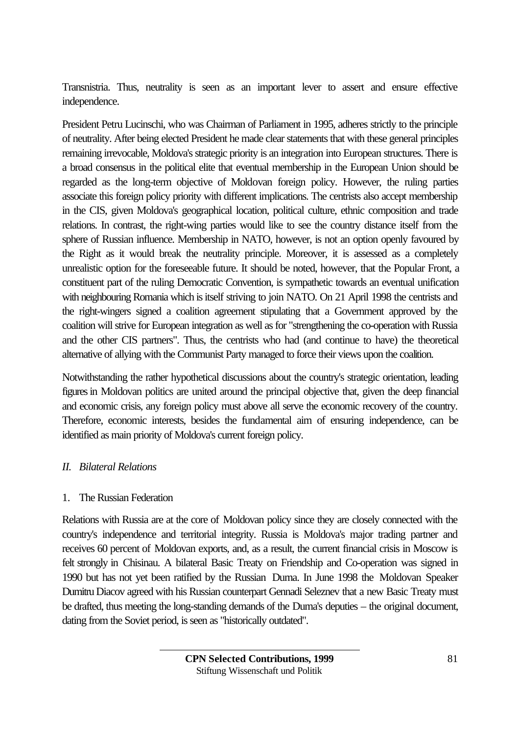Transnistria. Thus, neutrality is seen as an important lever to assert and ensure effective independence.

President Petru Lucinschi, who was Chairman of Parliament in 1995, adheres strictly to the principle of neutrality. After being elected President he made clear statements that with these general principles remaining irrevocable, Moldova's strategic priority is an integration into European structures. There is a broad consensus in the political elite that eventual membership in the European Union should be regarded as the long-term objective of Moldovan foreign policy. However, the ruling parties associate this foreign policy priority with different implications. The centrists also accept membership in the CIS, given Moldova's geographical location, political culture, ethnic composition and trade relations. In contrast, the right-wing parties would like to see the country distance itself from the sphere of Russian influence. Membership in NATO, however, is not an option openly favoured by the Right as it would break the neutrality principle. Moreover, it is assessed as a completely unrealistic option for the foreseeable future. It should be noted, however, that the Popular Front, a constituent part of the ruling Democratic Convention, is sympathetic towards an eventual unification with neighbouring Romania which is itself striving to join NATO. On 21 April 1998 the centrists and the right-wingers signed a coalition agreement stipulating that a Government approved by the coalition will strive for European integration as well as for "strengthening the co-operation with Russia and the other CIS partners". Thus, the centrists who had (and continue to have) the theoretical alternative of allying with the Communist Party managed to force their views upon the coalition.

Notwithstanding the rather hypothetical discussions about the country's strategic orientation, leading figures in Moldovan politics are united around the principal objective that, given the deep financial and economic crisis, any foreign policy must above all serve the economic recovery of the country. Therefore, economic interests, besides the fundamental aim of ensuring independence, can be identified as main priority of Moldova's current foreign policy.

# *II. Bilateral Relations*

# 1. The Russian Federation

Relations with Russia are at the core of Moldovan policy since they are closely connected with the country's independence and territorial integrity. Russia is Moldova's major trading partner and receives 60 percent of Moldovan exports, and, as a result, the current financial crisis in Moscow is felt strongly in Chisinau. A bilateral Basic Treaty on Friendship and Co-operation was signed in 1990 but has not yet been ratified by the Russian Duma. In June 1998 the Moldovan Speaker Dumitru Diacov agreed with his Russian counterpart Gennadi Seleznev that a new Basic Treaty must be drafted, thus meeting the long-standing demands of the Duma's deputies – the original document, dating from the Soviet period, is seen as "historically outdated".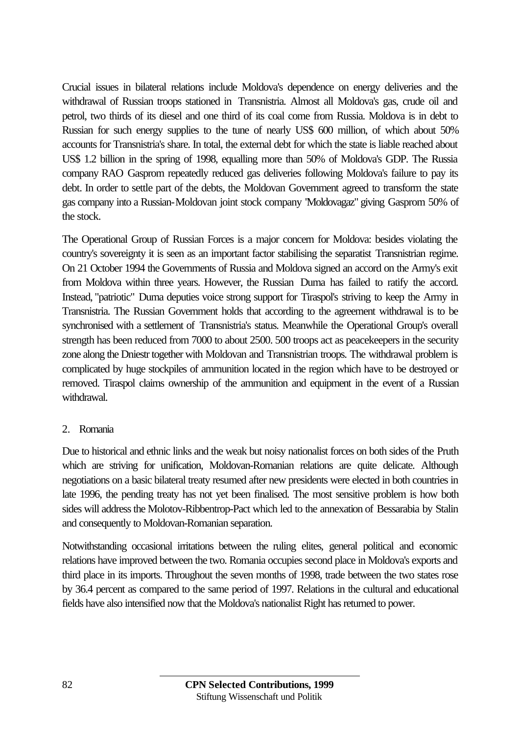Crucial issues in bilateral relations include Moldova's dependence on energy deliveries and the withdrawal of Russian troops stationed in Transnistria. Almost all Moldova's gas, crude oil and petrol, two thirds of its diesel and one third of its coal come from Russia. Moldova is in debt to Russian for such energy supplies to the tune of nearly US\$ 600 million, of which about 50% accounts for Transnistria's share. In total, the external debt for which the state is liable reached about US\$ 1.2 billion in the spring of 1998, equalling more than 50% of Moldova's GDP. The Russia company RAO Gasprom repeatedly reduced gas deliveries following Moldova's failure to pay its debt. In order to settle part of the debts, the Moldovan Government agreed to transform the state gas company into a Russian-Moldovan joint stock company "Moldovagaz" giving Gasprom 50% of the stock.

The Operational Group of Russian Forces is a major concern for Moldova: besides violating the country's sovereignty it is seen as an important factor stabilising the separatist Transnistrian regime. On 21 October 1994 the Governments of Russia and Moldova signed an accord on the Army's exit from Moldova within three years. However, the Russian Duma has failed to ratify the accord. Instead, "patriotic" Duma deputies voice strong support for Tiraspol's striving to keep the Army in Transnistria. The Russian Government holds that according to the agreement withdrawal is to be synchronised with a settlement of Transnistria's status. Meanwhile the Operational Group's overall strength has been reduced from 7000 to about 2500. 500 troops act as peacekeepers in the security zone along the Dniestr together with Moldovan and Transnistrian troops. The withdrawal problem is complicated by huge stockpiles of ammunition located in the region which have to be destroyed or removed. Tiraspol claims ownership of the ammunition and equipment in the event of a Russian withdrawal.

### 2. Romania

Due to historical and ethnic links and the weak but noisy nationalist forces on both sides of the Pruth which are striving for unification, Moldovan-Romanian relations are quite delicate. Although negotiations on a basic bilateral treaty resumed after new presidents were elected in both countries in late 1996, the pending treaty has not yet been finalised. The most sensitive problem is how both sides will address the Molotov-Ribbentrop-Pact which led to the annexation of Bessarabia by Stalin and consequently to Moldovan-Romanian separation.

Notwithstanding occasional irritations between the ruling elites, general political and economic relations have improved between the two. Romania occupies second place in Moldova's exports and third place in its imports. Throughout the seven months of 1998, trade between the two states rose by 36.4 percent as compared to the same period of 1997. Relations in the cultural and educational fields have also intensified now that the Moldova's nationalist Right has returned to power.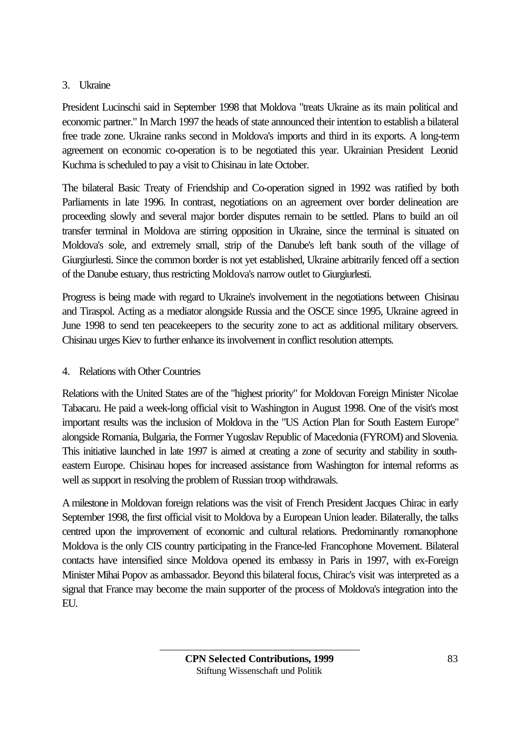# 3. Ukraine

President Lucinschi said in September 1998 that Moldova "treats Ukraine as its main political and economic partner." In March 1997 the heads of state announced their intention to establish a bilateral free trade zone. Ukraine ranks second in Moldova's imports and third in its exports. A long-term agreement on economic co-operation is to be negotiated this year. Ukrainian President Leonid Kuchma is scheduled to pay a visit to Chisinau in late October.

The bilateral Basic Treaty of Friendship and Co-operation signed in 1992 was ratified by both Parliaments in late 1996. In contrast, negotiations on an agreement over border delineation are proceeding slowly and several major border disputes remain to be settled. Plans to build an oil transfer terminal in Moldova are stirring opposition in Ukraine, since the terminal is situated on Moldova's sole, and extremely small, strip of the Danube's left bank south of the village of Giurgiurlesti. Since the common border is not yet established, Ukraine arbitrarily fenced off a section of the Danube estuary, thus restricting Moldova's narrow outlet to Giurgiurlesti.

Progress is being made with regard to Ukraine's involvement in the negotiations between Chisinau and Tiraspol. Acting as a mediator alongside Russia and the OSCE since 1995, Ukraine agreed in June 1998 to send ten peacekeepers to the security zone to act as additional military observers. Chisinau urges Kiev to further enhance its involvement in conflict resolution attempts.

# 4. Relations with Other Countries

Relations with the United States are of the "highest priority" for Moldovan Foreign Minister Nicolae Tabacaru. He paid a week-long official visit to Washington in August 1998. One of the visit's most important results was the inclusion of Moldova in the "US Action Plan for South Eastern Europe" alongside Romania, Bulgaria, the Former Yugoslav Republic of Macedonia (FYROM) and Slovenia. This initiative launched in late 1997 is aimed at creating a zone of security and stability in southeastern Europe. Chisinau hopes for increased assistance from Washington for internal reforms as well as support in resolving the problem of Russian troop withdrawals.

A milestone in Moldovan foreign relations was the visit of French President Jacques Chirac in early September 1998, the first official visit to Moldova by a European Union leader. Bilaterally, the talks centred upon the improvement of economic and cultural relations. Predominantly romanophone Moldova is the only CIS country participating in the France-led Francophone Movement. Bilateral contacts have intensified since Moldova opened its embassy in Paris in 1997, with ex-Foreign Minister Mihai Popov as ambassador. Beyond this bilateral focus, Chirac's visit was interpreted as a signal that France may become the main supporter of the process of Moldova's integration into the EU.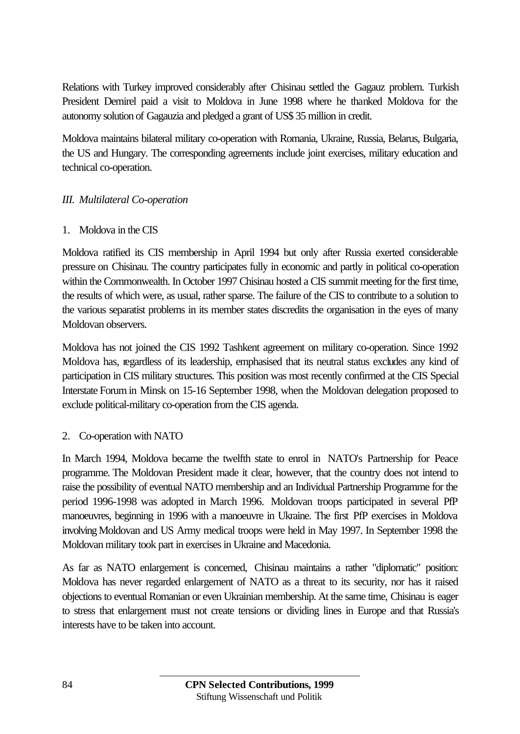Relations with Turkey improved considerably after Chisinau settled the Gagauz problem. Turkish President Demirel paid a visit to Moldova in June 1998 where he thanked Moldova for the autonomy solution of Gagauzia and pledged a grant of US\$ 35 million in credit.

Moldova maintains bilateral military co-operation with Romania, Ukraine, Russia, Belarus, Bulgaria, the US and Hungary. The corresponding agreements include joint exercises, military education and technical co-operation.

### *III. Multilateral Co-operation*

### 1. Moldova in the CIS

Moldova ratified its CIS membership in April 1994 but only after Russia exerted considerable pressure on Chisinau. The country participates fully in economic and partly in political co-operation within the Commonwealth. In October 1997 Chisinau hosted a CIS summit meeting for the first time, the results of which were, as usual, rather sparse. The failure of the CIS to contribute to a solution to the various separatist problems in its member states discredits the organisation in the eyes of many Moldovan observers.

Moldova has not joined the CIS 1992 Tashkent agreement on military co-operation. Since 1992 Moldova has, regardless of its leadership, emphasised that its neutral status excludes any kind of participation in CIS military structures. This position was most recently confirmed at the CIS Special Interstate Forum in Minsk on 15-16 September 1998, when the Moldovan delegation proposed to exclude political-military co-operation from the CIS agenda.

### 2. Co-operation with NATO

In March 1994, Moldova became the twelfth state to enrol in NATO's Partnership for Peace programme. The Moldovan President made it clear, however, that the country does not intend to raise the possibility of eventual NATO membership and an Individual Partnership Programme for the period 1996-1998 was adopted in March 1996. Moldovan troops participated in several PfP manoeuvres, beginning in 1996 with a manoeuvre in Ukraine. The first PfP exercises in Moldova involving Moldovan and US Army medical troops were held in May 1997. In September 1998 the Moldovan military took part in exercises in Ukraine and Macedonia.

As far as NATO enlargement is concerned, Chisinau maintains a rather "diplomatic" position: Moldova has never regarded enlargement of NATO as a threat to its security, nor has it raised objections to eventual Romanian or even Ukrainian membership. At the same time, Chisinau is eager to stress that enlargement must not create tensions or dividing lines in Europe and that Russia's interests have to be taken into account.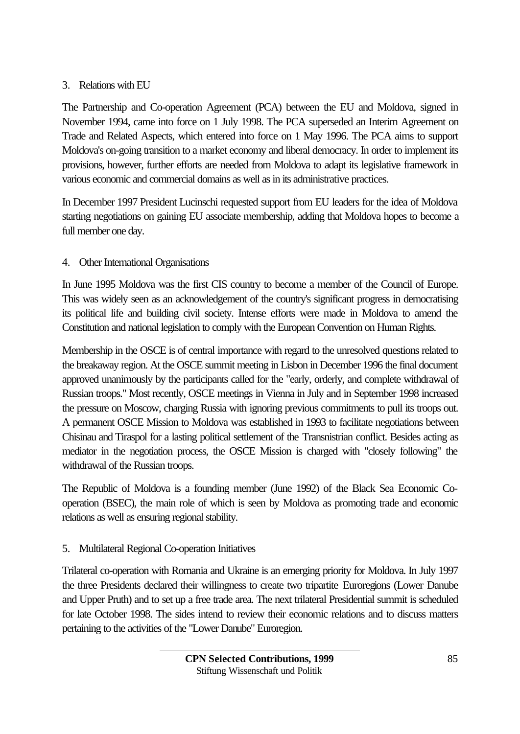# 3. Relations with EU

The Partnership and Co-operation Agreement (PCA) between the EU and Moldova, signed in November 1994, came into force on 1 July 1998. The PCA superseded an Interim Agreement on Trade and Related Aspects, which entered into force on 1 May 1996. The PCA aims to support Moldova's on-going transition to a market economy and liberal democracy. In order to implement its provisions, however, further efforts are needed from Moldova to adapt its legislative framework in various economic and commercial domains as well as in its administrative practices.

In December 1997 President Lucinschi requested support from EU leaders for the idea of Moldova starting negotiations on gaining EU associate membership, adding that Moldova hopes to become a full member one day.

# 4. Other International Organisations

In June 1995 Moldova was the first CIS country to become a member of the Council of Europe. This was widely seen as an acknowledgement of the country's significant progress in democratising its political life and building civil society. Intense efforts were made in Moldova to amend the Constitution and national legislation to comply with the European Convention on Human Rights.

Membership in the OSCE is of central importance with regard to the unresolved questions related to the breakaway region. At the OSCE summit meeting in Lisbon in December 1996 the final document approved unanimously by the participants called for the "early, orderly, and complete withdrawal of Russian troops." Most recently, OSCE meetings in Vienna in July and in September 1998 increased the pressure on Moscow, charging Russia with ignoring previous commitments to pull its troops out. A permanent OSCE Mission to Moldova was established in 1993 to facilitate negotiations between Chisinau and Tiraspol for a lasting political settlement of the Transnistrian conflict. Besides acting as mediator in the negotiation process, the OSCE Mission is charged with "closely following" the withdrawal of the Russian troops.

The Republic of Moldova is a founding member (June 1992) of the Black Sea Economic Cooperation (BSEC), the main role of which is seen by Moldova as promoting trade and economic relations as well as ensuring regional stability.

# 5. Multilateral Regional Co-operation Initiatives

Trilateral co-operation with Romania and Ukraine is an emerging priority for Moldova. In July 1997 the three Presidents declared their willingness to create two tripartite Euroregions (Lower Danube and Upper Pruth) and to set up a free trade area. The next trilateral Presidential summit is scheduled for late October 1998. The sides intend to review their economic relations and to discuss matters pertaining to the activities of the "Lower Danube" Euroregion.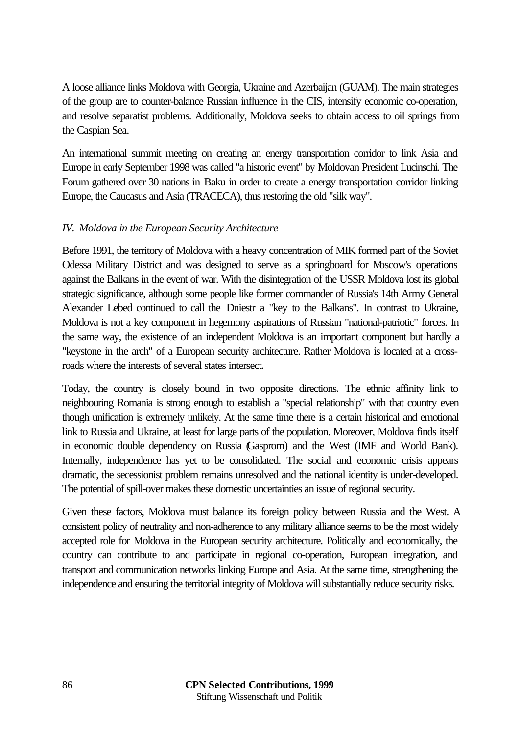A loose alliance links Moldova with Georgia, Ukraine and Azerbaijan (GUAM). The main strategies of the group are to counter-balance Russian influence in the CIS, intensify economic co-operation, and resolve separatist problems. Additionally, Moldova seeks to obtain access to oil springs from the Caspian Sea.

An international summit meeting on creating an energy transportation corridor to link Asia and Europe in early September 1998 was called "a historic event" by Moldovan President Lucinschi. The Forum gathered over 30 nations in Baku in order to create a energy transportation corridor linking Europe, the Caucasus and Asia (TRACECA), thus restoring the old "silk way".

### *IV. Moldova in the European Security Architecture*

Before 1991, the territory of Moldova with a heavy concentration of MIK formed part of the Soviet Odessa Military District and was designed to serve as a springboard for Moscow's operations against the Balkans in the event of war. With the disintegration of the USSR Moldova lost its global strategic significance, although some people like former commander of Russia's 14th Army General Alexander Lebed continued to call the Dniestr a "key to the Balkans". In contrast to Ukraine, Moldova is not a key component in hegemony aspirations of Russian "national-patriotic" forces. In the same way, the existence of an independent Moldova is an important component but hardly a "keystone in the arch" of a European security architecture. Rather Moldova is located at a crossroads where the interests of several states intersect.

Today, the country is closely bound in two opposite directions. The ethnic affinity link to neighbouring Romania is strong enough to establish a "special relationship" with that country even though unification is extremely unlikely. At the same time there is a certain historical and emotional link to Russia and Ukraine, at least for large parts of the population. Moreover, Moldova finds itself in economic double dependency on Russia (Gasprom) and the West (IMF and World Bank). Internally, independence has yet to be consolidated. The social and economic crisis appears dramatic, the secessionist problem remains unresolved and the national identity is under-developed. The potential of spill-over makes these domestic uncertainties an issue of regional security.

Given these factors, Moldova must balance its foreign policy between Russia and the West. A consistent policy of neutrality and non-adherence to any military alliance seems to be the most widely accepted role for Moldova in the European security architecture. Politically and economically, the country can contribute to and participate in regional co-operation, European integration, and transport and communication networks linking Europe and Asia. At the same time, strengthening the independence and ensuring the territorial integrity of Moldova will substantially reduce security risks.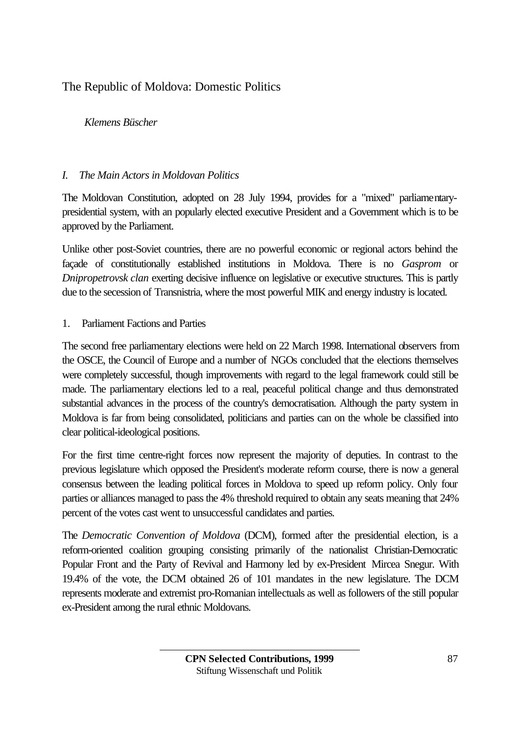# The Republic of Moldova: Domestic Politics

## *Klemens Büscher*

### *I. The Main Actors in Moldovan Politics*

The Moldovan Constitution, adopted on 28 July 1994, provides for a "mixed" parliamentarypresidential system, with an popularly elected executive President and a Government which is to be approved by the Parliament.

Unlike other post-Soviet countries, there are no powerful economic or regional actors behind the façade of constitutionally established institutions in Moldova. There is no *Gasprom* or *Dnipropetrovsk clan* exerting decisive influence on legislative or executive structures. This is partly due to the secession of Transnistria, where the most powerful MIK and energy industry is located.

### 1. Parliament Factions and Parties

The second free parliamentary elections were held on 22 March 1998. International observers from the OSCE, the Council of Europe and a number of NGOs concluded that the elections themselves were completely successful, though improvements with regard to the legal framework could still be made. The parliamentary elections led to a real, peaceful political change and thus demonstrated substantial advances in the process of the country's democratisation. Although the party system in Moldova is far from being consolidated, politicians and parties can on the whole be classified into clear political-ideological positions.

For the first time centre-right forces now represent the majority of deputies. In contrast to the previous legislature which opposed the President's moderate reform course, there is now a general consensus between the leading political forces in Moldova to speed up reform policy. Only four parties or alliances managed to pass the 4% threshold required to obtain any seats meaning that 24% percent of the votes cast went to unsuccessful candidates and parties.

The *Democratic Convention of Moldova* (DCM), formed after the presidential election, is a reform-oriented coalition grouping consisting primarily of the nationalist Christian-Democratic Popular Front and the Party of Revival and Harmony led by ex-President Mircea Snegur. With 19.4% of the vote, the DCM obtained 26 of 101 mandates in the new legislature. The DCM represents moderate and extremist pro-Romanian intellectuals as well as followers of the still popular ex-President among the rural ethnic Moldovans.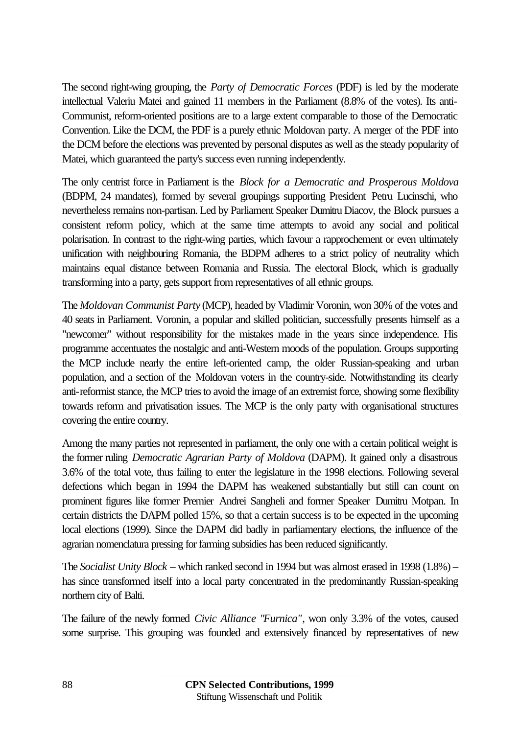The second right-wing grouping, the *Party of Democratic Forces* (PDF) is led by the moderate intellectual Valeriu Matei and gained 11 members in the Parliament (8.8% of the votes). Its anti-Communist, reform-oriented positions are to a large extent comparable to those of the Democratic Convention. Like the DCM, the PDF is a purely ethnic Moldovan party. A merger of the PDF into the DCM before the elections was prevented by personal disputes as well as the steady popularity of Matei, which guaranteed the party's success even running independently.

The only centrist force in Parliament is the *Block for a Democratic and Prosperous Moldova* (BDPM, 24 mandates), formed by several groupings supporting President Petru Lucinschi, who nevertheless remains non-partisan. Led by Parliament Speaker Dumitru Diacov, the Block pursues a consistent reform policy, which at the same time attempts to avoid any social and political polarisation. In contrast to the right-wing parties, which favour a rapprochement or even ultimately unification with neighbouring Romania, the BDPM adheres to a strict policy of neutrality which maintains equal distance between Romania and Russia. The electoral Block, which is gradually transforming into a party, gets support from representatives of all ethnic groups.

The *Moldovan Communist Party* (MCP), headed by Vladimir Voronin, won 30% of the votes and 40 seats in Parliament. Voronin, a popular and skilled politician, successfully presents himself as a "newcomer" without responsibility for the mistakes made in the years since independence. His programme accentuates the nostalgic and anti-Western moods of the population. Groups supporting the MCP include nearly the entire left-oriented camp, the older Russian-speaking and urban population, and a section of the Moldovan voters in the country-side. Notwithstanding its clearly anti-reformist stance, the MCP tries to avoid the image of an extremist force, showing some flexibility towards reform and privatisation issues. The MCP is the only party with organisational structures covering the entire country.

Among the many parties not represented in parliament, the only one with a certain political weight is the former ruling *Democratic Agrarian Party of Moldova* (DAPM). It gained only a disastrous 3.6% of the total vote, thus failing to enter the legislature in the 1998 elections. Following several defections which began in 1994 the DAPM has weakened substantially but still can count on prominent figures like former Premier Andrei Sangheli and former Speaker Dumitru Motpan. In certain districts the DAPM polled 15%, so that a certain success is to be expected in the upcoming local elections (1999). Since the DAPM did badly in parliamentary elections, the influence of the agrarian nomenclatura pressing for farming subsidies has been reduced significantly.

The *Socialist Unity Block* – which ranked second in 1994 but was almost erased in 1998 (1.8%) – has since transformed itself into a local party concentrated in the predominantly Russian-speaking northern city of Balti.

The failure of the newly formed *Civic Alliance "Furnica"*, won only 3.3% of the votes, caused some surprise. This grouping was founded and extensively financed by representatives of new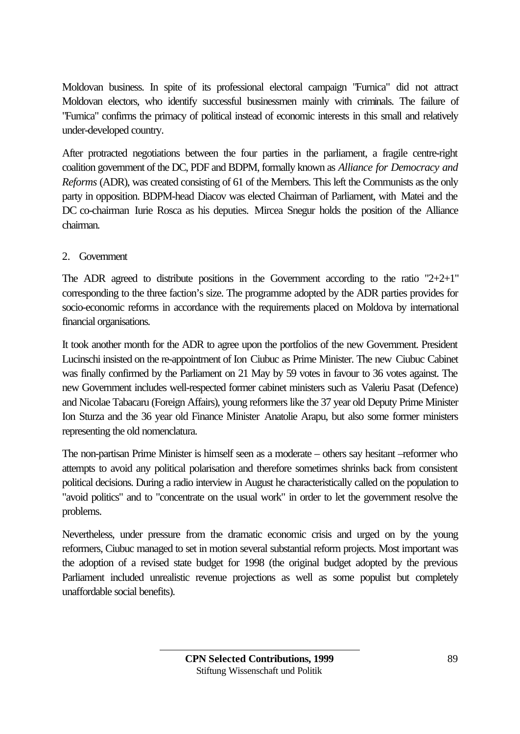Moldovan business. In spite of its professional electoral campaign "Furnica" did not attract Moldovan electors, who identify successful businessmen mainly with criminals. The failure of "Furnica" confirms the primacy of political instead of economic interests in this small and relatively under-developed country.

After protracted negotiations between the four parties in the parliament, a fragile centre-right coalition government of the DC, PDF and BDPM, formally known as *Alliance for Democracy and Reforms* (ADR), was created consisting of 61 of the Members. This left the Communists as the only party in opposition. BDPM-head Diacov was elected Chairman of Parliament, with Matei and the DC co-chairman Iurie Rosca as his deputies. Mircea Snegur holds the position of the Alliance chairman.

# 2. Government

The ADR agreed to distribute positions in the Government according to the ratio  $"2+2+1"$ corresponding to the three faction's size. The programme adopted by the ADR parties provides for socio-economic reforms in accordance with the requirements placed on Moldova by international financial organisations.

It took another month for the ADR to agree upon the portfolios of the new Government. President Lucinschi insisted on the re-appointment of Ion Ciubuc as Prime Minister. The new Ciubuc Cabinet was finally confirmed by the Parliament on 21 May by 59 votes in favour to 36 votes against. The new Government includes well-respected former cabinet ministers such as Valeriu Pasat (Defence) and Nicolae Tabacaru (Foreign Affairs), young reformers like the 37 year old Deputy Prime Minister Ion Sturza and the 36 year old Finance Minister Anatolie Arapu, but also some former ministers representing the old nomenclatura.

The non-partisan Prime Minister is himself seen as a moderate – others say hesitant –reformer who attempts to avoid any political polarisation and therefore sometimes shrinks back from consistent political decisions. During a radio interview in August he characteristically called on the population to "avoid politics" and to "concentrate on the usual work" in order to let the government resolve the problems.

Nevertheless, under pressure from the dramatic economic crisis and urged on by the young reformers, Ciubuc managed to set in motion several substantial reform projects. Most important was the adoption of a revised state budget for 1998 (the original budget adopted by the previous Parliament included unrealistic revenue projections as well as some populist but completely unaffordable social benefits).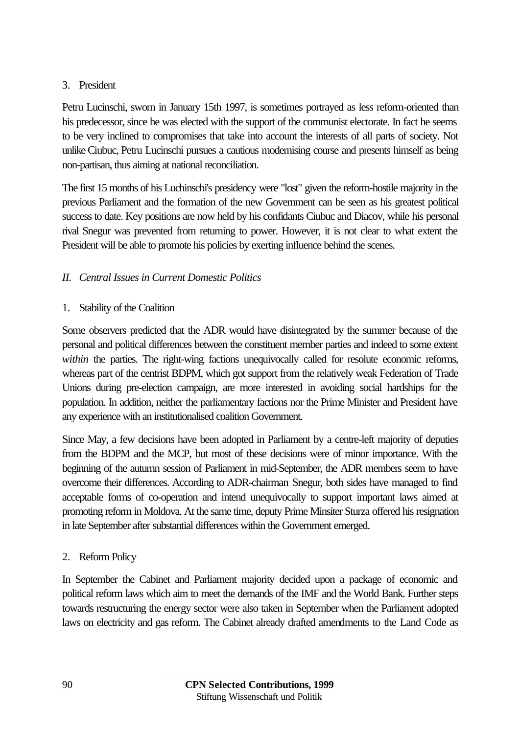# 3. President

Petru Lucinschi, sworn in January 15th 1997, is sometimes portrayed as less reform-oriented than his predecessor, since he was elected with the support of the communist electorate. In fact he seems to be very inclined to compromises that take into account the interests of all parts of society. Not unlike Ciubuc, Petru Lucinschi pursues a cautious modernising course and presents himself as being non-partisan, thus aiming at national reconciliation.

The first 15 months of his Luchinschi's presidency were "lost" given the reform-hostile majority in the previous Parliament and the formation of the new Government can be seen as his greatest political success to date. Key positions are now held by his confidants Ciubuc and Diacov, while his personal rival Snegur was prevented from returning to power. However, it is not clear to what extent the President will be able to promote his policies by exerting influence behind the scenes.

# *II. Central Issues in Current Domestic Politics*

### 1. Stability of the Coalition

Some observers predicted that the ADR would have disintegrated by the summer because of the personal and political differences between the constituent member parties and indeed to some extent within the parties. The right-wing factions unequivocally called for resolute economic reforms, whereas part of the centrist BDPM, which got support from the relatively weak Federation of Trade Unions during pre-election campaign, are more interested in avoiding social hardships for the population. In addition, neither the parliamentary factions nor the Prime Minister and President have any experience with an institutionalised coalition Government.

Since May, a few decisions have been adopted in Parliament by a centre-left majority of deputies from the BDPM and the MCP, but most of these decisions were of minor importance. With the beginning of the autumn session of Parliament in mid-September, the ADR members seem to have overcome their differences. According to ADR-chairman Snegur, both sides have managed to find acceptable forms of co-operation and intend unequivocally to support important laws aimed at promoting reform in Moldova. At the same time, deputy Prime Minsiter Sturza offered his resignation in late September after substantial differences within the Government emerged.

# 2. Reform Policy

In September the Cabinet and Parliament majority decided upon a package of economic and political reform laws which aim to meet the demands of the IMF and the World Bank. Further steps towards restructuring the energy sector were also taken in September when the Parliament adopted laws on electricity and gas reform. The Cabinet already drafted amendments to the Land Code as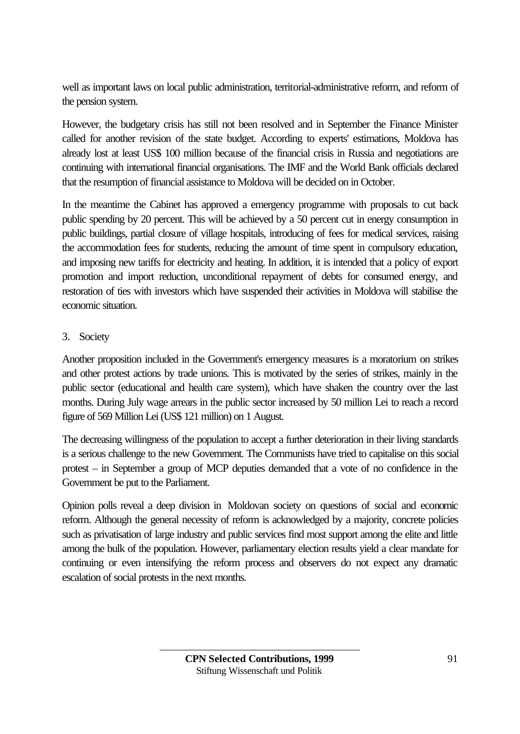well as important laws on local public administration, territorial-administrative reform, and reform of the pension system.

However, the budgetary crisis has still not been resolved and in September the Finance Minister called for another revision of the state budget. According to experts' estimations, Moldova has already lost at least US\$ 100 million because of the financial crisis in Russia and negotiations are continuing with international financial organisations. The IMF and the World Bank officials declared that the resumption of financial assistance to Moldova will be decided on in October.

In the meantime the Cabinet has approved a emergency programme with proposals to cut back public spending by 20 percent. This will be achieved by a 50 percent cut in energy consumption in public buildings, partial closure of village hospitals, introducing of fees for medical services, raising the accommodation fees for students, reducing the amount of time spent in compulsory education, and imposing new tariffs for electricity and heating. In addition, it is intended that a policy of export promotion and import reduction, unconditional repayment of debts for consumed energy, and restoration of ties with investors which have suspended their activities in Moldova will stabilise the economic situation.

# 3. Society

Another proposition included in the Government's emergency measures is a moratorium on strikes and other protest actions by trade unions. This is motivated by the series of strikes, mainly in the public sector (educational and health care system), which have shaken the country over the last months. During July wage arrears in the public sector increased by 50 million Lei to reach a record figure of 569 Million Lei (US\$ 121 million) on 1 August.

The decreasing willingness of the population to accept a further deterioration in their living standards is a serious challenge to the new Government. The Communists have tried to capitalise on this social protest – in September a group of MCP deputies demanded that a vote of no confidence in the Government be put to the Parliament.

Opinion polls reveal a deep division in Moldovan society on questions of social and economic reform. Although the general necessity of reform is acknowledged by a majority, concrete policies such as privatisation of large industry and public services find most support among the elite and little among the bulk of the population. However, parliamentary election results yield a clear mandate for continuing or even intensifying the reform process and observers do not expect any dramatic escalation of social protests in the next months.